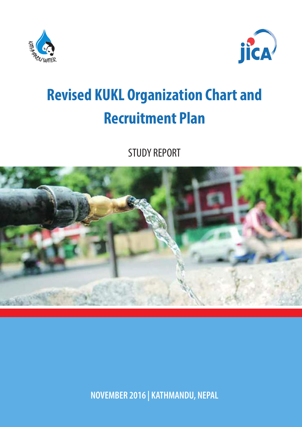



# **Revised KUKL Organization Chart and Recruitment Plan**

STUDY REPORT



**NOVEMBER 2016 | KATHMANDU, NEPAL**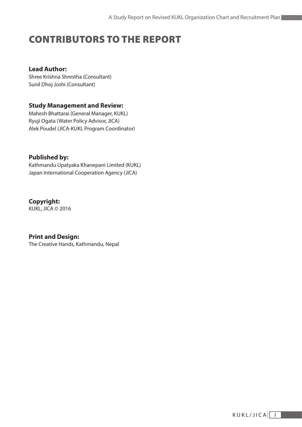# CONTRIBUTORS TO THE REPORT

#### **Lead Author:**

Shree Krishna Shrestha (Consultant) Sunil Dhoj Joshi (Consultant)

#### **Study Management and Review:**

Mahesh Bhattarai (General Manager, KUKL) Ryuji Ogata (Water Policy Advisor, JICA) Alek Poudel (JICA-KUKL Program Coordinator)

#### **Published by:**

Kathmandu Upatyaka Khanepani Limited (KUKL) Japan International Cooperation Agency (JICA)

**Copyright:** KUKL, JICA © 2016

**Print and Design:**

The Creative Hands, Kathmandu, Nepal

**Contract Contract**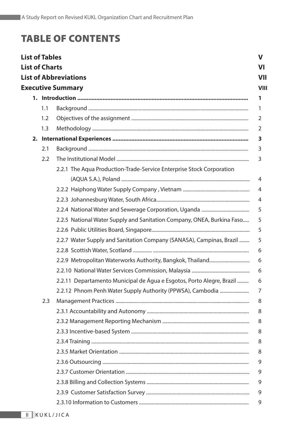# TABLE OF CONTENTS

| <b>List of Tables</b>                                                  |     |                                                                          | $\mathbf v$ |  |  |  |  |  |
|------------------------------------------------------------------------|-----|--------------------------------------------------------------------------|-------------|--|--|--|--|--|
| <b>List of Charts</b>                                                  |     |                                                                          | VI          |  |  |  |  |  |
|                                                                        |     | <b>List of Abbreviations</b>                                             | <b>VII</b>  |  |  |  |  |  |
|                                                                        |     | <b>Executive Summary</b>                                                 | <b>VIII</b> |  |  |  |  |  |
|                                                                        |     |                                                                          | 1           |  |  |  |  |  |
|                                                                        | 1.1 |                                                                          | 1           |  |  |  |  |  |
|                                                                        | 1.2 |                                                                          |             |  |  |  |  |  |
|                                                                        | 1.3 |                                                                          | 2           |  |  |  |  |  |
|                                                                        |     |                                                                          |             |  |  |  |  |  |
|                                                                        | 2.1 |                                                                          | 3           |  |  |  |  |  |
|                                                                        | 2.2 |                                                                          | 3           |  |  |  |  |  |
|                                                                        |     | 2.2.1 The Aqua Production-Trade-Service Enterprise Stock Corporation     |             |  |  |  |  |  |
|                                                                        |     |                                                                          | 4           |  |  |  |  |  |
|                                                                        |     |                                                                          | 4           |  |  |  |  |  |
|                                                                        |     |                                                                          | 4           |  |  |  |  |  |
|                                                                        |     |                                                                          | 5           |  |  |  |  |  |
| 2.2.5 National Water Supply and Sanitation Company, ONEA, Burkina Faso |     |                                                                          |             |  |  |  |  |  |
|                                                                        |     | 5                                                                        |             |  |  |  |  |  |
|                                                                        |     | 2.2.7 Water Supply and Sanitation Company (SANASA), Campinas, Brazil     | 5           |  |  |  |  |  |
|                                                                        |     |                                                                          | 6           |  |  |  |  |  |
|                                                                        |     |                                                                          | 6           |  |  |  |  |  |
|                                                                        |     |                                                                          | 6           |  |  |  |  |  |
|                                                                        |     | 2.2.11 Departamento Municipal de Água e Esgotos, Porto Alegre, Brazil  6 |             |  |  |  |  |  |
|                                                                        |     | 2.2.12 Phnom Penh Water Supply Authority (PPWSA), Cambodia               | 7           |  |  |  |  |  |
|                                                                        | 2.3 |                                                                          | 8           |  |  |  |  |  |
|                                                                        |     |                                                                          | 8           |  |  |  |  |  |
|                                                                        |     |                                                                          | 8           |  |  |  |  |  |
|                                                                        |     |                                                                          | 8           |  |  |  |  |  |
|                                                                        |     |                                                                          | 8           |  |  |  |  |  |
|                                                                        |     |                                                                          | 8           |  |  |  |  |  |
|                                                                        |     |                                                                          | 9           |  |  |  |  |  |
|                                                                        |     |                                                                          | 9           |  |  |  |  |  |
|                                                                        |     |                                                                          | 9           |  |  |  |  |  |
|                                                                        |     |                                                                          | 9           |  |  |  |  |  |
|                                                                        |     |                                                                          | 9           |  |  |  |  |  |
|                                                                        |     |                                                                          |             |  |  |  |  |  |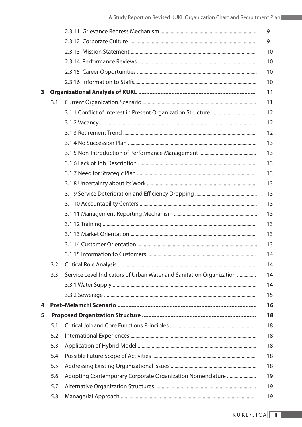|   |     |                                                                     | 9  |
|---|-----|---------------------------------------------------------------------|----|
|   |     |                                                                     | 9  |
|   |     |                                                                     | 10 |
|   |     |                                                                     | 10 |
|   |     |                                                                     | 10 |
|   |     |                                                                     | 10 |
| 3 |     |                                                                     | 11 |
|   | 3.1 |                                                                     | 11 |
|   |     |                                                                     | 12 |
|   |     |                                                                     | 12 |
|   |     |                                                                     | 12 |
|   |     |                                                                     | 13 |
|   |     |                                                                     | 13 |
|   |     |                                                                     | 13 |
|   |     |                                                                     | 13 |
|   |     |                                                                     | 13 |
|   |     |                                                                     | 13 |
|   |     |                                                                     | 13 |
|   |     |                                                                     | 13 |
|   |     |                                                                     | 13 |
|   |     |                                                                     | 13 |
|   |     |                                                                     | 13 |
|   |     |                                                                     | 14 |
|   | 3.2 |                                                                     | 14 |
|   | 3.3 | Service Level Indicators of Urban Water and Sanitation Organization | 14 |
|   |     |                                                                     | 14 |
|   |     |                                                                     | 15 |
| 4 |     |                                                                     | 16 |
| 5 |     |                                                                     | 18 |
|   | 5.1 |                                                                     | 18 |
|   | 5.2 |                                                                     | 18 |
|   | 5.3 |                                                                     | 18 |
|   | 5.4 |                                                                     | 18 |
|   | 5.5 |                                                                     | 18 |
|   | 5.6 |                                                                     | 19 |
|   | 5.7 |                                                                     | 19 |
|   | 5.8 |                                                                     | 19 |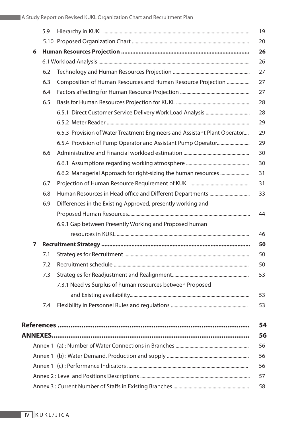|   | 5.9 |                                                                           | 19 |  |  |  |  |  |
|---|-----|---------------------------------------------------------------------------|----|--|--|--|--|--|
|   |     |                                                                           | 20 |  |  |  |  |  |
| 6 | 26  |                                                                           |    |  |  |  |  |  |
|   |     |                                                                           |    |  |  |  |  |  |
|   | 6.2 |                                                                           | 27 |  |  |  |  |  |
|   | 6.3 | Composition of Human Resources and Human Resource Projection              | 27 |  |  |  |  |  |
|   | 6.4 |                                                                           | 27 |  |  |  |  |  |
|   | 6.5 |                                                                           | 28 |  |  |  |  |  |
|   |     |                                                                           | 28 |  |  |  |  |  |
|   |     |                                                                           | 29 |  |  |  |  |  |
|   |     | 6.5.3 Provision of Water Treatment Engineers and Assistant Plant Operator | 29 |  |  |  |  |  |
|   |     |                                                                           | 29 |  |  |  |  |  |
|   | 6.6 |                                                                           | 30 |  |  |  |  |  |
|   |     |                                                                           | 30 |  |  |  |  |  |
|   |     |                                                                           | 31 |  |  |  |  |  |
|   | 6.7 |                                                                           | 31 |  |  |  |  |  |
|   | 6.8 |                                                                           | 33 |  |  |  |  |  |
|   | 6.9 | Differences in the Existing Approved, presently working and               |    |  |  |  |  |  |
|   |     |                                                                           | 44 |  |  |  |  |  |
|   |     | 6.9.1 Gap between Presently Working and Proposed human                    |    |  |  |  |  |  |
|   |     |                                                                           | 46 |  |  |  |  |  |
| 7 |     |                                                                           | 50 |  |  |  |  |  |
|   |     |                                                                           | 50 |  |  |  |  |  |
|   | 7.2 |                                                                           | 50 |  |  |  |  |  |
|   | 7.3 |                                                                           | 53 |  |  |  |  |  |
|   |     | 7.3.1 Need vs Surplus of human resources between Proposed                 |    |  |  |  |  |  |
|   |     |                                                                           | 53 |  |  |  |  |  |
|   | 7.4 |                                                                           | 53 |  |  |  |  |  |
|   |     |                                                                           |    |  |  |  |  |  |
|   |     |                                                                           | 54 |  |  |  |  |  |
|   |     |                                                                           | 56 |  |  |  |  |  |
|   |     |                                                                           | 56 |  |  |  |  |  |
|   |     |                                                                           | 56 |  |  |  |  |  |
|   |     |                                                                           | 56 |  |  |  |  |  |
|   |     |                                                                           | 57 |  |  |  |  |  |
|   |     |                                                                           | 58 |  |  |  |  |  |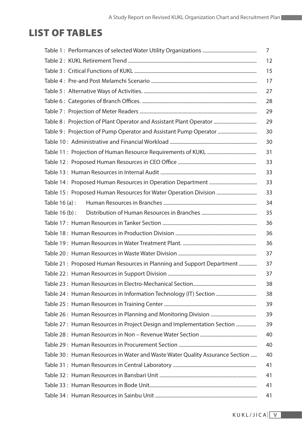# LIST OF TABLES

|                                                                              | 7  |
|------------------------------------------------------------------------------|----|
|                                                                              | 12 |
|                                                                              | 15 |
|                                                                              | 17 |
|                                                                              | 27 |
|                                                                              | 28 |
|                                                                              | 29 |
|                                                                              | 29 |
| Table 9: Projection of Pump Operator and Assistant Pump Operator             | 30 |
|                                                                              | 30 |
|                                                                              | 31 |
|                                                                              | 33 |
|                                                                              | 33 |
|                                                                              | 33 |
|                                                                              | 33 |
| Table $16(a)$ :                                                              | 34 |
| Table 16 (b) :                                                               | 35 |
|                                                                              | 36 |
|                                                                              | 36 |
|                                                                              | 36 |
|                                                                              | 37 |
| Table 21: Proposed Human Resources in Planning and Support Department        | 37 |
|                                                                              | 37 |
|                                                                              | 38 |
| Table 24: Human Resources in Information Technology (IT) Section             | 38 |
|                                                                              | 39 |
|                                                                              | 39 |
| Table 27: Human Resources in Project Design and Implementation Section       | 39 |
|                                                                              | 40 |
|                                                                              | 40 |
| Table 30: Human Resources in Water and Waste Water Quality Assurance Section | 40 |
|                                                                              | 41 |
|                                                                              | 41 |
|                                                                              | 41 |
|                                                                              | 41 |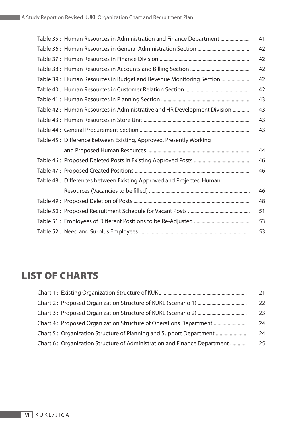| Table 35: Human Resources in Administration and Finance Department      | 41 |
|-------------------------------------------------------------------------|----|
|                                                                         | 42 |
|                                                                         | 42 |
|                                                                         | 42 |
| Table 39: Human Resources in Budget and Revenue Monitoring Section      | 42 |
|                                                                         | 42 |
|                                                                         | 43 |
| Table 42: Human Resources in Administrative and HR Development Division | 43 |
|                                                                         | 43 |
|                                                                         | 43 |
| Table 45 : Difference Between Existing, Approved, Presently Working     |    |
|                                                                         | 44 |
|                                                                         | 46 |
|                                                                         | 46 |
| Table 48 : Differences between Existing Approved and Projected Human    |    |
|                                                                         | 46 |
|                                                                         | 48 |
|                                                                         | 51 |
|                                                                         | 53 |
|                                                                         | 53 |

# LIST OF CHARTS

|                                                                          | 21 |
|--------------------------------------------------------------------------|----|
|                                                                          | 22 |
|                                                                          | 23 |
| Chart 4: Proposed Organization Structure of Operations Department        | 24 |
| Chart 5: Organization Structure of Planning and Support Department       | 24 |
| Chart 6: Organization Structure of Administration and Finance Department | 25 |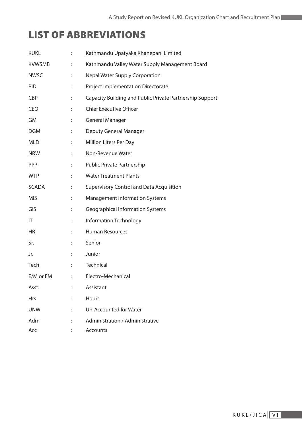# LIST OF ABBREVIATIONS

| <b>KUKL</b>   | ÷                    | Kathmandu Upatyaka Khanepani Limited                     |
|---------------|----------------------|----------------------------------------------------------|
| <b>KVWSMB</b> |                      | Kathmandu Valley Water Supply Management Board           |
| <b>NWSC</b>   | $\ddot{\phantom{a}}$ | <b>Nepal Water Supply Corporation</b>                    |
| <b>PID</b>    |                      | <b>Project Implementation Directorate</b>                |
| <b>CBP</b>    |                      | Capacity Building and Public Private Partnership Support |
| CEO           |                      | <b>Chief Executive Officer</b>                           |
| GM            | $\ddot{\phantom{a}}$ | <b>General Manager</b>                                   |
| <b>DGM</b>    | $\ddot{\phantom{a}}$ | Deputy General Manager                                   |
| <b>MLD</b>    |                      | Million Liters Per Day                                   |
| <b>NRW</b>    | $\ddot{\phantom{a}}$ | Non-Revenue Water                                        |
| <b>PPP</b>    |                      | Public Private Partnership                               |
| <b>WTP</b>    |                      | <b>Water Treatment Plants</b>                            |
| <b>SCADA</b>  | $\ddot{\phantom{a}}$ | <b>Supervisory Control and Data Acquisition</b>          |
| <b>MIS</b>    |                      | <b>Management Information Systems</b>                    |
| GIS           |                      | <b>Geographical Information Systems</b>                  |
| IT            | $\ddot{\phantom{a}}$ | Information Technology                                   |
| HR            |                      | <b>Human Resources</b>                                   |
| Sr.           |                      | Senior                                                   |
| Jr.           | ÷                    | Junior                                                   |
| Tech          |                      | Technical                                                |
| E/M or EM     |                      | : Electro-Mechanical                                     |
| Asst.         |                      | Assistant                                                |
| <b>Hrs</b>    |                      | Hours                                                    |
| <b>UNW</b>    |                      | Un-Accounted for Water                                   |
| Adm           |                      | Administration / Administrative                          |
| Acc           |                      | Accounts                                                 |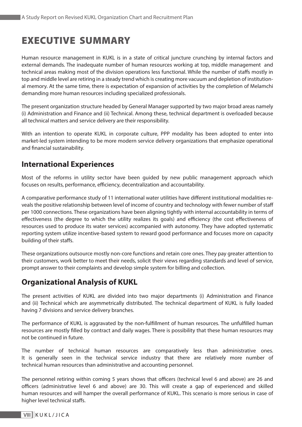# EXECUTIVE SUMMARY

Human resource management in KUKL is in a state of critical juncture crunching by internal factors and external demands. The inadequate number of human resources working at top, middle management and technical areas making most of the division operations less functional. While the number of staffs mostly in top and middle level are retiring in a steady trend which is creating more vacuum and depletion of institutional memory. At the same time, there is expectation of expansion of activities by the completion of Melamchi demanding more human resources including specialized professionals.

The present organization structure headed by General Manager supported by two major broad areas namely (i) Administration and Finance and (ii) Technical. Among these, technical department is overloaded because all technical matters and service delivery are their responsibility.

With an intention to operate KUKL in corporate culture, PPP modality has been adopted to enter into market-led system intending to be more modern service delivery organizations that emphasize operational and financial sustainability.

# **International Experiences**

Most of the reforms in utility sector have been guided by new public management approach which focuses on results, performance, efficiency, decentralization and accountability.

A comparative performance study of 11 international water utilities have different institutional modalities reveals the positive relationship between level of income of country and technology with fewer number of staff per 1000 connections. These organizations have been aligning tightly with internal accountability in terms of effectiveness (the degree to which the utility realizes its goals) and efficiency (the cost effectiveness of resources used to produce its water services) accompanied with autonomy. They have adopted systematic reporting system utilize incentive-based system to reward good performance and focuses more on capacity building of their staffs.

These organizations outsource mostly non-core functions and retain core ones. They pay greater attention to their customers, work better to meet their needs, solicit their views regarding standards and level of service, prompt answer to their complaints and develop simple system for billing and collection.

# **Organizational Analysis of KUKL**

The present activities of KUKL are divided into two major departments (i) Administration and Finance and (ii) Technical which are asymmetrically distributed. The technical department of KUKL is fully loaded having 7 divisions and service delivery branches.

The performance of KUKL is aggravated by the non-fulfillment of human resources. The unfulfilled human resources are mostly filled by contract and daily wages. There is possibility that these human resources may not be continued in future.

The number of technical human resources are comparatively less than administrative ones. It is generally seen in the technical service industry that there are relatively more number of technical human resources than administrative and accounting personnel.

The personnel retiring within coming 5 years shows that officers (technical level 6 and above) are 26 and officers (administrative level 6 and above) are 30. This will create a gap of experienced and skilled human resources and will hamper the overall performance of KUKL. This scenario is more serious in case of higher level technical staffs.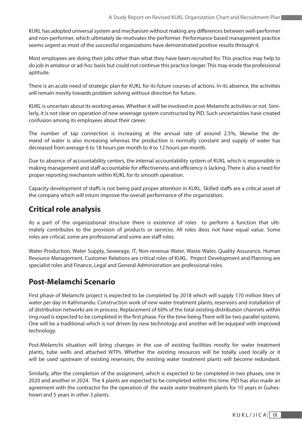KUKL has adopted universal system and mechanism without making any differences between well-performer and non-performer, which ultimately de-motivates the performer. Performance based management practice seems urgent as most of the successful organizations have demonstrated positive results through it.

Most employees are doing their jobs other than what they have been recruited for. This practice may help to do job in amateur or ad-hoc basis but could not continue this practice longer. This may erode the professional aptitude.

There is an acute need of strategic plan for KUKL for its future courses of actions. In its absence, the activities will remain mostly towards problem solving without direction for future.

KUKL is uncertain about its working areas. Whether it will be involved in post-Melamchi activities or not. Similarly, it is not clear on operation of new sewerage system constructed by PID. Such uncertainties have created confusion among its employees about their career.

The number of tap connection is increasing at the annual rate of around 2.5%, likewise the demand of water is also increasing whereas the production is normally constant and supply of water has decreased from average 6 to 18 hours per month to 4 to 12 hours per month.

Due to absence of accountability centers, the internal accountability system of KUKL which is responsible in making management and staff accountable for effectiveness and efficiency is lacking. There is also a need for proper reporting mechanism within KUKL for its smooth operation.

Capacity development of staffs is not being paid proper attention in KUKL. Skilled staffs are a critical asset of the company which will inturn improve the overall performance of the organization.

### **Critical role analysis**

As a part of the organizational structure there is existence of roles to perform a function that ultimately contributes to the provision of products or services. All roles deos not have equal value. Some roles are critical, some are professional and some are staff roles.

Water Production, Water Supply, Sewerage, IT, Non-revenue Water, Waste Water, Quality Assurance, Human Resource Management, Customer Relations are critical roles of KUKL. Project Development and Planning are specialist roles and Finance, Legal and General Administration are professional roles.

### **Post-Melamchi Scenario**

First phase of Melamchi project is expected to be completed by 2018 which will supply 170 million liters of water per day in Kathmandu. Construction work of new water treatment plants, reservoirs and installation of of distribution networks are in process. Replacement of 60% of the total existing distribution channels within ring road is expected to be completed in the first phase. For the time being There will be two parallel systems. One will be a traditional which is not driven by new technology and another will be equiped with improved technology.

Post-Melamchi situation will bring changes in the use of existing facilities mostly for water treatment plants, tube wells and attached WTPs. Whether the existing resources will be totally used locally or it will be used upstream of existing reservoirs, the existing water treatment plants will become redundant.

Similarly, after the completion of the assignment, which is expected to be completed in two phases, one in 2020 and another in 2024. The 4 plants are expected to be completed within this time. PID has also made an agreement with the contractor for the operation of the waste water treatment plants for 10 years in Guheshowri and 5 years in other 3 plants.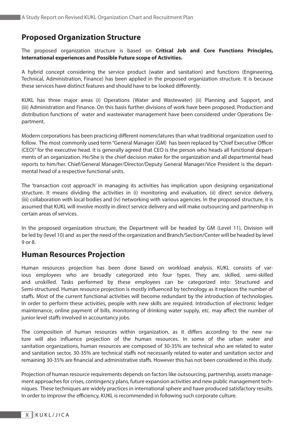# **Proposed Organization Structure**

The proposed organization structure is based on **Critical Job and Core Functions Principles, International experiences and Possible Future scope of Activities.**

A hybrid concept considering the service product (water and sanitation) and functions (Engineering, Technical, Administration, Finance) has been applied in the proposed organization structure. It is because these services have distinct features and should have to be looked differently.

KUKL has three major areas (i) Operations (Water and Wastewater) (ii) Planning and Support, and (iii) Administration and Finance. On this basis further divisions of work have been proposed. Production and distribution functions of water and wastewater management have been considered under Operations Department.

Modern corporations has been practicing different nomenclatures than what traditional organization used to follow. The most commonly used term "General Manager (GM) has been replaced by "Chief Executive Officer (CEO)" for the executive head. It is generally agreed that CEO is the person who heads all functional departments of an organization. He/She is the chief decision maker for the organization and all departmental head reports to him/her. Chief/General Manager/Director/Deputy General Manager/Vice President is the departmental head of a respective functional units.

The 'transaction cost approach' in managing its activities has implication upon designing organizational structure. It means dividing the activities in (i) monitoring and evaluation, (ii) direct service delivery, (iii) collaboration with local bodies and (iv) networking with various agencies. In the proposed structure, it is assumed that KUKL will involve mostly in direct service delivery and will make outsourcing and partnership in certain areas of services.

In the proposed organization structure, the Department will be headed by GM (Level 11), Division will be led by (level 10) and as per the need of the organization and Branch/Section/Center will be headed by level 9 or 8.

### **Human Resources Projection**

Human resources projection has been done based on workload analysis. KUKL consists of various employees who are broadly categorized into four types. They are, skilled, semi-skilled and unskilled. Tasks performed by these employees can be categorized into: Structured and Semi-structured. Human resource projection is mostly influenced by technology as it replaces the number of staffs. Most of the current functional activities will become redundant by the introduction of technologies. In order to perform these activities, people with new skills are required. Introduction of electronic ledger maintenance, online payment of bills, monitoring of drinking water supply, etc. may affect the number of junior level staffs involved in accountancy jobs.

The composition of human resources within organization, as it differs according to the new nature will also influence projection of the human resources. In some of the urban water and sanitation organizations, human resources are composed of 30-35% are technical who are related to water and sanitation sector, 30-35% are technical staffs not necessarily related to water and sanitation sector and remaining 30-35% are financial and administrative staffs. However this has not been considered in this study.

Projection of human resource requirements depends on factors like outsourcing, partnership, assets management approaches for crises, contingency plans, future expansion activities and new public management techniques. These techniques are widely practices in international sphere and have produced satisfactory results. In order to improve the efficiency, KUKL is recommended in following such corporate culture.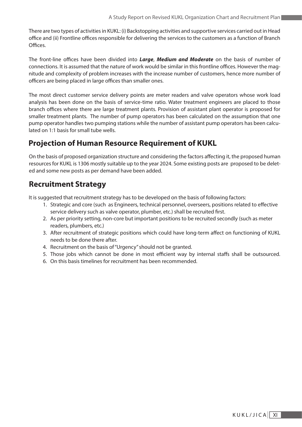There are two types of activities in KUKL: (i) Backstopping activities and supportive services carried out in Head office and (ii) Frontline offices responsible for delivering the services to the customers as a function of Branch Offices.

The front-line offices have been divided into *Large*, *Medium and Moderate* on the basis of number of connections. It is assumed that the nature of work would be similar in this frontline offices. However the magnitude and complexity of problem increases with the increase number of customers, hence more number of officers are being placed in large offices than smaller ones.

The most direct customer service delivery points are meter readers and valve operators whose work load analysis has been done on the basis of service-time ratio. Water treatment engineers are placed to those branch offices where there are large treatment plants. Provision of assistant plant operator is proposed for smaller treatment plants. The number of pump operators has been calculated on the assumption that one pump operator handles two pumping stations while the number of assistant pump operators has been calculated on 1:1 basis for small tube wells.

# **Projection of Human Resource Requirement of KUKL**

On the basis of proposed organization structure and considering the factors affecting it, the proposed human resources for KUKL is 1306 mostly suitable up to the year 2024. Some existing posts are proposed to be deleted and some new posts as per demand have been added.

# **Recruitment Strategy**

It is suggested that recruitment strategy has to be developed on the basis of following factors:

- 1. Strategic and core (such as Engineers, technical personnel, overseers, positions related to effective service delivery such as valve operator, plumber, etc.) shall be recruited first.
- 2. As per priority setting, non-core but important positions to be recruited secondly (such as meter readers, plumbers, etc.)
- 3. After recruitment of strategic positions which could have long-term affect on functioning of KUKL needs to be done there after.
- 4. Recruitment on the basis of "Urgency" should not be granted.
- 5. Those jobs which cannot be done in most efficient way by internal staffs shall be outsourced.
- 6. On this basis timelines for recruitment has been recommended.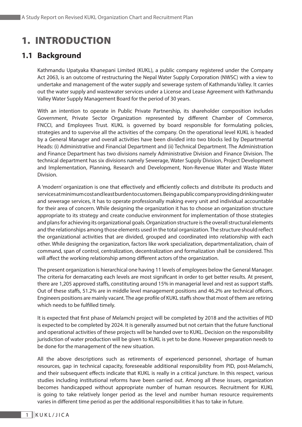# 1. INTRODUCTION

# **1.1 Background**

Kathmandu Upatyaka Khanepani Limited (KUKL), a public company registered under the Company Act 2063, is an outcome of restructuring the Nepal Water Supply Corporation (NWSC) with a view to undertake and management of the water supply and sewerage system of Kathmandu Valley. It carries out the water supply and wastewater services under a License and Lease Agreement with Kathmandu Valley Water Supply Management Board for the period of 30 years.

With an intention to operate in Public Private Partnership, its shareholder composition includes Government, Private Sector Organization represented by different Chamber of Commerce, FNCCI, and Employees Trust. KUKL is governed by board responsible for formulating policies, strategies and to supervise all the activities of the company. On the operational level KUKL is headed by a General Manager and overall activities have been divided into two blocks led by Departmental Heads: (i) Administrative and Financial Department and (ii) Technical Department. The Administration and Finance Department has two divisions namely Administrative Division and Finance Division. The technical department has six divisions namely Sewerage, Water Supply Division, Project Development and Implementation, Planning, Research and Development, Non-Revenue Water and Waste Water Division.

A 'modern' organization is one that effectively and efficiently collects and distribute its products and services at minimum cost and least burden to customers. Being a public company providing drinking water and sewerage services, it has to operate professionally making every unit and individual accountable for their area of concern. While designing the organization it has to choose an organization structure appropriate to its strategy and create conducive environment for implementation of those strategies and plans for achieving its organizational goals. Organization structure is the overall structural elements and the relationships among those elements used in the total organization. The structure should reflect the organizational activities that are divided, grouped and coordinated into relationship with each other. While designing the organization, factors like work specialization, departmentalization, chain of command, span of control, centralization, decentralization and formalization shall be considered. This will affect the working relationship among different actors of the organization.

The present organization is hierarchical one having 11 levels of employees below the General Manager. The criteria for demarcating each levels are most significant in order to get better results. At present, there are 1,205 approved staffs, constituting around 15% in managerial level and rest as support staffs. Out of these staffs, 51.2% are in middle level management positions and 46.2% are technical officers. Engineers positions are mainly vacant. The age profile of KUKL staffs show that most of them are retiring which needs to be fulfilled timely.

It is expected that first phase of Melamchi project will be completed by 2018 and the activities of PID is expected to be completed by 2024. It is generally assumed but not certain that the future functional and operational activities of these projects will be handed over to KUKL. Decision on the responsibility jurisdiction of water production will be given to KUKL is yet to be done. However preparation needs to be done for the management of the new situation.

All the above descriptions such as retirements of experienced personnel, shortage of human resources, gap in technical capacity, foreseeable additional responsibility from PID, post-Melamchi, and their subsequent effects indicate that KUKL is really in a critical juncture. In this respect, various studies including institutional reforms have been carried out. Among all these issues, organization becomes handicapped without appropriate number of human resources. Recruitment for KUKL is going to take relatively longer period as the level and number human resource requirements varies in different time period as per the additional responsibilities it has to take in future.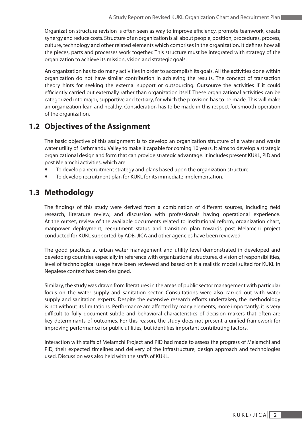Organization structure revision is often seen as way to improve efficiency, promote teamwork, create synergy and reduce costs. Structure of an organization is all about people, position, procedures, process, culture, technology and other related elements which comprises in the organization. It defines how all the pieces, parts and processes work together. This structure must be integrated with strategy of the organization to achieve its mission, vision and strategic goals.

An organization has to do many activities in order to accomplish its goals. All the activities done within organization do not have similar contribution in achieving the results. The concept of transaction theory hints for seeking the external support or outsourcing. Outsource the activities if it could efficiently carried out externally rather than organization itself. These organizational activities can be categorized into major, supportive and tertiary, for which the provision has to be made. This will make an organization lean and healthy. Consideration has to be made in this respect for smooth operation of the organization.

# **1.2 Objectives of the Assignment**

The basic objective of this assignment is to develop an organization structure of a water and waste water utility of Kathmandu Valley to make it capable for coming 10 years. It aims to develop a strategic organizational design and form that can provide strategic advantage. It includes present KUKL, PID and post Melamchi activities, which are:

- To develop a recruitment strategy and plans based upon the organization structure.
- To develop recruitment plan for KUKL for its immediate implementation.

# **1.3 Methodology**

The findings of this study were derived from a combination of different sources, including field research, literature review, and discussion with professionals having operational experience. At the outset, review of the available documents related to institutional reform, organization chart, manpower deployment, recruitment status and transition plan towards post Melamchi project conducted for KUKL supported by ADB, JICA and other agencies have been reviewed.

The good practices at urban water management and utility level demonstrated in developed and developing countries especially in reference with organizational structures, division of responsibilities, level of technological usage have been reviewed and based on it a realistic model suited for KUKL in Nepalese context has been designed.

Similary, the study was drawn from literatures in the areas of public sector management with particular focus on the water supply and sanitation sector. Consultations were also carried out with water supply and sanitation experts. Despite the extensive research efforts undertaken, the methodology is not without its limitations. Performance are affected by many elements, more importantly, it is very difficult to fully document subtle and behavioral characteristics of decision makers that often are key determinants of outcomes. For this reason, the study does not present a unified framework for improving performance for public utilities, but identifies important contributing factors.

Interaction with staffs of Melamchi Project and PID had made to assess the progress of Melamchi and PID, their expected timelines and delivery of the infrastructure, design approach and technologies used. Discussion was also held with the staffs of KUKL.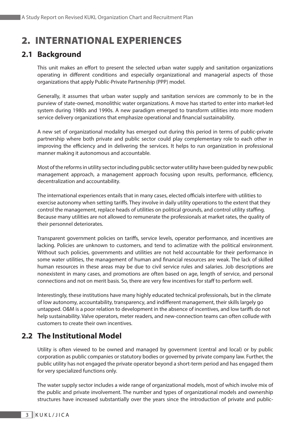# 2. INTERNATIONAL EXPERIENCES

# **2.1 Background**

This unit makes an effort to present the selected urban water supply and sanitation organizations operating in different conditions and especially organizational and managerial aspects of those organizations that apply Public-Private Partnership (PPP) model.

Generally, it assumes that urban water supply and sanitation services are commonly to be in the purview of state-owned, monolithic water organizations. A move has started to enter into market-led system during 1980s and 1990s. A new paradigm emerged to transform utilities into more modern service delivery organizations that emphasize operational and financial sustainability.

A new set of organizational modality has emerged out during this period in terms of public-private partnership where both private and public sector could play complementary role to each other in improving the efficiency and in delivering the services. It helps to run organization in professional manner making it autonomous and accountable.

Most of the reforms in utility sector including public sector water utility have been guided by new public management approach, a management approach focusing upon results, performance, efficiency, decentralization and accountability.

The international experiences entails that in many cases, elected officials interfere with utilities to exercise autonomy when setting tariffs. They involve in daily utility operations to the extent that they control the management, replace heads of utilities on political grounds, and control utility staffing. Because many utilities are not allowed to remunerate the professionals at market rates, the quality of their personnel deteriorates.

Transparent government policies on tariffs, service levels, operator performance, and incentives are lacking. Policies are unknown to customers, and tend to aclimatize with the political environment. Without such policies, governments and utilities are not held accountable for their performance in some water utilities, the management of human and financial resources are weak. The lack of skilled human resources in these areas may be due to civil service rules and salaries. Job descriptions are nonexistent in many cases, and promotions are often based on age, length of service, and personal connections and not on merit basis. So, there are very few incentives for staff to perform well.

Interestingly, these institutions have many highly educated technical professionals, but in the climate of low autonomy, accountability, transparency, and indifferent management, their skills largely go untapped. O&M is a poor relation to development in the absence of incentives, and low tariffs do not help sustainability. Valve operators, meter readers, and new-connection teams can often collude with customers to create their own incentives.

# **2.2 The Institutional Model**

Utility is often viewed to be owned and managed by government (central and local) or by public corporation as public companies or statutory bodies or governed by private company law. Further, the public utility has not engaged the private operator beyond a short-term period and has engaged them for very specialized functions only.

The water supply sector includes a wide range of organizational models, most of which involve mix of the public and private involvement. The number and types of organizational models and ownership structures have increased substantially over the years since the introduction of private and public-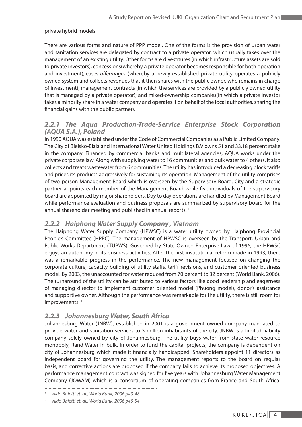#### private hybrid models.

There are various forms and nature of PPP model. One of the forms is the provision of urban water and sanitation services are delegated by contract to a private operator, which usually takes over the management of an existing utility. Other forms are divestitures (in which infrastructure assets are sold to private investors); concessions(whereby a private operator becomes responsible for both operation and investment);leases-*affermages* (whereby a newly established private utility operates a publicly owned system and collects revenues that it then shares with the public owner, who remains in charge of investment); management contracts (in which the services are provided by a publicly owned utility that is managed by a private operator); and mixed-ownership companies(in which a private investor takes a minority share in a water company and operates it on behalf of the local authorities, sharing the financial gains with the public partner).

#### *2.2.1 The Aqua Production-Trade-Service Enterprise Stock Corporation (AQUA S.A.), Poland*

In 1990 AQUA was established under the Code of Commercial Companies as a Public Limited Company. The City of Bielsko-Biala and International Water United Holdings B.V owns 51 and 33.18 percent stake in the company. Financed by commercial banks and multilateral agencies, AQUA works under the private corporate law. Along with supplying water to 16 communities and bulk water to 4 others, it also collects and treats wastewater from 6 communities. The utility has introduced a decreasing block tariffs and prices its products aggressively for sustaining its operation. Management of the utility comprises of two-person Management Board which is overseen by the Supervisory Board. City and a strategic partner appoints each member of the Management Board while five individuals of the supervisory board are appointed by major shareholders. Day to day operations are handled by Management Board while performance evaluation and business proposals are summarized by supervisory board for the annual shareholder meeting and published in annual reports.<sup>1</sup>

#### *2.2.2 Haiphong Water Supply Company , Vietnam*

The Haiphong Water Supply Company (HPWSC) is a water utility owned by Haiphong Provincial People's Committee (HPPC). The management of HPWSC is overseen by the Transport, Urban and Public Works Department (TUPWS). Governed by State Owned Enterprise Law of 1996, the HPWSC enjoys an autonomy in its business activities. After the first institutional reform made in 1993, there was a remarkable progress in the performance. The new management focused on changing the corporate culture, capacity building of utility staffs, tariff revisions, and customer oriented business model. By 2003, the unaccounted for water reduced from 70 percent to 32 percent (World Bank, 2006). The turnaround of the utility can be attributed to various factors like good leadership and eagerness of managing director to implement customer oriented model (Phuong model), donor's assistance and supportive owner. Although the performance was remarkable for the utility, there is still room for improvements.<sup>2</sup>

#### *2.2.3 Johannesburg Water, South Africa*

Johannesburg Water (JNBW), established in 2001 is a government owned company mandated to provide water and sanitation services to 3 million inhabitants of the city. JNBW is a limited liability company solely owned by city of Johannesburg. The utility buys water from state water resource monopoly, Rand Water in bulk. In order to fund the capital projects, the company is dependent on city of Johannesburg which made it financially handicapped. Shareholders appoint 11 directors as independent board for governing the utility. The management reports to the board on regular basis, and corrective actions are proposed if the company fails to achieve its proposed objectives. A performance management contract was signed for five years with Johannesburg Water Management Company (JOWAM) which is a consortium of operating companies from France and South Africa.

*<sup>1</sup> Aldo Baietti et. al., World Bank, 2006 p43-48*

*<sup>2</sup> Aldo Baietti et. al., World Bank, 2006 p49-54*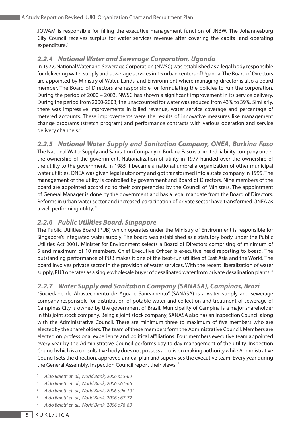JOWAM is responsible for filling the executive management function of JNBW. The Johannesburg City Council receives surplus for water services revenue after covering the capital and operating expenditure.<sup>3</sup>

#### *2.2.4 National Water and Sewerage Corporation, Uganda*

In 1972, National Water and Sewerage Corporation (NWSC) was established as a legal body responsible for delivering water supply and sewerage services in 15 urban centers of Uganda. The Board of Directors are appointed by Ministry of Water, Lands, and Environment where managing director is also a board member. The Board of Directors are responsible for formulating the policies to run the corporation. During the period of 2000 – 2003, NWSC has shown a significant improvement in its service delivery. During the period from 2000-2003, the unaccounted for water was reduced from 43% to 39%. Similarly, there was impressive improvements in billed revenue, water service coverage and percentage of metered accounts. These improvements were the results of innovative measures like management change programs (stretch program) and performance contracts with various operation and service delivery channels.<sup>4</sup>

*2.2.5 National Water Supply and Sanitation Company, ONEA, Burkina Faso* The National Water Supply and Sanitation Company in Burkina Faso is a limited liability company under the ownership of the government. Nationalization of utility in 1977 handed over the ownership of the utility to the government. In 1985 it became a national umbrella organization of other municipal water utilities. ONEA was given legal autonomy and got transformed into a state company in 1995. The management of the utility is controlled by government and Board of Directors. Nine members of the board are appointed according to their competencies by the Council of Ministers. The appointment of General Manager is done by the government and has a legal mandate from the Board of Directors. Reforms in urban water sector and increased participation of private sector have transformed ONEA as a well performing utility.<sup>5</sup>

#### *2.2.6 Public Utilities Board, Singapore*

The Public Utilities Board (PUB) which operates under the Ministry of Environment is responsible for Singapore's integrated water supply. The board was established as a statutory body under the Public Utilities Act 2001. Minister for Environment selects a Board of Directors comprising of minimum of 5 and maximum of 10 members. Chief Executive Officer is executive head reporting to board. The outstanding performance of PUB makes it one of the best-run utilities of East Asia and the World. The board involves private sector in the provision of water services. With the recent liberalization of water supply, PUB operates as a single wholesale buyer of desalinated water from private desalination plants.<sup>6</sup>

#### *2.2.7 Water Supply and Sanitation Company (SANASA), Campinas, Brazi*

"Sociedade de Abastecimento de Agua e Saneamento" (SANASA) is a water supply and sewerage company responsible for distribution of potable water and collection and treatment of sewerage of Campinas City is owned by the government of Brazil. Municipality of Campina is a major shareholder in this joint stock company. Being a joint stock company, SANASA also has an Inspection Council along with the Administrative Council. There are minimum three to maximum of five members who are electedby the shareholders. The team of these members form the Administrative Council. Members are elected on professional experience and political affiliations. Four members executive team appointed every year by the Administrative Council performs day to day management of the utility. Inspection Council which is a consultative body does not possess a decision making authority while Administrative Council sets the direction, approved annual plan and supervises the executive team. Every year during the General Assembly, Inspection Council report their views.<sup>7</sup>

- *<sup>3</sup> Aldo Baietti et. al., World Bank, 2006 p55-60*
- *<sup>4</sup> Aldo Baietti et. al., World Bank, 2006 p61-66*
- *<sup>5</sup> Aldo Baietti et. al., World Bank, 2006 p96-101*
- *<sup>6</sup> Aldo Baietti et. al., World Bank, 2006 p67-72*
- *<sup>7</sup> Aldo Baietti et. al., World Bank, 2006 p78-83*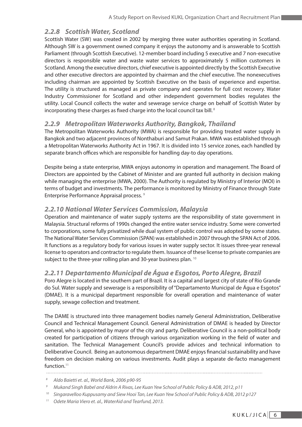#### *2.2.8 Scottish Water, Scotland*

Scottish Water (SW) was created in 2002 by merging three water authorities operating in Scotland. Although SW is a government owned company it enjoys the autonomy and is answerable to Scottish Parliament (through Scottish Executive). 12-member board including 5 executive and 7 non-executive directors is responsible water and waste water services to approximately 5 million customers in Scotland. Among the executive directors, chief executive is appointed directly by the Scottish Executive and other executive directors are appointed by chairman and the chief executive. The nonexecutives including chairman are appointed by Scottish Executive on the basis of experience and expertise. The utility is structured as managed as private company and operates for full cost recovery. Water Industry Commissioner for Scotland and other independent government bodies regulates the utility. Local Council collects the water and sewerage service charge on behalf of Scottish Water by incorporating these charges as fixed charge into the local council tax bill.<sup>8</sup>

#### *2.2.9 Metropolitan Waterworks Authority, Bangkok, Thailand*

The Metropolitan Waterworks Authority (MWA) is responsible for providing treated water supply in Bangkok and two adjacent provinces of Nonthaburi and Samut Prakan. MWA was established through a Metropolitan Waterworks Authority Act in 1967. It is divided into 15 service zones, each handled by separate branch offices which are responsible for handling day-to day operations.

Despite being a state enterprise, MWA enjoys autonomy in operation and management. The Board of Directors are appointed by the Cabinet of Minister and are granted full authority in decision making while managing the enterprise (MWA, 2000). The Authority is regulated by Ministry of Interior (MOI) in terms of budget and investments. The performance is monitored by Ministry of Finance through State Enterprise Performance Appraisal process. 9

#### *2.2.10 National Water Services Commission, Malaysia*

Operation and maintenance of water supply systems are the responsibility of state government in Malaysia. Structural reforms of 1990s changed the entire water service industry. Some were converted to corporations, some fully privatized while dual system of public control was adopted by some states. The National Water Services Commission (SPAN) was established in 2007 through the SPAN Act of 2006. It functions as a regulatory body for various issues in water supply sector. It issues three-year renewal license to operators and contractor to regulate them. Issuance of these license to private companies are subject to the three-year rolling plan and 30-year business plan.<sup>10</sup>

#### *2.2.11 Departamento Municipal de Água e Esgotos, Porto Alegre, Brazil*

Poro Alegre is located in the southern part of Brazil. It is a capital and largest city of state of Rio Grande do Sul. Water supply and sewerage is a responsibility of "Departamento Municipal de Água e Esgotos" (DMAE). It is a municipal department responsible for overall operation and maintenance of water supply, sewage collection and treatment.

The DAME is structured into three management bodies namely General Administration, Deliberative Council and Technical Management Council. General Administration of DMAE is headed by Director General, who is appointed by mayor of the city and party. Deliberative Council is a non-political body created for participation of citizens through various organization working in the field of water and sanitation. The Technical Management Council's provide advices and technical information to Deliberative Council. Being an autonomous department DMAE enjoys financial sustainability and have freedom on decision making on various investments. Audit plays a separate de-facto management function.<sup>11</sup>

*<sup>11</sup> Odete Maria Viero et. al., WaterAid and Tearfund, 2013.*

*<sup>8</sup> Aldo Baietti et. al., World Bank, 2006 p90-95*

*<sup>9</sup> Mukand Singh Babel and Aldrin A Rivas, Lee Kuan Yew School of Public Policy & ADB, 2012, p11*

*<sup>10</sup> Singaravelloo Kuppusamy and Siew Hooi Tan, Lee Kuan Yew School of Public Policy & ADB, 2012 p127*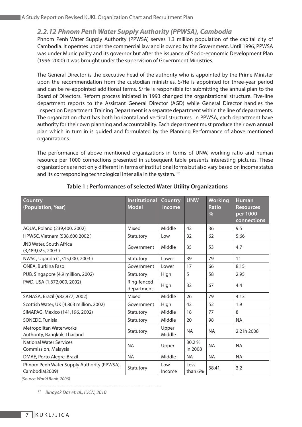#### *2.2.12 Phnom Penh Water Supply Authority (PPWSA), Cambodia*

Phnom Penh Water Supply Authority (PPWSA) serves 1.3 million population of the capital city of Cambodia. It operates under the commercial law and is owned by the Government. Until 1996, PPWSA was under Municipality and its governor but after the issuance of Socio-economic Development Plan (1996-2000) it was brought under the supervision of Government Ministries.

The General Director is the executive head of the authority who is appointed by the Prime Minister upon the recommendation from the custodian ministries. S/He is appointed for three-year period and can be re-appointed additional terms. S/He is responsible for submitting the annual plan to the Board of Directors. Reform process initiated in 1993 changed the organizational structure. Five-line department reports to the Assistant General Director (AGD) while General Director handles the Inspection Department. Training Department is a separate department within the line of departments. The organization chart has both horizontal and vertical structures. In PPWSA, each department have authority for their own planning and accountability. Each department must produce their own annual plan which in turn in is guided and formulated by the Planning Performance of above mentioned organizations.

The performance of above mentioned organizations in terms of UNW, working ratio and human resource per 1000 connections presented in subsequent table presents interesting pictures. These organizations are not only different in terms of institutional forms but also vary based on income status and its corresponding technological inter alia in the system.<sup>12</sup>

| <b>Country</b><br>(Population, Year)                         | <b>Institutional</b><br><b>Model</b> | <b>Country</b><br>income | <b>UNW</b>       | <b>Working</b><br><b>Ratio</b><br>$\frac{0}{0}$ | <b>Human</b><br><b>Resources</b><br>per 1000<br>connections |
|--------------------------------------------------------------|--------------------------------------|--------------------------|------------------|-------------------------------------------------|-------------------------------------------------------------|
| AQUA, Poland (239,400, 2002)                                 | Mixed                                | Middle                   | 42               | 36                                              | 9.5                                                         |
| HPWSC, Vietnam (538,600,2002)                                | Statutory                            | Low                      | 32               | 62                                              | 5.66                                                        |
| JNB Water, South Africa<br>(3,489,025,2003)                  | Government                           | Middle                   | 35               | 53                                              | 4.7                                                         |
| NWSC, Uganda (1,315,000, 2003)                               | Statutory                            | Lower                    | 39               | 79                                              | 11                                                          |
| ONEA, Burkina Faso                                           | Government                           | Lower                    | 17               | 66                                              | 8.15                                                        |
| PUB, Singapore (4.9 million, 2002)                           | Statutory                            | High                     | 5                | 58                                              | 2.95                                                        |
| PWD, USA (1,672,000, 2002)                                   | Ring-fenced<br>department            | High                     | 32               | 67                                              | 4.4                                                         |
| SANASA, Brazil (982,977, 2002)                               | Mixed                                | Middle                   | 26               | 79                                              | 4.13                                                        |
| Scottish Water, UK (4.863 million, 2002)                     | Government                           | High                     | 42               | 52                                              | 1.9                                                         |
| SIMAPAG, Mexico (141,196, 2002)                              | Statutory                            | Middle                   | 18               | 77                                              | 8                                                           |
| SONEDE, Tunisia                                              | Statutory                            | Middle                   | 20               | 98                                              | <b>NA</b>                                                   |
| Metropolitan Waterworks<br>Authority, Bangkok, Thailand      | Statutory                            | Upper<br>Middle          | <b>NA</b>        | <b>NA</b>                                       | 2.2 in 2008                                                 |
| <b>National Water Services</b><br>Commission, Malaysia       | <b>NA</b>                            | Upper                    | 30.2%<br>in 2008 | <b>NA</b>                                       | <b>NA</b>                                                   |
| DMAE, Porto Alegre, Brazil                                   | <b>NA</b>                            | Middle                   | <b>NA</b>        | <b>NA</b>                                       | <b>NA</b>                                                   |
| Phnom Penh Water Supply Authority (PPWSA),<br>Cambodia(2009) | Statutory                            | Low<br>Income            | Less<br>than 6%  | 38.41                                           | 3.2                                                         |

#### **Table 1 : Performances of selected Water Utility Organizations**

*(Source: World Bank, 2006)*

*<sup>12</sup> Binayak Das et. al., IUCN, 2010*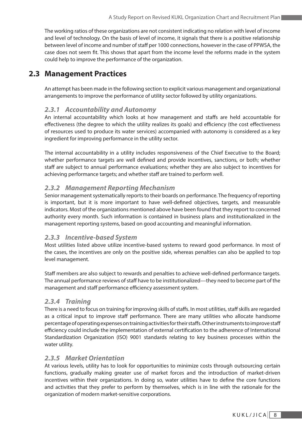The working ratios of these organizations are not consistent indicating no relation with level of income and level of technology. On the basis of level of income, it signals that there is a positive relationship between level of income and number of staff per 1000 connections, however in the case of PPWSA, the case does not seem fit. This shows that apart from the income level the reforms made in the system could help to improve the performance of the organization.

### **2.3 Management Practices**

An attempt has been made in the following section to explicit various management and organizational arrangements to improve the performance of utility sector followed by utility organizations.

#### *2.3.1 Accountability and Autonomy*

An internal accountability which looks at how management and staffs are held accountable for effectiveness (the degree to which the utility realizes its goals) and efficiency (the cost effectiveness of resources used to produce its water services) accompanied with autonomy is considered as a key ingredient for improving performance in the utility sector.

The internal accountability in a utility includes responsiveness of the Chief Executive to the Board; whether performance targets are well defined and provide incentives, sanctions, or both; whether staff are subject to annual performance evaluations; whether they are also subject to incentives for achieving performance targets; and whether staff are trained to perform well.

#### *2.3.2 Management Reporting Mechanism*

Senior management systematically reports to their boards on performance. The frequency of reporting is important, but it is more important to have well-defined objectives, targets, and measurable indicators. Most of the organizations mentioned above have been found that they report to concerned authority every month. Such information is contained in business plans and institutionalized in the management reporting systems, based on good accounting and meaningful information.

#### *2.3.3 Incentive-based System*

Most utilities listed above utilize incentive-based systems to reward good performance. In most of the cases, the incentives are only on the positive side, whereas penalties can also be applied to top level management.

Staff members are also subject to rewards and penalties to achieve well-defined performance targets. The annual performance reviews of staff have to be institutionalized—they need to become part of the management and staff performance efficiency assessment system.

#### *2.3.4 Training*

There is a need to focus on training for improving skills of staffs. In most utilities, staff skills are regarded as a critical input to improve staff performance. There are many utilities who allocate handsome percentage of operating expenses on training activities for their staffs. Other instruments to improve staff efficiency could include the implementation of external certification to the adherence of International Standardization Organization (ISO) 9001 standards relating to key business processes within the water utility.

#### *2.3.5 Market Orientation*

At various levels, utility has to look for opportunities to minimize costs through outsourcing certain functions, gradually making greater use of market forces and the introduction of market-driven incentives within their organizations. In doing so, water utilities have to define the core functions and activities that they prefer to perform by themselves, which is in line with the rationale for the organization of modern market-sensitive corporations.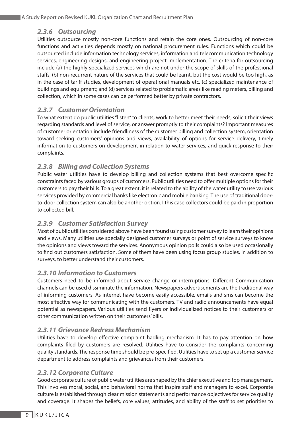#### *2.3.6 Outsourcing*

Utilities outsource mostly non-core functions and retain the core ones. Outsourcing of non-core functions and activities depends mostly on national procurement rules. Functions which could be outsourced include information technology services, information and telecommunication technology services, engineering designs, and engineering project implementation. The criteria for outsourcing include (a) the highly specialized services which are not under the scope of skills of the professional staffs, (b) non-recurrent nature of the services that could be learnt, but the cost would be too high, as in the case of tariff studies, development of operational manuals etc. (c) specialized maintenance of buildings and equipment; and (d) services related to problematic areas like reading meters, billing and collection, which in some cases can be performed better by private contractors.

#### *2.3.7 Customer Orientation*

To what extent do public utilities "listen" to clients, work to better meet their needs, solicit their views regarding standards and level of service, or answer promptly to their complaints? Important measures of customer orientation include friendliness of the customer billing and collection system, orientation toward seeking customers' opinions and views, availability of options for service delivery, timely information to customers on development in relation to water services, and quick response to their complaints.

#### *2.3.8 Billing and Collection Systems*

Public water utilities have to develop billing and collection systems that best overcome specific constraints faced by various groups of customers. Public utilities need to offer multiple options for their customers to pay their bills. To a great extent, it is related to the ability of the water utility to use various services provided by commercial banks like electronic and mobile banking. The use of traditional doorto-door collection system can also be another option. I this case collectors could be paid in proportion to collected bill.

#### *2.3.9 Customer Satisfaction Survey*

Most of public utilities considered above have been found using customer survey to learn their opinions and views. Many utilities use specially designed customer surveys or point of service surveys to know the opinions and views toward the services. Anonymous opinion polls could also be used occasionally to find out customers satisfaction. Some of them have been using focus group studies, in addition to surveys, to better understand their customers.

#### *2.3.10 Information to Customers*

Customers need to be informed about service change or interruptions. Different Communication channels can be used dissiminate the information. Newspapers advertisements are the traditional way of informing customers. As internet have become easily accessible, emails and sms can become the most effective way for communicating with the customers. TV and radio announcements have equal potential as newspapers. Various utilities send flyers or individualized notices to their customers or other communication written on their customers' bills.

#### *2.3.11 Grievance Redress Mechanism*

Utilities have to develop effective complaint hadling mechanism. It has to pay attention on how complaints filed by customers are resolved. Utilities have to consider the complaints concerning quality standards. The response time should be pre-specified. Utilities have to set up a customer service department to address complaints and grievances from their customers.

#### *2.3.12 Corporate Culture*

Good corporate culture of public water utilities are shaped by the chief executive and top management. This involves moral, social, and behavioral norms that inspire staff and managers to excel. Corporate culture is established through clear mission statements and performance objectives for service quality and coverage. It shapes the beliefs, core values, attitudes, and ability of the staff to set priorities to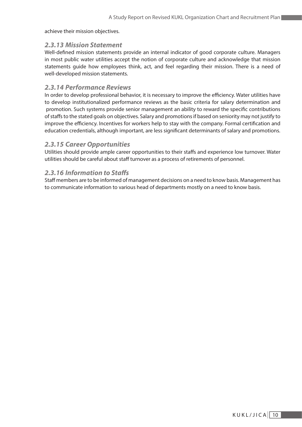achieve their mission objectives.

#### *2.3.13 Mission Statement*

Well-defined mission statements provide an internal indicator of good corporate culture. Managers in most public water utilities accept the notion of corporate culture and acknowledge that mission statements guide how employees think, act, and feel regarding their mission. There is a need of well-developed mission statements.

#### *2.3.14 Performance Reviews*

In order to develop professional behavior, it is necessary to improve the efficiency. Water utilities have to develop institutionalized performance reviews as the basic criteria for salary determination and promotion. Such systems provide senior management an ability to reward the specific contributions of staffs to the stated goals on objectives. Salary and promotions if based on seniority may not justify to improve the efficiency. Incentives for workers help to stay with the company. Formal certification and education credentials, although important, are less significant determinants of salary and promotions.

#### *2.3.15 Career Opportunities*

Utilities should provide ample career opportunities to their staffs and experience low turnover. Water utilities should be careful about staff turnover as a process of retirements of personnel.

#### *2.3.16 Information to Staffs*

Staff members are to be informed of management decisions on a need to know basis. Management has to communicate information to various head of departments mostly on a need to know basis.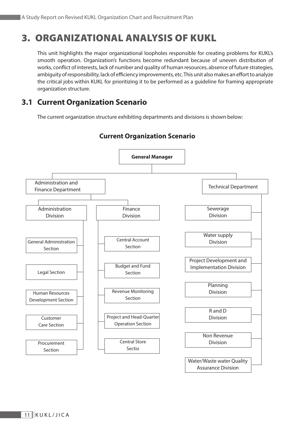# 3. ORGANIZATIONAL ANALYSIS OF KUKL

This unit highlights the major organizational loopholes responsible for creating problems for KUKL's smooth operation. Organization's functions become redundant because of uneven distribution of works, conflict of interests, lack of number and quality of human resources, absence of future strategies, ambiguity of responsibility, lack of efficiency improvements, etc. This unit also makes an effort to analyze the critical jobs within KUKL for prioritizing it to be performed as a guideline for framing appropriate organization structure.

# **3.1 Current Organization Scenario**

The current organization structure exhibiting departments and divisions is shown below:



### **Current Organization Scenario**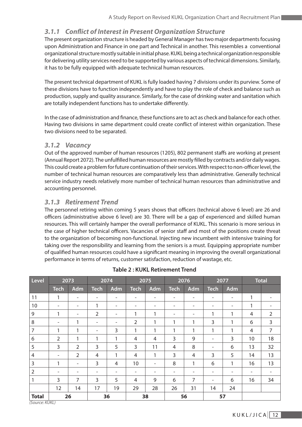#### *3.1.1 Conflict of Interest in Present Organization Structure*

The present organization structure is headed by General Manager has two major departments focusing upon Administration and Finance in one part and Technical in another. This resembles a conventional organizational structure mostly suitable in initial phase. KUKL being a technical organization responsible for delivering utility services need to be supported by various aspects of technical dimensions. Similarly, it has to be fully equipped with adequate technical human resources.

The present technical department of KUKL is fully loaded having 7 divisions under its purview. Some of these divisions have to function independently and have to play the role of check and balance such as production, supply and quality assurance. Similarly, for the case of drinking water and sanitation which are totally independent functions has to undertake differently.

In the case of administration and finance, these functions are to act as check and balance for each other. Having two divisions in same department could create conflict of interest within organization. These two divisions need to be separated.

#### *3.1.2 Vacancy*

Out of the approved number of human resources (1205), 802 permanent staffs are working at present (Annual Report 2072). The unfulfilled human resources are mostly filled by contracts and/or daily wages. This could create a problem for future continuation of their services. With respect to non-officer level, the number of technical human resources are comparatively less than administrative. Generally technical service industry needs relatively more number of technical human resources than administrative and accounting personnel.

#### *3.1.3 Retirement Trend*

The personnel retiring within coming 5 years shows that officers (technical above 6 level) are 26 and officers (administrative above 6 level) are 30. There will be a gap of experienced and skilled human resources. This will certainly hamper the overall performance of KUKL. This scenario is more serious in the case of higher technical officers. Vacancies of senior staff and most of the positions create threat to the organization of becoming non-functional. Injecting new incumbent with intensive training for taking over the responsibility and learning from the seniors is a must. Equipping appropriate number of qualified human resources could have a significant meaning in improving the overall organizational performance in terms of returns, customer satisfaction, reduction of wastage, etc.

| Level          | 2073                     |                          | 2074                     |                | 2075                     |                          |              | 2076                     | 2077                     |                   | <b>Total</b>   |                |
|----------------|--------------------------|--------------------------|--------------------------|----------------|--------------------------|--------------------------|--------------|--------------------------|--------------------------|-------------------|----------------|----------------|
|                | <b>Tech</b>              | Adm                      | <b>Tech</b>              | Adm            | <b>Tech</b>              | Adm                      | <b>Tech</b>  | Adm                      | <b>Tech</b>              | Adm               |                |                |
| 11             | 1                        | $\overline{\phantom{a}}$ |                          |                | $\overline{a}$           | $\overline{\phantom{a}}$ | ۰            | $\overline{\phantom{a}}$ | $\overline{\phantom{0}}$ | $\qquad \qquad -$ | 1              | -              |
| 10             | -                        | $\overline{\phantom{a}}$ | 1                        | Ξ.             | -                        | Ξ.                       | -            | -                        | ۰                        | ۰                 | 1              |                |
| 9              | 1                        | $\overline{\phantom{a}}$ | $\overline{2}$           | ۰              | 1                        | 1                        | -            | $\overline{\phantom{a}}$ | 1                        | 1                 | $\overline{4}$ | $\overline{2}$ |
| 8              | $\overline{\phantom{m}}$ | 1                        | $\overline{\phantom{a}}$ |                | $\overline{2}$           | 1                        | 1            | 1                        | 3                        | 1                 | 6              | 3              |
| $\overline{7}$ | 1                        | 1                        | -                        | 3              | 1                        | 1                        | 1            | 1                        | 1                        | 1                 | $\overline{4}$ | $\overline{7}$ |
| 6              | $\overline{2}$           | 1                        | 1                        | 1              | $\overline{4}$           | 4                        | 3            | 9                        | $\overline{\phantom{a}}$ | 3                 | 10             | 18             |
| 5              | $\overline{3}$           | $\overline{2}$           | 3                        | 5              | 3                        | 11                       | 4            | 8                        | $\overline{\phantom{a}}$ | 6                 | 13             | 32             |
| $\overline{4}$ | $\overline{\phantom{a}}$ | $\overline{2}$           | 4                        | 1              | $\overline{4}$           | 1                        | $\mathsf{3}$ | 4                        | 3                        | 5                 | 14             | 13             |
| $\overline{3}$ | $\mathbf{1}$             | $\overline{\phantom{a}}$ | 3                        | $\overline{4}$ | 10                       | Ξ.                       | 8            | 1                        | 6                        | 1                 | 16             | 13             |
| $\overline{2}$ |                          | -                        | -                        |                | $\overline{\phantom{a}}$ |                          | -            |                          |                          |                   | -              | -              |
|                | $\overline{3}$           | 7                        | 3                        | 5              | 4                        | 9                        | 6            | 7                        | $\overline{\phantom{a}}$ | 6                 | 16             | 34             |
|                | 12                       | 14                       | 17                       | 19             | 29                       | 28                       | 26           | 31                       | 14                       | 24                |                |                |
| <b>Total</b>   | 26                       |                          |                          | 36             | 38                       |                          | 56           |                          | 57                       |                   |                |                |

**Table 2 : KUKL Retirement Trend**

*(Source: KUKL)*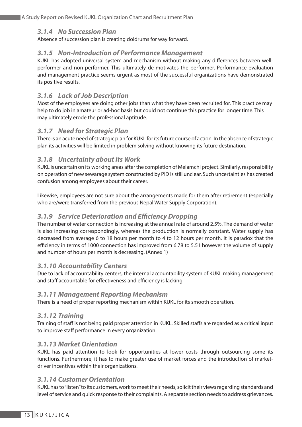#### *3.1.4 No Succession Plan*

Absence of succession plan is creating doldrums for way forward.

#### *3.1.5 Non-Introduction of Performance Management*

KUKL has adopted universal system and mechanism without making any differences between wellperformer and non-performer. This ultimately de-motivates the performer. Performance evaluation and management practice seems urgent as most of the successful organizations have demonstrated its positive results.

#### *3.1.6 Lack of Job Description*

Most of the employees are doing other jobs than what they have been recruited for. This practice may help to do job in amateur or ad-hoc basis but could not continue this practice for longer time. This may ultimately erode the professional aptitude.

#### *3.1.7 Need for Strategic Plan*

There is an acute need of strategic plan for KUKL for its future course of action. In the absence of strategic plan its activities will be limited in problem solving without knowing its future destination.

#### *3.1.8 Uncertainty about its Work*

KUKL is uncertain on its working areas after the completion of Melamchi project. Similarly, responsibility on operation of new sewarage system constructed by PID is still unclear. Such uncertainties has created confusion among employees about their career.

Likewise, employees are not sure about the arrangements made for them after retirement (especially who are/were transferred from the previous Nepal Water Supply Corporation).

#### *3.1.9 Service Deterioration and Efficiency Dropping*

The number of water connection is increasing at the annual rate of around 2.5%. The demand of water is also increasing correspondingly, whereas the production is normally constant. Water supply has decreased from average 6 to 18 hours per month to 4 to 12 hours per month. It is paradox that the efficiency in terms of 1000 connection has improved from 6.78 to 5.51 however the volume of supply and number of hours per month is decreasing. (Annex 1)

#### *3.1.10 Accountability Centers*

Due to lack of accountability centers, the internal accountability system of KUKL making management and staff accountable for effectiveness and efficiency is lacking.

#### *3.1.11 Management Reporting Mechanism*

There is a need of proper reporting mechanism within KUKL for its smooth operation.

#### *3.1.12 Training*

Training of staff is not being paid proper attention in KUKL. Skilled staffs are regarded as a critical input to improve staff performance in every organization.

#### *3.1.13 Market Orientation*

KUKL has paid attention to look for opportunities at lower costs through outsourcing some its functions. Furthermore, it has to make greater use of market forces and the introduction of marketdriver incentives within their organizations.

#### *3.1.14 Customer Orientation*

KUKL has to "listen" to its customers, work to meet their needs, solicit their views regarding standards and level of service and quick response to their complaints. A separate section needs to address grievances.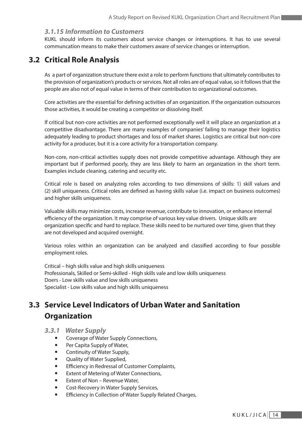#### *3.1.15 Information to Customers*

KUKL should inform its customers about service changes or interruptions. It has to use several communcation means to make their customers aware of service changes or interruption.

### **3.2 Critical Role Analysis**

As a part of organization structure there exist a role to perform functions that ultimately contributes to the provision of organization's products or services. Not all roles are of equal value, so it follows that the people are also not of equal value in terms of their contribution to organizational outcomes.

Core activities are the essential for defining activities of an organization. If the organization outsources those activities, it would be creating a competitor or dissolving itself.

If critical but non-core activities are not performed exceptionally well it will place an organization at a competitive disadvantage. There are many examples of companies' failing to manage their logistics adequately leading to product shortages and loss of market shares. Logistics are critical but non-core activity for a producer, but it is a core activity for a transportation company.

Non-core, non-critical activities supply does not provide competitive advantage. Although they are important but if performed poorly, they are less likely to harm an organization in the short term. Examples include cleaning, catering and security etc.

Critical role is based on analyzing roles according to two dimensions of skills: 1) skill values and (2) skill uniqueness. Critical roles are defined as having skills value (i.e. impact on business outcomes) and higher skills uniqueness.

Valuable skills may minimize costs, increase revenue, contribute to innovation, or enhance internal efficiency of the organization. It may comprise of various key value drivers. Unique skills are organization specific and hard to replace. These skills need to be nurtured over time, given that they are not developed and acquired overnight.

Various roles within an organization can be analyzed and classified according to four possible employment roles.

Critical – high skills value and high skills uniqueness Professionals, Skilled or Semi-skilled - High skills vale and low skills uniqueness Doers - Low skills value and low skills uniqueness Specialist - Low skills value and high skills uniqueness

# **3.3 Service Level Indicators of Urban Water and Sanitation Organization**

- *3.3.1 Water Supply*
	- Coverage of Water Supply Connections,
	- Per Capita Supply of Water,
	- Continuity of Water Supply,
	- Quality of Water Supplied,
	- Efficiency in Redressal of Customer Complaints,
	- Extent of Metering of Water Connections,
	- Extent of Non Revenue Water,
	- Cost-Recovery in Water Supply Services,
	- Efficiency in Collection of Water Supply Related Charges,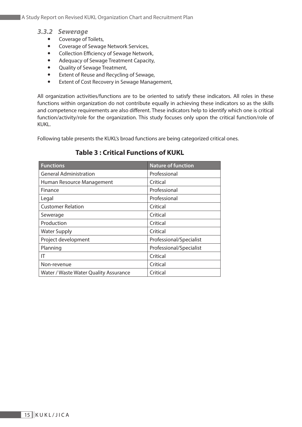- *3.3.2 Sewerage*
	- Coverage of Toilets,
	- Coverage of Sewage Network Services,
	- Collection Efficiency of Sewage Network,
	- Adequacy of Sewage Treatment Capacity,
	- Quality of Sewage Treatment,
	- Extent of Reuse and Recycling of Sewage,
	- Extent of Cost Recovery in Sewage Management,

All organization activities/functions are to be oriented to satisfy these indicators. All roles in these functions within organization do not contribute equally in achieving these indicators so as the skills and competence requirements are also different. These indicators help to identify which one is critical function/activity/role for the organization. This study focuses only upon the critical function/role of KUKL.

Following table presents the KUKL's broad functions are being categorized critical ones.

#### **Table 3 : Critical Functions of KUKL**

| <b>Functions</b>                      | <b>Nature of function</b> |  |  |  |
|---------------------------------------|---------------------------|--|--|--|
| <b>General Administration</b>         | Professional              |  |  |  |
| Human Resource Management             | Critical                  |  |  |  |
| Finance                               | Professional              |  |  |  |
| Legal                                 | Professional              |  |  |  |
| <b>Customer Relation</b>              | Critical                  |  |  |  |
| Sewerage                              | Critical                  |  |  |  |
| Production                            | Critical                  |  |  |  |
| <b>Water Supply</b>                   | Critical                  |  |  |  |
| Project development                   | Professional/Specialist   |  |  |  |
| Planning                              | Professional/Specialist   |  |  |  |
| ΙT                                    | Critical                  |  |  |  |
| Non-revenue                           | Critical                  |  |  |  |
| Water / Waste Water Quality Assurance | Critical                  |  |  |  |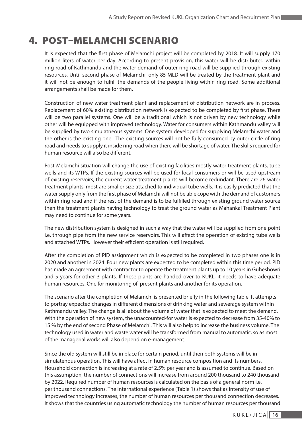# 4. POST–MELAMCHI SCENARIO

It is expected that the first phase of Melamchi project will be completed by 2018. It will supply 170 million liters of water per day. According to present provision, this water will be distributed within ring road of Kathmandu and the water demand of outer ring road will be supplied through existing resources. Until second phase of Melamchi, only 85 MLD will be treated by the treatment plant and it will not be enough to fulfill the demands of the people living within ring road. Some additional arrangements shall be made for them.

Construction of new water treatment plant and replacement of distribution network are in process. Replacement of 60% existing distribution network is expected to be completed by first phase. There will be two parallel systems. One will be a traditional which is not driven by new technology while other will be equipped with improved technology. Water for consumers within Kathmandu valley will be supplied by two simulatneous systems. One system developed for supplying Melamchi water and the other is the existing one. The existing sources will not be fully consumed by outer circle of ring road and needs to supply it inside ring road when there will be shortage of water. The skills required for human resource will also be different.

Post-Melamchi situation will change the use of existing facilities mostly water treatment plants, tube wells and its WTPs. If the existing sources will be used for local consumers or will be used upstream of existing reservoirs, the current water treatment plants will become redundant. There are 26 water treatment plants, most are smaller size attached to individual tube wells. It is easily predicted that the water supply only from the first phase of Melamchi will not be able cope with the demand of customers within ring road and if the rest of the demand is to be fulfilled through existing ground water source then the treatment plants having technology to treat the ground water as Mahankal Treatment Plant may need to continue for some years.

The new distribution system is designed in such a way that the water will be supplied from one point i.e. through pipe from the new service reservoirs. This will affect the operation of existing tube wells and attached WTPs. However their efficient operation is still required.

After the completion of PID assignment which is expected to be completed in two phases one is in 2020 and another in 2024. Four new plants are expected to be completed within this time period. PID has made an agreement with contractor to operate the treatment plants up to 10 years in Guheshowri and 5 years for other 3 plants. If these plants are handed over to KUKL, it needs to have adequate human resources. One for monitoring of present plants and another for its operation.

The scenario after the completion of Melamchi is presented briefly in the following table. It attempts to portray expected changes in different dimensions of drinking water and sewerage system within Kathmandu valley. The change is all about the volume of water that is expected to meet the demand. With the operation of new system, the unaccounted-for water is expected to decrease from 35-40% to 15 % by the end of second Phase of Melamchi. This will also help to increase the business volume. The technology used in water and waste water will be transformed from manual to automatic, so as most of the managerial works will also depend on e-management.

Since the old system will still be in place for certain period, until then both systems will be in simulatenous operation. This will have affect in human resource composition and its numbers. Household connection is increasing at a rate of 2.5% per year and is assumed to continue. Based on this assumption, the number of connections will increase from around 200 thousand to 240 thousand by 2022. Required number of human resources is calculated on the basis of a general norm i.e. per thousand connections. The international experience (Table 1) shows that as intensity of use of improved technology increases, the number of human resources per thousand connection decreases. It shows that the countries using automatic technology the number of human resources per thousand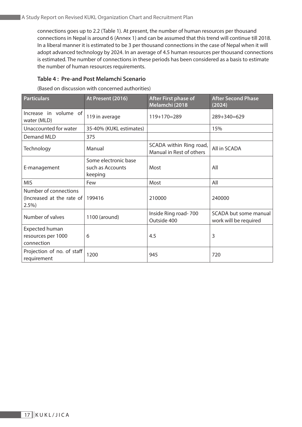connections goes up to 2.2 (Table 1). At present, the number of human resources per thousand connections in Nepal is around 6 (Annex 1) and can be assumed that this trend will continue till 2018. In a liberal manner it is estimated to be 3 per thousand connections in the case of Nepal when it will adopt advanced technology by 2024. In an average of 4.5 human resources per thousand connections is estimated. The number of connections in these periods has been considered as a basis to estimate the number of human resources requirements.

#### **Table 4 : Pre-and Post Melamchi Scenario**

(Based on discussion with concerned authorities)

| <b>Particulars</b>                                                 | At Present (2016)                                   | <b>After First phase of</b><br>Melamchi (2018       | <b>After Second Phase</b><br>(2024)            |  |
|--------------------------------------------------------------------|-----------------------------------------------------|-----------------------------------------------------|------------------------------------------------|--|
| Increase in volume of<br>water (MLD)                               | 119 in average                                      | $119+170=289$                                       | 289+340=629                                    |  |
| Unaccounted for water                                              | 35-40% (KUKL estimates)                             |                                                     | 15%                                            |  |
| <b>Demand MLD</b>                                                  | 375                                                 |                                                     |                                                |  |
| Technology                                                         | Manual                                              | SCADA within Ring road,<br>Manual in Rest of others | All in SCADA                                   |  |
| E-management                                                       | Some electronic base<br>such as Accounts<br>keeping | Most                                                | All                                            |  |
| <b>MIS</b>                                                         | Few                                                 | Most                                                | All                                            |  |
| Number of connections<br>(Increased at the rate of 199416)<br>2.5% |                                                     | 210000                                              | 240000                                         |  |
| Number of valves                                                   | 1100 (around)                                       | Inside Ring road-700<br>Outside 400                 | SCADA but some manual<br>work will be required |  |
| <b>Expected human</b><br>resources per 1000<br>connection          | 6                                                   | 4.5                                                 | 3                                              |  |
| Projection of no. of staff<br>requirement                          | 1200                                                | 945                                                 | 720                                            |  |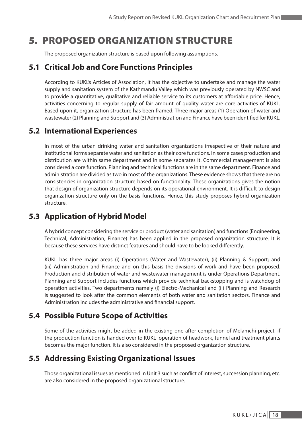# 5. PROPOSED ORGANIZATION STRUCTURE

The proposed organization structure is based upon following assumptions.

# **5.1 Critical Job and Core Functions Principles**

According to KUKL's Articles of Association, it has the objective to undertake and manage the water supply and sanitation system of the Kathmandu Valley which was previously operated by NWSC and to provide a quantitative, qualitative and reliable service to its customers at affordable price. Hence, activities concerning to regular supply of fair amount of quality water are core activities of KUKL. Based upon it, organization structure has been framed. Three major areas (1) Operation of water and wastewater (2) Planning and Support and (3) Administration and Finance have been identified for KUKL.

### **5.2 International Experiences**

In most of the urban drinking water and sanitation organizations irrespective of their nature and institutional forms separate water and sanitation as their core functions. In some cases production and distribution are within same department and in some separates it. Commercial management is also considered a core function. Planning and technical functions are in the same department. Finance and administration are divided as two in most of the organizations. These evidence shows that there are no consistencies in organization structure based on functionality. These organizations gives the notion that design of organization structure depends on its operational environment. It is difficult to design organization structure only on the basis functions. Hence, this study proposes hybrid organization structure.

# **5.3 Application of Hybrid Model**

A hybrid concept considering the service or product (water and sanitation) and functions (Engineering, Technical, Administration, Finance) has been applied in the proposed organization structure. It is because these services have distinct features and should have to be looked differently.

KUKL has three major areas (i) Operations (Water and Wastewater); (ii) Planning & Support; and (iii) Administration and Finance and on this basis the divisions of work and have been proposed. Production and distribution of water and wastewater management is under Operations Department. Planning and Support includes functions which provide technical backstopping and is watchdog of operation activities. Two departments namely (i) Electro-Mechanical and (ii) Planning and Research is suggested to look after the common elements of both water and sanitation sectors. Finance and Administration includes the administrative and financial support.

# **5.4 Possible Future Scope of Activities**

Some of the activities might be added in the existing one after completion of Melamchi project. if the production function is handed over to KUKL operation of headwork, tunnel and treatment plants becomes the major function. It is also considered in the proposed organization structure.

# **5.5 Addressing Existing Organizational Issues**

Those organizational issues as mentioned in Unit 3 such as conflict of interest, succession planning, etc. are also considered in the proposed organizational structure.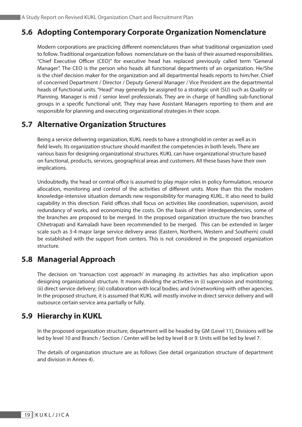### **5.6 Adopting Contemporary Corporate Organization Nomenclature**

Modern corporations are practicing different nomenclatures than what traditional organization used to follow. Traditional organization follows nomenclature on the basis of their assumed responsibilities. "Chief Executive Officer (CEO)" for executive head has replaced previously called term "General Manager". The CEO is the person who heads all functional departments of an organization. He/She is the chief decision maker for the organization and all departmental heads reports to him/her. Chief of concerned Department / Director / Deputy General Manager / Vice President are the departmental heads of functional units. "Head" may generally be assigned to a strategic unit (SU) such as Quality or Planning. Manager is mid / senior level professionals. They are in charge of handling sub-functional groups in a specific functional unit. They may have Assistant Managers reporting to them and are responsible for planning and executing organizational strategies in their scope.

### **5.7 Alternative Organization Structures**

Being a service delivering organization, KUKL needs to have a stronghold in center as well as in field levels. Its organization structure should manifest the competencies in both levels. There are various basis for designing organizational structures. KUKL can have organizational structure based on functional, products, services, geographical areas and customers. All these bases have their own implications.

Undoubtedly, the head or central office is assumed to play major roles in policy formulation, resource allocation, monitoring and control of the activities of different units. More than this the modern knowledge-intensive situation demands new responsibility for managing KUKL. It also need to build capability in this direction. Field offices shall focus on activities like coordination, supervision, avoid redundancy of works, and economizing the costs. On the basis of their interdependencies, some of the branches are proposed to be merged. In the proposed organization structure the two branches Chhetrapati and Kamaladi have been recommended to be merged. This can be extended in larger scale such as 3-4 major large service delivery areas (Eastern, Northern, Western and Southern) could be established with the support from centers. This is not considered in the proposed organization structure.

### **5.8 Managerial Approach**

The decision on 'transaction cost approach' in managing its activities has also implication upon designing organizational structure. It means dividing the activities in (i) supervision and monitoring; (ii) direct service delivery; (iii) collaboration with local bodies; and (iv)networking with other agencies. In the proposed structure, it is assumed that KUKL will mostly involve in direct service delivery and will outsource certain service area partially or fully.

### **5.9 Hierarchy in KUKL**

In the proposed organization structure, department will be headed by GM (Level 11), Divisions will be led by level 10 and Branch / Section / Center will be led by level 8 or 9. Units will be led by level 7.

The details of organization structure are as follows (See detail organization structure of department and division in Annex 4).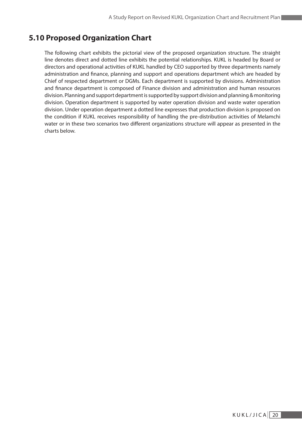# **5.10 Proposed Organization Chart**

The following chart exhibits the pictorial view of the proposed organization structure. The straight line denotes direct and dotted line exhibits the potential relationships. KUKL is headed by Board or directors and operational activities of KUKL handled by CEO supported by three departments namely administration and finance, planning and support and operations department which are headed by Chief of respected department or DGMs. Each department is supported by divisions. Administration and finance department is composed of Finance division and administration and human resources division. Planning and support department is supported by support division and planning & monitoring division. Operation department is supported by water operation division and waste water operation division. Under operation department a dotted line expresses that production division is proposed on the condition if KUKL receives responsibility of handling the pre-distribution activities of Melamchi water or in these two scenarios two different organizations structure will appear as presented in the charts below.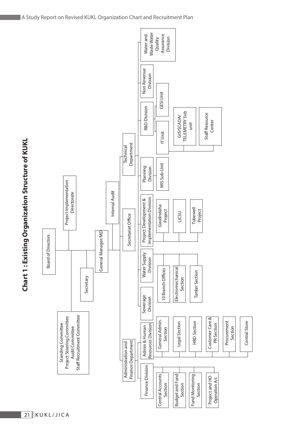

 $\boxed{21}$ KUKL/JICA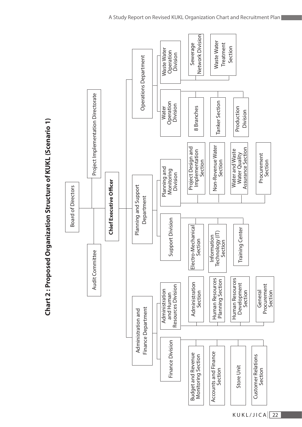

22  $KUKL/JICA$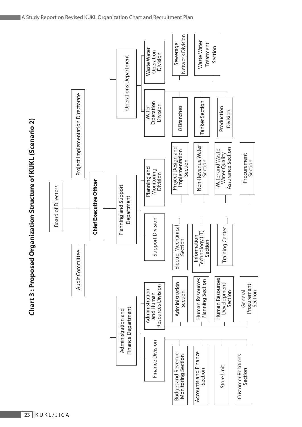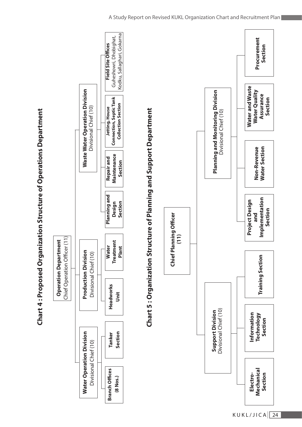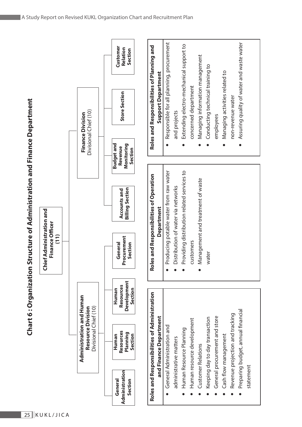| ı                                                       |
|---------------------------------------------------------|
| <b>A FAM A DA DA MEMA A</b><br>)<br> <br>               |
|                                                         |
|                                                         |
|                                                         |
| $\frac{1}{2}$                                           |
|                                                         |
| l                                                       |
| この211 プロホラ<br>֖֚֚֚֚֚֚֚֚֚֚֚֚֚֚֚֚֚֬֡֡֡֡֡֡֡֬֝֬֝֓֡֬֝֬֝֓֬֝֓֬ |
|                                                         |
|                                                         |
|                                                         |
|                                                         |
|                                                         |
|                                                         |
|                                                         |
| ֧֦֧֓֘֝֘֝֘֝׆<br>֧֢֢֚֚֚֞֬֘                                |
|                                                         |
|                                                         |
|                                                         |
|                                                         |
|                                                         |
|                                                         |
|                                                         |
|                                                         |
|                                                         |
|                                                         |
| ì                                                       |
|                                                         |
|                                                         |
|                                                         |
|                                                         |
|                                                         |
|                                                         |
|                                                         |
|                                                         |
|                                                         |
|                                                         |
|                                                         |
| <b>SASSES CHARGES</b>                                   |
|                                                         |
|                                                         |
|                                                         |
|                                                         |
|                                                         |
|                                                         |
| ١                                                       |
|                                                         |
|                                                         |
| )<br>.                                                  |
|                                                         |
|                                                         |
| $\overline{\phantom{a}}$                                |
|                                                         |

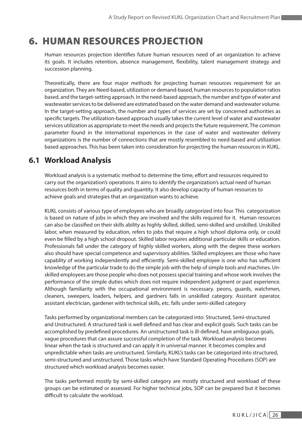# 6. HUMAN RESOURCES PROJECTION

Human resources projection identifies future human resources need of an organization to achieve its goals. It includes retention, absence management, flexibility, talent management strategy and succession planning.

Theoretically, there are four major methods for projecting human resources requirement for an organization. They are Need-based, utilization or demand-based, human resources to population ratios based, and the target-setting approach. In the need-based approach, the number and type of water and wastewater services to be delivered are estimated based on the water demand and wastewater volume. In the target-setting approach, the number and types of services are set by concerned authorities as specific targets. The utilization-based approach usually takes the current level of water and wastewater services utilization as appropriate to meet the needs and projects the future requirement. The common parameter found in the international experiences in the case of water and wastewater delivery organizations is the number of connections that are mostly resembled to need-based and utilization based approaches. This has been taken into consideration for projecting the human resources in KUKL.

## **6.1 Workload Analysis**

Workload analysis is a systematic method to determine the time, effort and resources required to carry out the organization's operations. It aims to identify the organization's actual need of human resources both in terms of quality and quantity. It also develop capacity of human resources to achieve goals and strategies that an organization wants to achieve.

KUKL consists of various type of employees who are broadly categorized into four. This categorization is based on nature of jobs in which they are involved and the skills required for it. Human resources can also be classified on their skills ability as highly skilled, skilled, semi-skilled and unskilled. Unskilled labor, when measured by education, refers to jobs that require a high school diploma only, or could even be filled by a high school dropout. Skilled labor requires additional particular skills or education. Professionals fall under the category of highly skilled workers, along with the degree these workers also should have special competence and supervisory abilities. Skilled employees are those who have capablity of working independently and efficiently. Semi-skilled employee is one who has sufficient knowledge of the particular trade to do the simple job with the help of simple tools and machines. Unskilled employees are those people who does not possess special training and whose work involves the performance of the simple duties which does not require independent judgment or past experience. Although familiarity with the occupational environment is necessary. peons, guards, watchmen, cleaners, sweepers, loaders, helpers, and gardners falls in unskilled category. Assistant operator, assistant electrician, gardener with technical skills, etc. falls under semi-skilled category

Tasks performed by organizational members can be categorized into: Structured, Semi-structured and Unstructured. A structured task is well defined and has clear and explicit goals. Such tasks can be accomplished by predefined procedures. An unstructured task is ill-defined, have ambiguous goals, vague procedures that can assure successful completion of the task. Workload analysis becomes linear when the task is structured and can apply it in universal manner. It becomes complex and unpredictable when tasks are unstructured. Similarly, KUKL's tasks can be categorized into structured, semi-structured and unstructured. Those tasks which have Standard Operating Procedures (SOP) are structured which workload analysis becomes easier.

The tasks performed mostly by semi-skilled category are mostly structured and workload of these groups can be estimated or assessed. For higher technical jobs, SOP can be prepared but it becomes difficult to calculate the workload.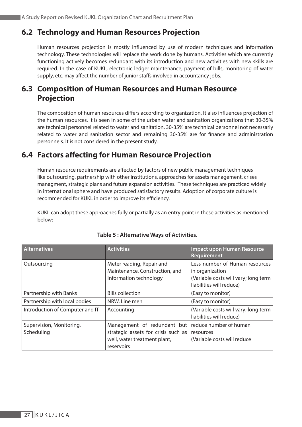## **6.2 Technology and Human Resources Projection**

Human resources projection is mostly influenced by use of modern techniques and information technology. These technologies will replace the work done by humans. Activities which are currently functioning actively becomes redundant with its introduction and new activities with new skills are required. In the case of KUKL, electronic ledger maintenance, payment of bills, monitoring of water supply, etc. may affect the number of junior staffs involved in accountancy jobs.

# **6.3 Composition of Human Resources and Human Resource Projection**

The composition of human resources differs according to organization. It also influences projection of the human resources. It is seen in some of the urban water and sanitation organizations that 30-35% are technical personnel related to water and sanitation, 30-35% are technical personnel not necessariy related to water and sanitation sector and remaining 30-35% are for finance and administration personnels. It is not considered in the present study.

## **6.4 Factors affecting for Human Resource Projection**

Human resource requirements are affected by factors of new public management techniques like outsourcing, partnership with other institutions, approaches for assets management, crises managment, strategic plans and future expansion activities. These techniques are practiced widely in international sphere and have produced satisfactory results. Adoption of corporate culture is recommended for KUKL in order to improve its efficiency.

KUKL can adopt these approaches fully or partially as an entry point in these activities as mentioned below:

| <b>Alternatives</b>                    | <b>Activities</b>                                                                     | <b>Impact upon Human Resource</b><br>Requirement                                                                      |
|----------------------------------------|---------------------------------------------------------------------------------------|-----------------------------------------------------------------------------------------------------------------------|
| Outsourcing                            | Meter reading, Repair and<br>Maintenance, Construction, and<br>Information technology | Less number of Human resources<br>in organization<br>(Variable costs will vary; long term<br>liabilities will reduce) |
| Partnership with Banks                 | <b>Bills collection</b>                                                               | (Easy to monitor)                                                                                                     |
| Partnership with local bodies          | NRW, Line men                                                                         | (Easy to monitor)                                                                                                     |
| Introduction of Computer and IT        | Accounting                                                                            | (Variable costs will vary; long term<br>liabilities will reduce)                                                      |
| Supervision, Monitoring,<br>Scheduling | Management of redundant but<br>strategic assets for crisis such as                    | reduce number of human<br>resources                                                                                   |
|                                        | well, water treatment plant,<br>reservoirs                                            | (Variable costs will reduce                                                                                           |

#### **Table 5 : Alternative Ways of Activities.**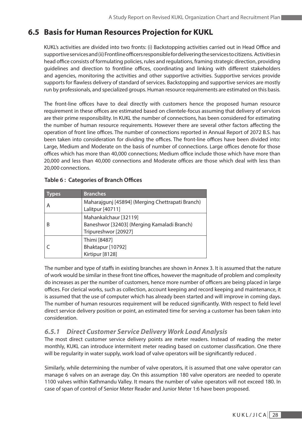# **6.5 Basis for Human Resources Projection for KUKL**

KUKL's activities are divided into two fronts: (i) Backstopping activities carried out in Head Office and supportive services and (ii) Frontline officers responsible for delivering the services to citizens. Activities in head office consists of formulating policies, rules and regulations, framing strategic direction, providing guidelines and direction to frontline offices, coordinating and linking with different stakeholders and agencies, monitoring the activities and other supportive activities. Supportive services provide supports for flawless delivery of standard of services. Backstopping and supportive services are mostly run by professionals, and specialized groups. Human resource requirements are estimated on this basis.

The front-line offices have to deal directly with customers hence the proposed human resource requirement in these offices are estimated based on clientele-focus assuming that delivery of services are their prime responsibility. In KUKL the number of connections, has been considered for estimating the number of human resource requirements. However there are several other factors affecting the operation of front line offices. The number of connections reported in Annual Report of 2072 B.S. has been taken into consideration for dividing the offices. The front-line offices have been divided into: Large, Medium and Moderate on the basis of number of connections. Large offices denote for those offices which has more than 40,000 connections; Medium office include those which have more than 20,000 and less than 40,000 connections and Moderate offices are those which deal with less than 20,000 connections.

| pes | <b>Branches</b>                                                                              |
|-----|----------------------------------------------------------------------------------------------|
|     | Maharajgunj [45894] (Merging Chettrapati Branch)<br>Lalitpur [40711]                         |
|     | Mahankalchaur [32119]<br>Baneshwor [32403] (Merging Kamaladi Branch)<br>Tripureshwor [20927] |
|     | Thimi [8487]<br>Bhaktapur [10792]<br>Kirtipur [8128]                                         |

#### **Table 6 : Categories of Branch Offices**

The number and type of staffs in existing branches are shown in Annex 3. It is assumed that the nature of work would be similar in these front tine offices, however the magnitude of problem and complexity do increases as per the number of customers, hence more number of officers are being placed in large offices. For clerical works, such as collection, account keeping and record keeping and maintenance, it is assumed that the use of computer which has already been started and will improve in coming days. The number of human resources requirement will be reduced significantly. With respect to field level direct service delivery position or point, an estimated time for serving a customer has been taken into consideration.

#### *6.5.1 Direct Customer Service Delivery Work Load Analysis*

The most direct customer service delivery points are meter readers. Instead of reading the meter monthly, KUKL can introduce intermitent meter reading based on customer classification. One there will be regularity in water supply, work load of valve operators will be significantly reduced .

Similarly, while determining the number of valve operators, it is assumed that one valve operator can manage 6 valves on an average day. On this assumption 180 valve operators are needed to operate 1100 valves within Kathmandu Valley. It means the number of valve operators will not exceed 180. In case of span of control of Senior Meter Reader and Junior Meter 1:6 have been proposed.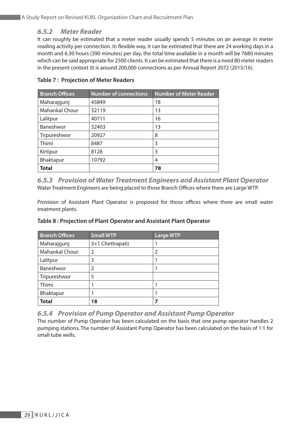#### *6.5.2 Meter Reader*

It can roughly be estimated that a meter reader usually spends 5 minutes on an average in meter reading activity per connection. In flexible way, it can be estimated that there are 24 working days in a month and 6.30 hours (390 minutes) per day, the total time available in a month will be 7680 minutes which can be said appropriate for 2500 clients. It can be estimated that there is a need 80 meter readers in the present context (it is around 200,000 connections as per Annual Report 2072 (2015/16).

| <b>Branch Offices</b> | <b>Number of connections</b> | <b>Number of Meter Reader</b> |
|-----------------------|------------------------------|-------------------------------|
| Maharajgunj           | 45849                        | 18                            |
| <b>Mahankal Chour</b> | 32119                        | 13                            |
| Lalitpur              | 40711                        | 16                            |
| Baneshwor             | 32403                        | 13                            |
| Tripureshwor          | 20927                        | 8                             |
| Thimi                 | 8487                         | 3                             |
| Kirtipur              | 8128                         | 3                             |
| Bhaktapur             | 10792                        | 4                             |
| <b>Total</b>          |                              | 78                            |

#### **Table 7 : Projection of Meter Readers**

*6.5.3 Provision of Water Treatment Engineers and Assistant Plant Operator* Water Treatment Engineers are being placed to those Branch Offices where there are Large WTP.

Provision of Assistant Plant Operator is proposed for those offices where there are small water treatment plants.

| <b>Branch Offices</b> | <b>Small WTP</b> | <b>Large WTP</b> |
|-----------------------|------------------|------------------|
| Maharajgunj           | 3+1 Chettrapati) |                  |
| Mahankal Chour        | 2                | 2                |
| Lalitpur              | 3                |                  |
| Baneshwor             | $\overline{2}$   |                  |
| Tripureshwor          | 5                |                  |
| Thimi                 |                  |                  |
| Bhaktapur             |                  |                  |
| <b>Total</b>          | 18               |                  |

#### **Table 8 : Projection of Plant Operator and Assistant Plant Operator**

#### *6.5.4 Provision of Pump Operator and Assistant Pump Operator*

The number of Pump Operator has been calculated on the basis that one pump operator handles 2 pumping stations. The number of Assistant Pump Operator has been calculated on the basis of 1:1 for small tube wells.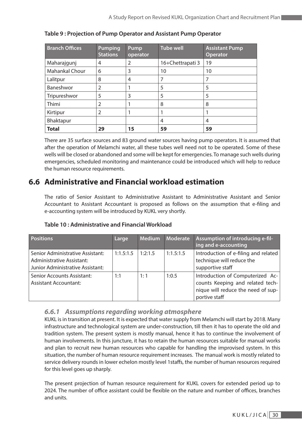| <b>Branch Offices</b> | <b>Pumping</b><br><b>Stations</b> | Pump<br>operator | <b>Tube well</b> | <b>Assistant Pump</b><br><b>Operator</b> |
|-----------------------|-----------------------------------|------------------|------------------|------------------------------------------|
| Maharajgunj           | 4                                 | $\overline{2}$   | 16+Chettrapati 3 | 19                                       |
| <b>Mahankal Chour</b> | 6                                 | 3                | 10               | 10                                       |
| Lalitpur              | 8                                 | 4                | 7                | 7                                        |
| Baneshwor             | $\overline{2}$                    |                  | 5                | 5                                        |
| Tripureshwor          | 5                                 | 3                | 5                | 5                                        |
| Thimi                 | 2                                 |                  | 8                | 8                                        |
| Kirtipur              | 2                                 |                  |                  |                                          |
| Bhaktapur             |                                   |                  | 4                | 4                                        |
| <b>Total</b>          | 29                                | 15               | 59               | 59                                       |

#### **Table 9 : Projection of Pump Operator and Assistant Pump Operator**

There are 35 surface sources and 83 ground water sources having pump operators. It is assumed that after the operation of Melamchi water, all these tubes well need not to be operated. Some of these wells will be closed or abandoned and some will be kept for emergencies. To manage such wells during emergencies, scheduled monitoring and maintenance could be introduced which will help to reduce the human resource requirements.

# **6.6 Administrative and Financial workload estimation**

The ratio of Senior Assistant to Administrative Assistant to Administrative Assistant and Senior Accountant to Assistant Accountant is proposed as follows on the assumption that e-filing and e-accounting system will be introduced by KUKL very shortly.

| <b>Positions</b>                                                                                  | Large     | <b>Medium</b> | <b>Moderate</b> | Assumption of introducing e-fil-<br>ing and e-accounting                                                                    |
|---------------------------------------------------------------------------------------------------|-----------|---------------|-----------------|-----------------------------------------------------------------------------------------------------------------------------|
| Senior Administrative Assistant:<br>Administrative Assistant:<br>Junior Administrative Assistant: | 1:1.5:1.5 | 1:2:1.5       | 1:1.5:1.5       | Introduction of e-filing and related<br>technique will reduce the<br>supportive staff                                       |
| Senior Accounts Assistant:<br><b>Assistant Accountant:</b>                                        | 1:1       | 1:1           | 1:0.5           | Introduction of Computerized Ac-<br>counts Keeping and related tech-<br>nique will reduce the need of sup-<br>portive staff |

#### **Table 10 : Administrative and Financial Workload**

#### *6.6.1 Assumptions regarding working atmosphere*

KUKL is in transition at present. It is expected that water supply from Melamchi will start by 2018. Many infrastructure and technological system are under-construction, till then it has to operate the old and tradition system. The present system is mostly manual, hence it has to continue the involvement of human involvements. In this juncture, it has to retain the human resources suitable for manual works and plan to recruit new human resources who capable for handling the improvised system. In this situation, the number of human resource requirement increases. The manual work is mostly related to service delivery rounds in lower echelon mostly level 1staffs, the number of human resources required for this level goes up sharply.

The present projection of human resource requirement for KUKL covers for extended period up to 2024. The number of office assistant could be flexible on the nature and number of offices, branches and units.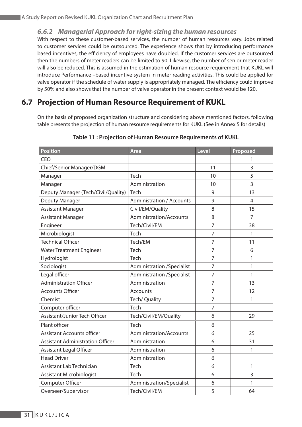#### *6.6.2 Managerial Approach for right-sizing the human resources*

With respect to these customer-based services, the number of human resources vary. Jobs related to customer services could be outsourced. The experience shows that by introducing performance based incentives, the efficiency of employees have doubled. If the customer services are outsourced then the numbers of meter readers can be limited to 90. Likewise, the number of senior meter reader will also be reduced. This is assumed in the estimation of human resource requirement that KUKL will introduce Performance –based incentive system in meter reading activities. This could be applied for valve operator if the schedule of water supply is appropriately managed. The efficiency could improve by 50% and also shows that the number of valve operator in the present context would be 120.

## **6.7 Projection of Human Resource Requirement of KUKL**

On the basis of proposed organization structure and considering above mentioned factors, following table presents the projection of human resource requirements for KUKL (See in Annex 5 for details)

| <b>Position</b>                         | <b>Area</b>                       | Level          | Proposed |
|-----------------------------------------|-----------------------------------|----------------|----------|
| <b>CEO</b>                              |                                   |                | 1        |
| Chief/Senior Manager/DGM                |                                   | 11             | 3        |
| Manager                                 | <b>Tech</b>                       | 10             | 5        |
| Manager                                 | Administration                    | 10             | 3        |
| Deputy Manager (Tech/Civil/Quality)     | Tech                              | 9              | 13       |
| Deputy Manager                          | <b>Administration / Accounts</b>  | 9              | 4        |
| <b>Assistant Manager</b>                | Civil/EM/Quality                  | 8              | 15       |
| <b>Assistant Manager</b>                | Administration/Accounts           | 8              | 7        |
| Engineer                                | Tech/Civil/EM                     | $\overline{7}$ | 38       |
| Microbiologist                          | Tech                              | $\overline{7}$ | 1        |
| <b>Technical Officer</b>                | Tech/EM                           | $\overline{7}$ | 11       |
| <b>Water Treatment Engineer</b>         | Tech                              | $\overline{7}$ | 6        |
| Hydrologist                             | Tech                              | $\overline{7}$ | 1        |
| Sociologist                             | <b>Administration /Specialist</b> | $\overline{7}$ | 1        |
| Legal officer                           | <b>Administration /Specialist</b> | $\overline{7}$ | 1        |
| <b>Administration Officer</b>           | Administration                    | $\overline{7}$ | 13       |
| <b>Accounts Officer</b>                 | <b>Accounts</b>                   | $\overline{7}$ | 12       |
| Chemist                                 | Tech/ Quality                     | $\overline{7}$ | 1        |
| Computer officer                        | Tech                              | $\overline{7}$ |          |
| Assistant/Junior Tech Officer           | Tech/Civil/EM/Quality             | 6              | 29       |
| Plant officer                           | Tech                              | 6              |          |
| <b>Assistant Accounts officer</b>       | Administration/Accounts           | 6              | 25       |
| <b>Assistant Administration Officer</b> | Administration                    | 6              | 31       |
| <b>Assistant Legal Officer</b>          | Administration                    | 6              | 1        |
| <b>Head Driver</b>                      | Administration                    | 6              |          |
| Assistant Lab Technician                | Tech                              | 6              | 1        |
| <b>Assistant Microbiologist</b>         | Tech                              | 6              | 3        |
| Computer Officer                        | Administration/Specialist         | 6              | 1        |
| Overseer/Supervisor                     | Tech/Civil/EM                     | 5              | 64       |

#### **Table 11 : Projection of Human Resource Requirements of KUKL**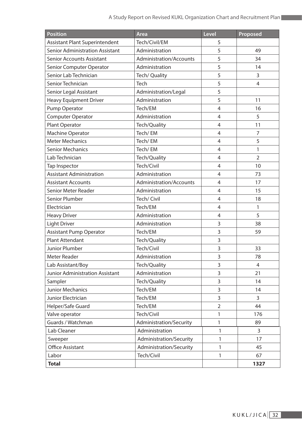| <b>Position</b>                        | Area                    | Level          | Proposed       |
|----------------------------------------|-------------------------|----------------|----------------|
| Assistant Plant Superintendent         | Tech/Civil/EM           | 5              |                |
| <b>Senior Administration Assistant</b> | Administration          | 5              | 49             |
| <b>Senior Accounts Assistant</b>       | Administration/Accounts | 5              | 34             |
| Senior Computer Operator               | Administration          | 5              | 14             |
| Senior Lab Technician                  | Tech/ Quality           | 5              | 3              |
| Senior Technician                      | Tech                    | 5              | 4              |
| Senior Legal Assistant                 | Administration/Legal    | 5              |                |
| <b>Heavy Equipment Driver</b>          | Administration          | 5              | 11             |
| Pump Operator                          | Tech/EM                 | $\overline{4}$ | 16             |
| Computer Operator                      | Administration          | 4              | 5              |
| Plant Operator                         | Tech/Quality            | $\overline{4}$ | 11             |
| Machine Operator                       | Tech/EM                 | $\overline{4}$ | 7              |
| <b>Meter Mechanics</b>                 | Tech/EM                 | $\overline{4}$ | 5              |
| <b>Senior Mechanics</b>                | Tech/EM                 | 4              | 1              |
| Lab Technician                         | Tech/Quality            | $\overline{4}$ | $\overline{2}$ |
| Tap Inspector                          | Tech/Civil              | $\overline{4}$ | 10             |
| <b>Assistant Administration</b>        | Administration          | 4              | 73             |
| <b>Assistant Accounts</b>              | Administration/Accounts | $\overline{4}$ | 17             |
| Senior Meter Reader                    | Administration          | $\overline{4}$ | 15             |
| Senior Plumber                         | Tech/ Civil             | $\overline{4}$ | 18             |
| Electrician                            | Tech/EM                 | $\overline{4}$ | 1              |
| <b>Heavy Driver</b>                    | Administration          | 4              | 5              |
| <b>Light Driver</b>                    | Administration          | 3              | 38             |
| <b>Assistant Pump Operator</b>         | Tech/EM                 | 3              | 59             |
| <b>Plant Attendant</b>                 | Tech/Quality            | 3              |                |
| Junior Plumber                         | Tech/Civil              | 3              | 33             |
| Meter Reader                           | Administration          | 3              | 78             |
| Lab Assistant/Boy                      | Tech/Quality            | 3              | 4              |
| Junior Administration Assistant        | Administration          | 3              | 21             |
| Sampler                                | Tech/Quality            | 3              | 14             |
| Junior Mechanics                       | Tech/EM                 | 3              | 14             |
| Junior Electrician                     | Tech/EM                 | 3              | 3              |
| Helper/Safe Guard                      | Tech/EM                 | $\overline{2}$ | 44             |
| Valve operator                         | Tech/Civil              | 1              | 176            |
| Guards / Watchman                      | Administration/Security | 1              | 89             |
| Lab Cleaner                            | Administration          | 1              | 3              |
| Sweeper                                | Administration/Security | 1              | 17             |
| <b>Office Assistant</b>                | Administration/Security | 1              | 45             |
| Labor                                  | Tech/Civil              | 1              | 67             |
| <b>Total</b>                           |                         |                | 1327           |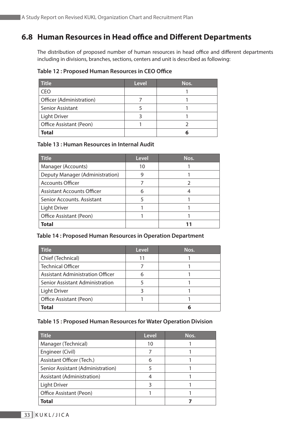# **6.8 Human Resources in Head office and Different Departments**

The distribution of proposed number of human resources in head office and different departments including in divisions, branches, sections, centers and unit is described as following:

#### **Table 12 : Proposed Human Resources in CEO Office**

| <b>Title</b>             | <b>Level</b> | Nos. |
|--------------------------|--------------|------|
| CEO                      |              |      |
| Officer (Administration) |              |      |
| Senior Assistant         |              |      |
| <b>Light Driver</b>      |              |      |
| Office Assistant (Peon)  |              |      |
| <b>Total</b>             |              |      |

#### **Table 13 : Human Resources in Internal Audit**

| <b>Title</b>                    | <b>Level</b> | Nos. |
|---------------------------------|--------------|------|
| Manager (Accounts)              | 10           |      |
| Deputy Manager (Administration) | 9            |      |
| <b>Accounts Officer</b>         |              |      |
| Assistant Accounts Officer      | 6            |      |
| Senior Accounts. Assistant      |              |      |
| <b>Light Driver</b>             |              |      |
| Office Assistant (Peon)         |              |      |
| <b>Total</b>                    |              |      |

#### **Table 14 : Proposed Human Resources in Operation Department**

| <b>Title</b>                            | Level | Nos. |
|-----------------------------------------|-------|------|
| Chief (Technical)                       | 11    |      |
| <b>Technical Officer</b>                |       |      |
| <b>Assistant Administration Officer</b> | 6     |      |
| Senior Assistant Administration         |       |      |
| <b>Light Driver</b>                     |       |      |
| Office Assistant (Peon)                 |       |      |
| <b>Total</b>                            |       |      |

#### **Table 15 : Proposed Human Resources for Water Operation Division**

| <b>Title</b>                      | <b>Level</b> | Nos. |
|-----------------------------------|--------------|------|
| Manager (Technical)               | 10           |      |
| Engineer (Civil)                  |              |      |
| Assistant Officer (Tech.)         | 6            |      |
| Senior Assistant (Administration) |              |      |
| Assistant (Administration)        |              |      |
| <b>Light Driver</b>               |              |      |
| Office Assistant (Peon)           |              |      |
| <b>Total</b>                      |              |      |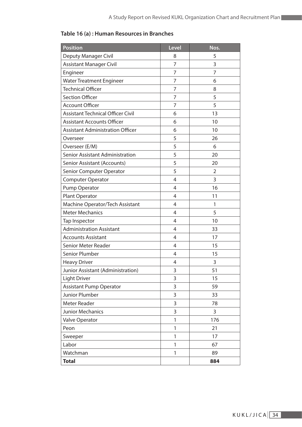| <b>Position</b>                          | <b>Level</b>   | Nos. |
|------------------------------------------|----------------|------|
| <b>Deputy Manager Civil</b>              | 8              | 5    |
| <b>Assistant Manager Civil</b>           | 7              | 3    |
| Engineer                                 | 7              | 7    |
| <b>Water Treatment Engineer</b>          | $\overline{7}$ | 6    |
| <b>Technical Officer</b>                 | 7              | 8    |
| <b>Section Officer</b>                   | 7              | 5    |
| <b>Account Officer</b>                   | 7              | 5    |
| <b>Assistant Technical Officer Civil</b> | 6              | 13   |
| <b>Assistant Accounts Officer</b>        | 6              | 10   |
| <b>Assistant Administration Officer</b>  | 6              | 10   |
| Overseer                                 | 5              | 26   |
| Overseer (E/M)                           | 5              | 6    |
| <b>Senior Assistant Administration</b>   | 5              | 20   |
| <b>Senior Assistant (Accounts)</b>       | 5              | 20   |
| Senior Computer Operator                 | 5              | 2    |
| <b>Computer Operator</b>                 | $\overline{4}$ | 3    |
| Pump Operator                            | $\overline{4}$ | 16   |
| Plant Operator                           | 4              | 11   |
| Machine Operator/Tech Assistant          | 4              | 1    |
| <b>Meter Mechanics</b>                   | $\overline{4}$ | 5    |
| Tap Inspector                            | 4              | 10   |
| <b>Administration Assistant</b>          | $\overline{4}$ | 33   |
| <b>Accounts Assistant</b>                | $\overline{4}$ | 17   |
| Senior Meter Reader                      | $\overline{4}$ | 15   |
| Senior Plumber                           | $\overline{4}$ | 15   |
| <b>Heavy Driver</b>                      | 4              | 3    |
| Junior Assistant (Administration)        | 3              | 51   |
| Light Driver                             | 3              | 15   |
| <b>Assistant Pump Operator</b>           | 3              | 59   |
| <b>Junior Plumber</b>                    | 3              | 33   |
| Meter Reader                             | 3              | 78   |
| Junior Mechanics                         | 3              | 3    |
| Valve Operator                           | 1              | 176  |
| Peon                                     | 1              | 21   |
| Sweeper                                  | 1              | 17   |
| Labor                                    | 1              | 67   |
| Watchman                                 | 1              | 89   |
| <b>Total</b>                             |                | 884  |

### **Table 16 (a) : Human Resources in Branches**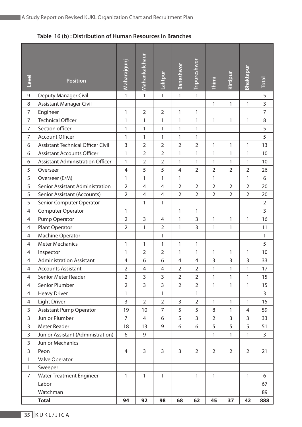#### **Table 16 (b) : Distribution of Human Resources in Branches**

| Level          | <b>Position</b>                         | Maharajgunj    | Mahankalchaur  | Lalitpur       | Baneshwor      | Tripureshwor   | Thimi          | Kirtipur       | Bhaktapuı      | <b>Total</b>   |
|----------------|-----------------------------------------|----------------|----------------|----------------|----------------|----------------|----------------|----------------|----------------|----------------|
| 9              | Deputy Manager Civil                    | $\mathbf{1}$   | $\mathbf{1}$   | 1              | $\mathbf{1}$   | 1              |                |                |                | 5              |
| 8              | Assistant Manager Civil                 |                |                |                |                |                | 1              | $\mathbf{1}$   | 1              | 3              |
| $\overline{7}$ | Engineer                                | 1              | $\overline{2}$ | $\overline{2}$ | 1              | 1              |                |                |                | $\overline{7}$ |
| $\overline{7}$ | <b>Technical Officer</b>                | 1              | 1              | 1              | 1              | 1              | 1              | 1              | 1              | $\,8\,$        |
| $\overline{7}$ | Section officer                         | 1              | 1              | 1              | 1              | 1              |                |                |                | 5              |
| $\overline{7}$ | <b>Account Officer</b>                  | 1              | 1              | 1              | 1              | 1              |                |                |                | 5              |
| 6              | Assistant Technical Officer Civil       | $\overline{3}$ | $\overline{2}$ | $\overline{2}$ | $\overline{2}$ | $\overline{2}$ | 1              | 1              | $\mathbf{1}$   | 13             |
| 6              | <b>Assistant Accounts Officer</b>       | 1              | $\overline{2}$ | $\overline{2}$ | 1              | 1              | 1              | $\mathbf{1}$   | $\mathbf{1}$   | 10             |
| 6              | <b>Assistant Administration Officer</b> | 1              | $\overline{2}$ | $\overline{2}$ | 1              | 1              | 1              | 1              | 1              | 10             |
| 5              | Overseer                                | $\overline{4}$ | 5              | 5              | $\overline{4}$ | $\overline{2}$ | $\overline{2}$ | $\overline{2}$ | $\overline{2}$ | 26             |
| 5              | Overseer (E/M)                          | 1              | 1              | 1              | 1              |                | 1              |                | $\mathbf{1}$   | 6              |
| 5              | Senior Assistant Administration         | $\overline{2}$ | 4              | $\overline{4}$ | $\overline{2}$ | $\overline{2}$ | $\overline{2}$ | $\overline{2}$ | $\overline{2}$ | 20             |
| 5              | Senior Assistant (Accounts)             | $\overline{2}$ | $\overline{4}$ | $\overline{4}$ | $\overline{2}$ | $\overline{2}$ | $\overline{2}$ | $\overline{2}$ | $\overline{2}$ | 20             |
| 5              | Senior Computer Operator                |                | $\mathbf{1}$   | 1              |                |                |                |                |                | $\overline{2}$ |
| $\overline{4}$ | Computer Operator                       | 1              |                |                | 1              | 1              |                |                |                | $\overline{3}$ |
| $\overline{4}$ | Pump Operator                           | $\overline{2}$ | 3              | $\overline{4}$ | 1              | 3              | 1              | $\mathbf{1}$   | 1              | 16             |
| $\overline{4}$ | Plant Operator                          | $\overline{2}$ | $\mathbf{1}$   | 2              | 1              | 3              | 1              | 1              |                | 11             |
| $\overline{4}$ | Machine Operator                        |                |                | 1              |                |                |                |                |                | $\mathbf{1}$   |
| 4              | <b>Meter Mechanics</b>                  | 1              | 1              | 1              | 1              | 1              |                |                |                | 5              |
| $\overline{4}$ | Inspector                               | 1              | $\overline{2}$ | $\overline{2}$ | 1              | 1              | 1              | $\mathbf{1}$   | 1              | 10             |
| $\overline{4}$ | <b>Administration Assistant</b>         | $\overline{4}$ | 6              | 6              | $\overline{4}$ | 4              | 3              | 3              | 3              | 33             |
| 4              | <b>Accounts Assistant</b>               | $\overline{2}$ | 4              | 4              | $\overline{2}$ | $\overline{2}$ | 1              | $\mathbbm{1}$  | $\mathbf{1}$   | 17             |
| 4              | Senior Meter Reader                     | $\overline{2}$ | $\overline{3}$ | 3              | $\overline{2}$ | $\overline{2}$ | 1              | 1              | 1              | 15             |
| $\overline{4}$ | Senior Plumber                          | $\overline{2}$ | 3              | 3              | $\overline{2}$ | $\overline{2}$ | 1              | $\mathbf{1}$   | $\mathbf{1}$   | 15             |
| 4              | <b>Heavy Driver</b>                     | 1              |                | 1              |                | 1              |                |                |                | 3              |
| 4              | <b>Light Driver</b>                     | $\mathsf{3}$   | $\overline{2}$ | $\overline{2}$ | 3              | $\overline{2}$ | 1              | 1              | $\mathbf{1}$   | 15             |
| 3              | <b>Assistant Pump Operator</b>          | 19             | 10             | 7              | 5              | 5              | 8              | 1              | 4              | 59             |
| $\mathsf{3}$   | Junior Plumber                          | $\overline{7}$ | $\overline{4}$ | 6              | 5              | 3              | $\overline{2}$ | 3              | 3              | 33             |
| $\mathsf{3}$   | Meter Reader                            | 18             | 13             | 9              | 6              | 6              | 5              | 5              | 5              | 51             |
| $\mathsf{3}$   | Junior Assistant (Administration)       | 6              | 9              |                |                |                | 1              | 1              | 1              | 3              |
| 3              | Junior Mechanics                        |                |                |                |                |                |                |                |                |                |
| $\mathsf{3}$   | Peon                                    | 4              | $\overline{3}$ | $\overline{3}$ | $\overline{3}$ | $\overline{2}$ | $\overline{2}$ | $\overline{2}$ | $\overline{2}$ | 21             |
| 1              | Valve Operator                          |                |                |                |                |                |                |                |                |                |
| 1              | Sweeper                                 |                |                |                |                |                |                |                |                |                |
| $\overline{7}$ | <b>Water Treatment Engineer</b>         | $\mathbf{1}$   | $\mathbf{1}$   | $\mathbf{1}$   |                | $\mathbf{1}$   | 1              |                | $\mathbf{1}$   | 6              |
|                | Labor                                   |                |                |                |                |                |                |                |                | 67             |
|                | Watchman                                |                |                |                |                |                |                |                |                | 89             |
|                | <b>Total</b>                            | 94             | 92             | 98             | 68             | 62             | 45             | 37             | 42             | 888            |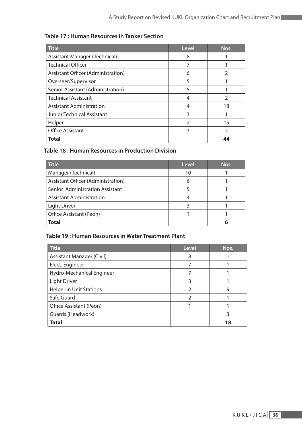| <b>Title</b>                       | <b>Level</b>   | Nos.          |
|------------------------------------|----------------|---------------|
| Assistant Manager (Technical)      | 8              |               |
| <b>Technical Officer</b>           | 7              |               |
| Assistant Officer (Administration) | 6              | $\mathcal{P}$ |
| Overseer/Supervisor                | 5              |               |
| Senior Assistant (Administration)  | 5              |               |
| <b>Technical Assistant</b>         | 4              | $\mathcal{P}$ |
| <b>Assistant Administration</b>    | 4              | 18            |
| Junior Technical Assistant         | 3              |               |
| Helper                             | $\mathfrak{D}$ | 15            |
| <b>Office Assistant</b>            |                | $\mathcal{P}$ |
| <b>Total</b>                       |                | 44            |

#### **Table 17 : Human Resources in Tanker Section**

#### **Table 18 : Human Resources in Production Division**

| <b>Title</b>                       | <b>Level</b> | Nos. |
|------------------------------------|--------------|------|
| Manager (Technical)                | 10           |      |
| Assistant Officer (Administration) | 6            |      |
| Senior Administration Assistant    |              |      |
| <b>Assistant Administration</b>    |              |      |
| <b>Light Driver</b>                |              |      |
| Office Assistant (Peon)            |              |      |
| <b>Total</b>                       |              |      |

#### **Table 19 : Human Resources in Water Treatment Plant**

| <b>Title</b>                   | <b>Level</b> | Nos. |
|--------------------------------|--------------|------|
| Assistant Manager (Civil)      | 8            |      |
| Elect. Engineer                | 7            |      |
| Hydro-Mechanical Engineer      |              |      |
| <b>Light Driver</b>            | 3            |      |
| <b>Helper in Unit Stations</b> | 2            | 9    |
| Safe Guard                     | 2            |      |
| Office Assistant (Peon)        |              |      |
| Guards (Headwork)              |              | 3    |
| <b>Total</b>                   |              | 18   |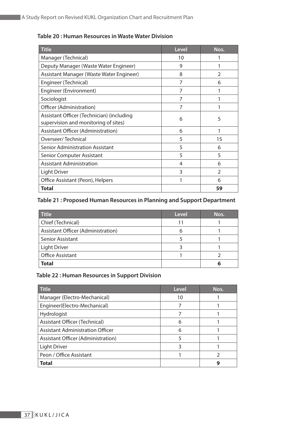| <b>Title</b>                              | <b>Level</b> | Nos.           |
|-------------------------------------------|--------------|----------------|
| Manager (Technical)                       | 10           |                |
| Deputy Manager (Waste Water Engineer)     | 9            |                |
| Assistant Manager (Waste Water Engineer)  | 8            | $\overline{2}$ |
| Engineer (Technical)                      | 7            | 6              |
| Engineer (Environment)                    | 7            | 1              |
| Sociologist                               | 7            |                |
| Officer (Administration)                  | 7            |                |
| Assistant Officer (Technician) (including | 6            | 5              |
| supervision and monitoring of sites)      |              |                |
| Assistant Officer (Administration)        | 6            | 1              |
| Overseer/Technical                        | 5            | 15             |
| <b>Senior Administration Assistant</b>    | 5            | 6              |
| <b>Senior Computer Assistant</b>          | 5            | 5              |
| <b>Assistant Administration</b>           | 4            | 6              |
| <b>Light Driver</b>                       | 3            | $\overline{2}$ |
| Office Assistant (Peon), Helpers          | 1            | 6              |
| Total                                     |              | 59             |

#### **Table 20 : Human Resources in Waste Water Division**

#### **Table 21 : Proposed Human Resources in Planning and Support Department**

| <b>Title</b>                              | Level | Nos. |
|-------------------------------------------|-------|------|
| Chief (Technical)                         | 11    |      |
| <b>Assistant Officer (Administration)</b> | 6     |      |
| <b>Senior Assistant</b>                   |       |      |
| <b>Light Driver</b>                       |       |      |
| <b>Office Assistant</b>                   |       |      |
| <b>Total</b>                              |       | 6    |

#### **Table 22 : Human Resources in Support Division**

| <b>Title</b>                            | Level | Nos. |
|-----------------------------------------|-------|------|
| Manager (Electro-Mechanical)            | 10    |      |
| Engineer(Electro-Mechanical)            |       |      |
| Hydrologist                             |       |      |
| Assistant Officer (Technical)           | 6     |      |
| <b>Assistant Administration Officer</b> | 6     |      |
| Assistant Officer (Administration)      |       |      |
| <b>Light Driver</b>                     | ੨     |      |
| Peon / Office Assistant                 |       |      |
| <b>Total</b>                            |       |      |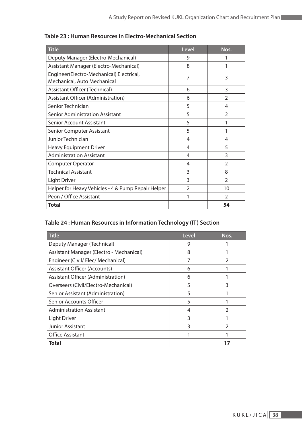| <b>Title</b>                                                            | <b>Level</b>   | Nos.           |
|-------------------------------------------------------------------------|----------------|----------------|
| Deputy Manager (Electro-Mechanical)                                     | 9              | 1              |
| Assistant Manager (Electro-Mechanical)                                  | 8              | 1              |
| Engineer(Electro-Mechanical) Electrical,<br>Mechanical, Auto Mechanical | 7              | 3              |
| Assistant Officer (Technical)                                           | 6              | 3              |
| Assistant Officer (Administration)                                      | 6              | $\overline{2}$ |
| Senior Technician                                                       | 5              | 4              |
| <b>Senior Administration Assistant</b>                                  | 5              | $\mathcal{P}$  |
| <b>Senior Account Assistant</b>                                         | 5              | 1              |
| <b>Senior Computer Assistant</b>                                        | 5              | 1              |
| Junior Technician                                                       | 4              | 4              |
| <b>Heavy Equipment Driver</b>                                           | 4              | 5              |
| <b>Administration Assistant</b>                                         | 4              | 3              |
| <b>Computer Operator</b>                                                | 4              | $\overline{2}$ |
| <b>Technical Assistant</b>                                              | 3              | 8              |
| <b>Light Driver</b>                                                     | 3              | $\overline{2}$ |
| Helper for Heavy Vehicles - 4 & Pump Repair Helper                      | $\overline{2}$ | 10             |
| Peon / Office Assistant                                                 |                | $\mathcal{P}$  |
| <b>Total</b>                                                            |                | 54             |

#### **Table 23 : Human Resources in Electro-Mechanical Section**

# **Table 24 : Human Resources in Information Technology (IT) Section**

| <b>Title</b>                             | <b>Level</b> | Nos.          |
|------------------------------------------|--------------|---------------|
| Deputy Manager (Technical)               | 9            |               |
| Assistant Manager (Electro - Mechanical) | 8            |               |
| Engineer (Civil/ Elec/ Mechanical)       | 7            | C             |
| <b>Assistant Officer (Accounts)</b>      | 6            |               |
| Assistant Officer (Administration)       | 6            |               |
| Overseers (Civil/Electro-Mechanical)     | 5            | 3             |
| Senior Assistant (Administration)        | 5            |               |
| Senior Accounts Officer                  | 5            |               |
| <b>Administration Assistant</b>          | 4            | C             |
| <b>Light Driver</b>                      | 3            |               |
| <b>Junior Assistant</b>                  | 3            | $\mathcal{P}$ |
| <b>Office Assistant</b>                  |              |               |
| Total                                    |              |               |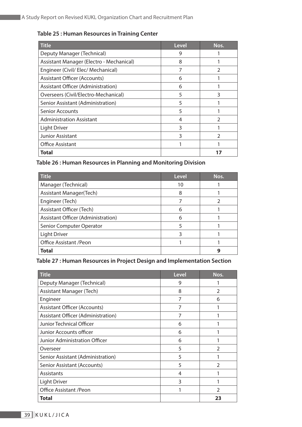| <b>Title</b>                             | Level | Nos. |
|------------------------------------------|-------|------|
| Deputy Manager (Technical)               | 9     |      |
| Assistant Manager (Electro - Mechanical) | 8     |      |
| Engineer (Civil/ Elec/ Mechanical)       |       | C    |
| <b>Assistant Officer (Accounts)</b>      | 6     |      |
| Assistant Officer (Administration)       | 6     |      |
| Overseers (Civil/Electro-Mechanical)     | 5     | 3    |
| Senior Assistant (Administration)        | 5     |      |
| <b>Senior Accounts</b>                   | 5     |      |
| <b>Administration Assistant</b>          | 4     | フ    |
| <b>Light Driver</b>                      | 3     |      |
| <b>Junior Assistant</b>                  | 3     | C    |
| <b>Office Assistant</b>                  |       |      |
| Total                                    |       |      |

#### **Table 25 : Human Resources in Training Center**

#### **Table 26 : Human Resources in Planning and Monitoring Division**

| <b>Title</b>                       | Level | Nos. |
|------------------------------------|-------|------|
| Manager (Technical)                | 10    |      |
| <b>Assistant Manager(Tech)</b>     | 8     |      |
| Engineer (Tech)                    |       |      |
| <b>Assistant Officer (Tech)</b>    | 6     |      |
| Assistant Officer (Administration) | 6     |      |
| Senior Computer Operator           | 5     |      |
| <b>Light Driver</b>                | ੨     |      |
| Office Assistant / Peon            |       |      |
| <b>Total</b>                       |       | g    |

#### **Table 27 : Human Resources in Project Design and Implementation Section**

| <b>Title</b>                        | <b>Level</b> | Nos.           |
|-------------------------------------|--------------|----------------|
| Deputy Manager (Technical)          | 9            |                |
| Assistant Manager (Tech)            | 8            | $\overline{2}$ |
| Engineer                            | 7            | 6              |
| <b>Assistant Officer (Accounts)</b> | 7            |                |
| Assistant Officer (Administration)  | 7            |                |
| Junior Technical Officer            | 6            |                |
| Junior Accounts officer             | 6            |                |
| Junior Administration Officer       | 6            |                |
| Overseer                            | 5            | $\overline{2}$ |
| Senior Assistant (Administration)   | 5            |                |
| Senior Assistant (Accounts)         | 5            | C              |
| Assistants                          | 4            |                |
| Light Driver                        | 3            |                |
| <b>Office Assistant /Peon</b>       |              | $\mathfrak{D}$ |
| Total                               |              | 23             |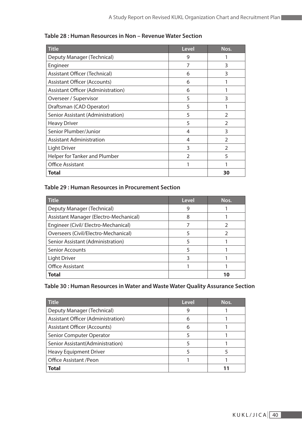| <b>Title</b>                        | <b>Level</b>   | Nos.           |
|-------------------------------------|----------------|----------------|
| Deputy Manager (Technical)          | 9              |                |
| Engineer                            | 7              | 3              |
| Assistant Officer (Technical)       | 6              | 3              |
| <b>Assistant Officer (Accounts)</b> | 6              |                |
| Assistant Officer (Administration)  | 6              |                |
| Overseer / Supervisor               | 5              | 3              |
| Draftsman (CAD Operator)            | 5              |                |
| Senior Assistant (Administration)   | 5              | $\mathfrak{D}$ |
| <b>Heavy Driver</b>                 | 5              | $\mathcal{P}$  |
| Senior Plumber/Junior               | 4              | 3              |
| <b>Assistant Administration</b>     | 4              | $\mathcal{P}$  |
| <b>Light Driver</b>                 | 3              | $\overline{2}$ |
| Helper for Tanker and Plumber       | $\overline{2}$ | 5              |
| <b>Office Assistant</b>             |                |                |
| Total                               |                | 30             |

#### **Table 28 : Human Resources in Non – Revenue Water Section**

#### **Table 29 : Human Resources in Procurement Section**

| <b>Title</b>                           | <b>Level</b> | Nos. |
|----------------------------------------|--------------|------|
| Deputy Manager (Technical)             | 9            |      |
| Assistant Manager (Electro-Mechanical) | 8            |      |
| Engineer (Civil/ Electro-Mechanical)   |              |      |
| Overseers (Civil/Electro-Mechanical)   | 5            |      |
| Senior Assistant (Administration)      | 5            |      |
| <b>Senior Accounts</b>                 | 5            |      |
| <b>Light Driver</b>                    | 3            |      |
| <b>Office Assistant</b>                |              |      |
| <b>Total</b>                           |              | 10   |

#### **Table 30 : Human Resources in Water and Waste Water Quality Assurance Section**

| <b>Title</b>                        | Level | Nos. |
|-------------------------------------|-------|------|
| Deputy Manager (Technical)          | 9     |      |
| Assistant Officer (Administration)  | 6     |      |
| <b>Assistant Officer (Accounts)</b> | 6     |      |
| Senior Computer Operator            | 5     |      |
| Senior Assistant(Administration)    |       |      |
| <b>Heavy Equipment Driver</b>       |       |      |
| <b>Office Assistant /Peon</b>       |       |      |
| <b>Total</b>                        |       |      |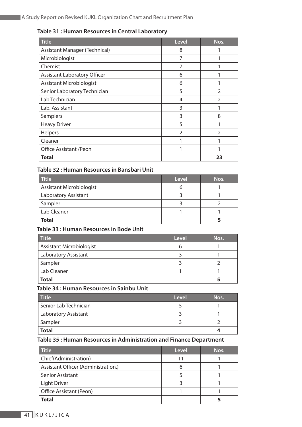#### **Table 31 : Human Resources in Central Laboratory**

| Title                               | <b>Level</b> | Nos.           |
|-------------------------------------|--------------|----------------|
| Assistant Manager (Technical)       | 8            |                |
| Microbiologist                      | 7            |                |
| Chemist                             | 7            |                |
| <b>Assistant Laboratory Officer</b> | 6            |                |
| Assistant Microbiologist            | 6            |                |
| Senior Laboratory Technician        | 5            | $\mathfrak{D}$ |
| Lab Technician                      | 4            | フ              |
| Lab. Assistant                      | 3            |                |
| Samplers                            | 3            | 8              |
| <b>Heavy Driver</b>                 | 5            |                |
| Helpers                             | 2            | 2              |
| Cleaner                             |              |                |
| Office Assistant / Peon             |              |                |
| Total                               |              | 23             |

#### **Table 32 : Human Resources in Bansbari Unit**

| <b>Title</b>                | Level | Nos. |
|-----------------------------|-------|------|
| Assistant Microbiologist    |       |      |
| <b>Laboratory Assistant</b> |       |      |
| Sampler                     |       |      |
| Lab Cleaner                 |       |      |
| <b>Total</b>                |       |      |

#### **Table 33 : Human Resources in Bode Unit**

| <b>Title</b>                    | <b>Level</b> | Nos. |
|---------------------------------|--------------|------|
| <b>Assistant Microbiologist</b> |              |      |
| Laboratory Assistant            |              |      |
| Sampler                         |              |      |
| Lab Cleaner                     |              |      |
| <b>Total</b>                    |              |      |

#### **Table 34 : Human Resources in Sainbu Unit**

| <b>Title</b>                | Level | Nos. |
|-----------------------------|-------|------|
| Senior Lab Technician       |       |      |
| <b>Laboratory Assistant</b> |       |      |
| Sampler                     |       |      |
| <b>Total</b>                |       |      |

#### **Table 35 : Human Resources in Administration and Finance Department**

| <b>Title</b>                        | Level | Nos. |
|-------------------------------------|-------|------|
| Chief(Administration)               | 11    |      |
| Assistant Officer (Administration.) |       |      |
| <b>Senior Assistant</b>             |       |      |
| <b>Light Driver</b>                 |       |      |
| Office Assistant (Peon)             |       |      |
| <b>Total</b>                        |       |      |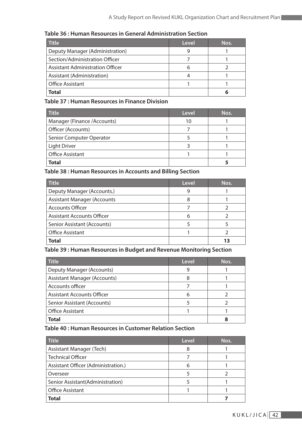| <b>Title</b>                     | Level | Nos. |
|----------------------------------|-------|------|
| Deputy Manager (Administration)  |       |      |
| Section/Administration Officer   |       |      |
| Assistant Administration Officer |       |      |
| Assistant (Administration)       |       |      |
| <b>Office Assistant</b>          |       |      |
| Total                            |       | h    |

**Table 36 : Human Resources in General Administration Section**

**Table 37 : Human Resources in Finance Division**

| <b>Title</b>                | Level | Nos. |
|-----------------------------|-------|------|
| Manager (Finance /Accounts) | 10    |      |
| Officer (Accounts)          |       |      |
| Senior Computer Operator    |       |      |
| <b>Light Driver</b>         |       |      |
| Office Assistant            |       |      |
| <b>Total</b>                |       |      |

**Table 38 : Human Resources in Accounts and Billing Section**

| <b>Title</b>                       | Level | Nos. |
|------------------------------------|-------|------|
| Deputy Manager (Accounts.)         | 9     |      |
| <b>Assistant Manager (Accounts</b> | 8     |      |
| <b>Accounts Officer</b>            |       |      |
| <b>Assistant Accounts Officer</b>  | 6     |      |
| Senior Assistant (Accounts)        |       |      |
| <b>Office Assistant</b>            |       |      |
| Total                              |       |      |

#### **Table 39 : Human Resources in Budget and Revenue Monitoring Section**

| <b>Title</b>                 | Level | Nos. |
|------------------------------|-------|------|
| Deputy Manager (Accounts)    |       |      |
| Assistant Manager (Accounts) |       |      |
| Accounts officer             |       |      |
| Assistant Accounts Officer   | 6     |      |
| Senior Assistant (Accounts)  |       |      |
| <b>Office Assistant</b>      |       |      |
| Total                        |       |      |

**Table 40 : Human Resources in Customer Relation Section**

| <b>Title</b>                        | Level | Nos. |
|-------------------------------------|-------|------|
| Assistant Manager (Tech)            |       |      |
| <b>Technical Officer</b>            |       |      |
| Assistant Officer (Administration.) |       |      |
| Overseer                            |       |      |
| Senior Assistant (Administration)   |       |      |
| <b>Office Assistant</b>             |       |      |
| Total                               |       |      |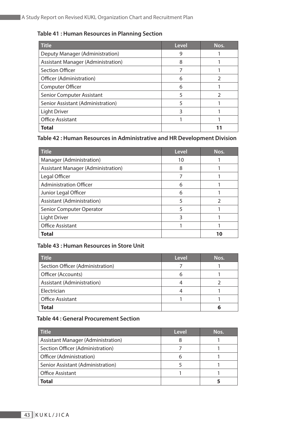#### **Table 41 : Human Resources in Planning Section**

| <b>Title</b>                              | Level | Nos. |
|-------------------------------------------|-------|------|
| Deputy Manager (Administration)           | 9     |      |
| <b>Assistant Manager (Administration)</b> | 8     |      |
| <b>Section Officer</b>                    |       |      |
| Officer (Administration)                  | 6     |      |
| Computer Officer                          | 6     |      |
| Senior Computer Assistant                 | 5     |      |
| Senior Assistant (Administration)         | 5     |      |
| Light Driver                              | 3     |      |
| <b>Office Assistant</b>                   |       |      |
| <b>Total</b>                              |       |      |

#### **Table 42 : Human Resources in Administrative and HR Development Division**

| <b>Title</b>                              | Level | Nos. |
|-------------------------------------------|-------|------|
| Manager (Administration)                  | 10    |      |
| <b>Assistant Manager (Administration)</b> | 8     |      |
| Legal Officer                             |       |      |
| <b>Administration Officer</b>             | 6     |      |
| Junior Legal Officer                      | 6     |      |
| Assistant (Administration)                | 5     |      |
| Senior Computer Operator                  | 5     |      |
| Light Driver                              | 3     |      |
| <b>Office Assistant</b>                   |       |      |
| Total                                     |       |      |

#### **Table 43 : Human Resources in Store Unit**

| <b>Title</b>                     | Level | Nos. |
|----------------------------------|-------|------|
| Section Officer (Administration) |       |      |
| Officer (Accounts)               |       |      |
| Assistant (Administration)       |       |      |
| Electrician                      |       |      |
| <b>Office Assistant</b>          |       |      |
| <b>Total</b>                     |       | h    |

#### **Table 44 : General Procurement Section**

| <b>Title</b>                       | Level | Nos. |
|------------------------------------|-------|------|
| Assistant Manager (Administration) |       |      |
| Section Officer (Administration)   |       |      |
| Officer (Administration)           | ჩ     |      |
| Senior Assistant (Administration)  |       |      |
| <b>Office Assistant</b>            |       |      |
| Total                              |       |      |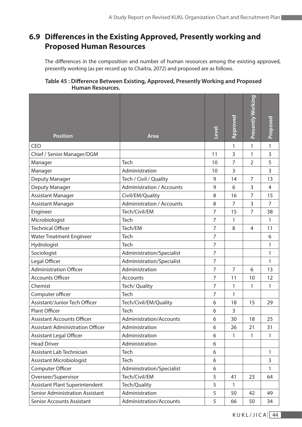# **6.9 Differences in the Existing Approved, Presently working and Proposed Human Resources**

The differences in the composition and number of human resources among the existing approved, presently working (as per record up to Chaitra, 2072) and proposed are as follows.

| Table 45 : Difference Between Existing, Approved, Presently Working and Proposed |  |
|----------------------------------------------------------------------------------|--|
| <b>Human Resources.</b>                                                          |  |

| <b>Position</b>                         | <b>Area</b>                      | Level          | Approved       | Presently Working | Proposed       |
|-----------------------------------------|----------------------------------|----------------|----------------|-------------------|----------------|
| <b>CEO</b>                              |                                  |                | 1              | 1                 | 1              |
| Chief / Senior Manager/DGM              |                                  | 11             | 3              | 1                 | 3              |
| Manager                                 | Tech                             | 10             | $\overline{7}$ | $\overline{2}$    | 5              |
| Manager                                 | Administration                   | 10             | 3              |                   | 3              |
| Deputy Manager                          | Tech / Civil / Quality           | 9              | 14             | $\overline{7}$    | 13             |
| Deputy Manager                          | <b>Administration / Accounts</b> | 9              | 6              | 3                 | 4              |
| <b>Assistant Manager</b>                | Civil/EM/Quality                 | 8              | 16             | 7                 | 15             |
| <b>Assistant Manager</b>                | <b>Administration / Accounts</b> | 8              | $\overline{7}$ | 3                 | $\overline{7}$ |
| Engineer                                | Tech/Civil/EM                    | 7              | 15             | $\overline{7}$    | 38             |
| Microbiologist                          | Tech                             | 7              | 1              |                   | 1              |
| <b>Technical Officer</b>                | Tech/EM                          | 7              | 8              | 4                 | 11             |
| <b>Water Treatment Engineer</b>         | Tech                             | 7              |                |                   | 6              |
| Hydrologist                             | Tech                             | $\overline{7}$ |                |                   | 1              |
| Sociologist                             | Administration/Specialist        | $\overline{7}$ |                |                   | 1              |
| Legal Officer                           | Administration/Specialist        | 7              |                |                   | 1              |
| <b>Administration Officer</b>           | Administration                   | 7              | $\overline{7}$ | 6                 | 13             |
| <b>Accounts Officer</b>                 | Accounts                         | 7              | 11             | 10                | 12             |
| Chemist                                 | Tech/ Quality                    | $\overline{7}$ | 1              | 1                 | 1              |
| Computer officer                        | Tech                             | 7              | 1              |                   |                |
| Assistant/Junior Tech Officer           | Tech/Civil/EM/Quality            | 6              | 18             | 15                | 29             |
| <b>Plant Officer</b>                    | Tech                             | 6              | 3              |                   |                |
| <b>Assistant Accounts Officer</b>       | Administration/Accounts          | 6              | 30             | 18                | 25             |
| <b>Assistant Administration Officer</b> | Administration                   | 6              | 26             | 21                | 31             |
| <b>Assistant Legal Officer</b>          | Administration                   | 6              | 1              | 1                 | 1              |
| <b>Head Driver</b>                      | Administration                   | 6              |                |                   |                |
| Assistant Lab Technician                | Tech                             | 6              |                |                   | 1              |
| Assistant Microbiologist                | Tech                             | 6              |                |                   | 3              |
| Computer Officer                        | Administration/Specialist        | 6              |                |                   | 1              |
| Overseer/Supervisor                     | Tech/Civil/EM                    | 5              | 41             | 23                | 64             |
| Assistant Plant Superintendent          | Tech/Quality                     | 5              | 1              |                   |                |
| Senior Administration Assistant         | Administration                   | 5              | 50             | 42                | 49             |
| <b>Senior Accounts Assistant</b>        | Administration/Accounts          | 5              | 66             | 50                | 34             |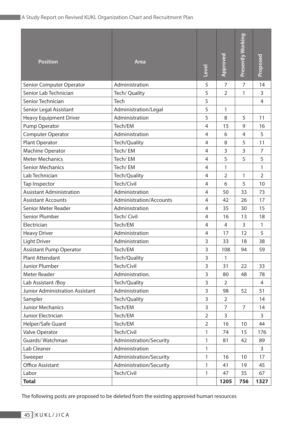| <b>Position</b>                 | Area                    | Level          | Approved       | Presently Working | Proposed       |
|---------------------------------|-------------------------|----------------|----------------|-------------------|----------------|
| Senior Computer Operator        | Administration          | 5              | $\overline{7}$ | $\overline{7}$    | 14             |
| Senior Lab Technician           | Tech/ Quality           | 5              | $\overline{2}$ | 1                 | 3              |
| Senior Technician               | Tech                    | 5              |                |                   | 4              |
| Senior Legal Assistant          | Administration/Legal    | 5              | 1              |                   |                |
| <b>Heavy Equipment Driver</b>   | Administration          | 5              | 8              | 5                 | 11             |
| Pump Operator                   | Tech/EM                 | $\overline{4}$ | 15             | 9                 | 16             |
| Computer Operator               | Administration          | 4              | 6              | 4                 | 5              |
| Plant Operator                  | Tech/Quality            | 4              | 8              | 5                 | 11             |
| <b>Machine Operator</b>         | Tech/EM                 | 4              | 3              | 3                 | $\overline{7}$ |
| <b>Meter Mechanics</b>          | Tech/EM                 | 4              | 5              | 5                 | 5              |
| <b>Senior Mechanics</b>         | Tech/EM                 | 4              | 1              |                   | 1              |
| Lab Technician                  | Tech/Quality            | 4              | $\overline{2}$ | $\mathbf{1}$      | $\overline{2}$ |
| Tap Inspector                   | Tech/Civil              | $\overline{4}$ | 6              | 5                 | 10             |
| <b>Assistant Administration</b> | Administration          | 4              | 50             | 33                | 73             |
| <b>Assistant Accounts</b>       | Administration/Accounts | 4              | 42             | 26                | 17             |
| Senior Meter Reader             | Administration          | 4              | 35             | 30                | 15             |
| Senior Plumber                  | Tech/ Civil             | 4              | 16             | 13                | 18             |
| Electrician                     | Tech/EM                 | $\overline{4}$ | $\overline{4}$ | 3                 | 1              |
| <b>Heavy Driver</b>             | Administration          | 4              | 17             | 12                | 5              |
| <b>Light Driver</b>             | Administration          | 3              | 33             | 18                | 38             |
| <b>Assistant Pump Operator</b>  | Tech/EM                 | 3              | 108            | 94                | 59             |
| Plant Attendant                 | Tech/Quality            | 3              | 1              |                   |                |
| Junior Plumber                  | Tech/Civil              | 3              | 31             | 22                | 33             |
| Meter Reader                    | Administration.         | 3              | 80             | 48                | 78             |
| Lab Assistant / Boy             | Tech/Quality            | 3              | $\overline{2}$ |                   | 4              |
| Junior Administration Assistant | Administration          | 3              | 98             | 52                | 51             |
| Sampler                         | Tech/Quality            | 3              | $\overline{2}$ |                   | 14             |
| Junior Mechanics                | Tech/EM                 | $\overline{3}$ | $\overline{7}$ | $\overline{7}$    | 14             |
| Junior Electrician              | Tech/EM                 | $\overline{2}$ | 3              |                   | 3              |
| Helper/Safe Guard               | Tech/EM                 | $\overline{2}$ | 16             | 10                | 44             |
| Valve Operator                  | Tech/Civil              | 1              | 74             | 15                | 176            |
| Guards/Watchman                 | Administration/Security | 1              | 81             | 42                | 89             |
| Lab Cleaner                     | Administration          | 1              |                |                   | $\overline{3}$ |
| Sweeper                         | Administration/Security | 1              | 16             | 10                | 17             |
| <b>Office Assistant</b>         | Administration/Security | 1              | 41             | 19                | 45             |
| Labor                           | Tech/Civil              | 1              | 47             | 35                | 67             |
| <b>Total</b>                    |                         |                | 1205           | 756               | 1327           |

The following posts are proposed to be deleted from the existing approved human resources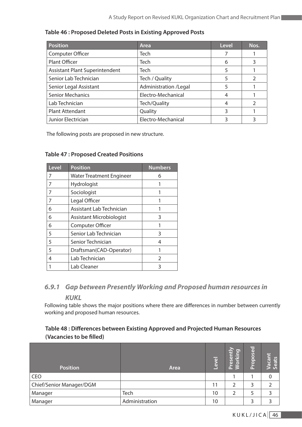| <b>Position</b>                | Area                  | Level | Nos.           |
|--------------------------------|-----------------------|-------|----------------|
| Computer Officer               | <b>Tech</b>           |       |                |
| <b>Plant Officer</b>           | <b>Tech</b>           | 6     | 3              |
| Assistant Plant Superintendent | <b>Tech</b>           | 5     |                |
| Senior Lab Technician          | Tech / Quality        | 5     | $\mathfrak{D}$ |
| Senior Legal Assistant         | Administration /Legal | 5     |                |
| <b>Senior Mechanics</b>        | Electro-Mechanical    | 4     |                |
| Lab Technician                 | Tech/Quality          |       | $\mathcal{D}$  |
| <b>Plant Attendant</b>         | Quality               | 3     |                |
| Junior Electrician             | Electro-Mechanical    |       |                |

#### **Table 46 : Proposed Deleted Posts in Existing Approved Posts**

The following posts are proposed in new structure.

#### **Table 47 : Proposed Created Positions**

| <b>Level</b> | <b>Position</b>                 | <b>Numbers</b> |
|--------------|---------------------------------|----------------|
| 7            | <b>Water Treatment Engineer</b> | 6              |
| 7            | Hydrologist                     |                |
| 7            | Sociologist                     |                |
| 7            | Legal Officer                   |                |
| 6            | Assistant Lab Technician        |                |
| 6            | Assistant Microbiologist        | 3              |
| 6            | <b>Computer Officer</b>         |                |
| 5            | Senior Lab Technician           | 3              |
| 5            | Senior Technician               | 4              |
| 5            | Draftsman(CAD-Operator)         |                |
| 4            | Lab Technician                  | $\mathcal{P}$  |
|              | Lab Cleaner                     | 3              |

## *6.9.1 Gap between Presently Working and Proposed human resources in*

#### *KUKL*

Following table shows the major positions where there are differences in number between currently working and proposed human resources.

#### **Table 48 : Differences between Existing Approved and Projected Human Resources (Vacancies to be filled)**

| <b>Position</b>          | <b>Area</b>    | Level | Presently<br><b>Norking</b> | Proposed | Vacant<br>Seats |
|--------------------------|----------------|-------|-----------------------------|----------|-----------------|
| CEO                      |                |       |                             |          | 0               |
| Chief/Senior Manager/DGM |                | 11    |                             | 3        |                 |
| Manager                  | Tech           | 10    |                             | 5        |                 |
| Manager                  | Administration | 10    |                             | っ        |                 |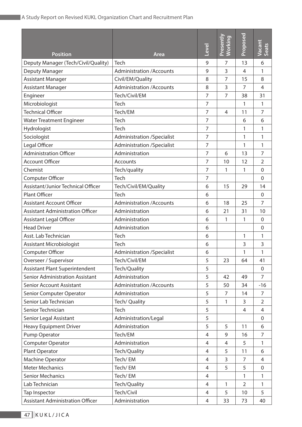| <b>Position</b>                         | <b>Area</b>                       | Level          | Presently<br><b>Working</b> | Proposed       | Vacant<br>Seats |
|-----------------------------------------|-----------------------------------|----------------|-----------------------------|----------------|-----------------|
| Deputy Manager (Tech/Civil/Quality)     | Tech                              | 9              | 7                           | 13             | 6               |
| Deputy Manager                          | <b>Administration /Accounts</b>   | 9              | 3                           | 4              | 1               |
| <b>Assistant Manager</b>                | Civil/EM/Quality                  | 8              | $\overline{7}$              | 15             | 8               |
| <b>Assistant Manager</b>                | <b>Administration /Accounts</b>   | 8              | 3                           | $\overline{7}$ | $\overline{4}$  |
| Engineer                                | Tech/Civil/EM                     | 7              | $\overline{7}$              | 38             | 31              |
| Microbiologist                          | Tech                              | 7              |                             | 1              | 1               |
| <b>Technical Officer</b>                | Tech/EM                           | 7              | $\overline{4}$              | 11             | $\overline{7}$  |
| <b>Water Treatment Engineer</b>         | Tech                              | 7              |                             | 6              | 6               |
| Hydrologist                             | Tech                              | 7              |                             | 1              | 1               |
| Sociologist                             | <b>Administration /Specialist</b> | $\overline{7}$ |                             | 1              | 1               |
| Legal Officer                           | <b>Administration /Specialist</b> | 7              |                             | 1              | 1               |
| <b>Administration Officer</b>           | Administration                    | 7              | 6                           | 13             | 7               |
| <b>Account Officer</b>                  | Accounts                          | $\overline{7}$ | 10                          | 12             | $\overline{2}$  |
| Chemist                                 | Tech/quality                      | $\overline{7}$ | 1                           | 1              | $\mathbf 0$     |
| Computer Officer                        | Tech                              | 7              |                             |                | $\Omega$        |
| Assistant/Junior Technical Officer      | Tech/Civil/EM/Quality             | 6              | 15                          | 29             | 14              |
| Plant Officer                           | Tech                              | 6              |                             |                | $\mathbf 0$     |
| <b>Assistant Account Officer</b>        | <b>Administration /Accounts</b>   | 6              | 18                          | 25             | 7               |
| <b>Assistant Administration Officer</b> | Administration                    | 6              | 21                          | 31             | 10              |
| <b>Assistant Legal Officer</b>          | Administration                    | 6              | 1                           | 1              | $\mathbf 0$     |
| <b>Head Driver</b>                      | Administration                    | 6              |                             |                | $\overline{0}$  |
| Asst. Lab Technician                    | Tech                              | 6              |                             | 1              | 1               |
| Assistant Microbiologist                | Tech                              | 6              |                             | 3              | 3               |
| Computer Officer                        | <b>Administration /Specialist</b> | 6              |                             | 1              | 1               |
| Overseer / Supervisor                   | Tech/Civil/EM                     | 5              | 23                          | 64             | 41              |
| <b>Assistant Plant Superintendent</b>   | Tech/Quality                      | 5              |                             |                | 0               |
| <b>Senior Administration Assistant</b>  | Administration                    | 5              | 42                          | 49             | $\overline{7}$  |
| <b>Senior Account Assistant</b>         | <b>Administration /Accounts</b>   | 5              | 50                          | 34             | $-16$           |
| Senior Computer Operator                | Administration                    | 5              | 7                           | 14             | 7               |
| Senior Lab Technician                   | Tech/ Quality                     | 5              | 1                           | 3              | $\overline{2}$  |
| Senior Technician                       | Tech                              | 5              |                             | 4              | $\overline{4}$  |
| Senior Legal Assistant                  | Administration/Legal              | 5              |                             |                | $\mathbf 0$     |
| <b>Heavy Equipment Driver</b>           | Administration                    | 5              | 5                           | 11             | 6               |
| Pump Operator                           | Tech/EM                           | $\overline{4}$ | 9                           | 16             | 7               |
| <b>Computer Operator</b>                | Administration                    | 4              | 4                           | 5              | 1               |
| Plant Operator                          | Tech/Quality                      | 4              | 5                           | 11             | 6               |
| Machine Operator                        | Tech/EM                           | 4              | 3                           | 7              | $\overline{4}$  |
| <b>Meter Mechanics</b>                  | Tech/EM                           | 4              | 5                           | 5              | $\mathbf 0$     |
| <b>Senior Mechanics</b>                 | Tech/EM                           | 4              |                             | 1              | 1               |
| Lab Technician                          | Tech/Quality                      | $\overline{4}$ | 1                           | $\overline{2}$ | 1               |
| Tap Inspector                           | Tech/Civil                        | $\overline{4}$ | 5                           | 10             | 5               |
| <b>Assistant Administration Officer</b> | Administration                    | $\overline{4}$ | 33                          | 73             | 40              |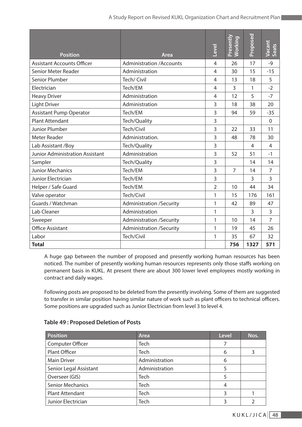| <b>Position</b>                        | Area                            | Level          | Presently<br><b>Working</b> | Proposed | Vacant<br>Seats |
|----------------------------------------|---------------------------------|----------------|-----------------------------|----------|-----------------|
| <b>Assistant Accounts Officer</b>      | <b>Administration /Accounts</b> | $\overline{4}$ | 26                          | 17       | $-9$            |
| Senior Meter Reader                    | Administration                  | 4              | 30                          | 15       | $-15$           |
| Senior Plumber                         | Tech/ Civil                     | 4              | 13                          | 18       | 5               |
| Electrician                            | Tech/EM                         | 4              | $\overline{3}$              | 1        | $-2$            |
| <b>Heavy Driver</b>                    | Administration                  | 4              | 12                          | 5        | $-7$            |
| <b>Light Driver</b>                    | Administration                  | 3              | 18                          | 38       | 20              |
| <b>Assistant Pump Operator</b>         | Tech/EM                         | 3              | 94                          | 59       | $-35$           |
| <b>Plant Attendant</b>                 | Tech/Quality                    | 3              |                             |          | $\mathbf 0$     |
| <b>Junior Plumber</b>                  | Tech/Civil                      | 3              | 22                          | 33       | 11              |
| <b>Meter Reader</b>                    | Administration.                 | 3              | 48                          | 78       | 30              |
| Lab Assistant /Boy                     | Tech/Quality                    | 3              |                             | 4        | 4               |
| <b>Junior Administration Assistant</b> | Administration                  | 3              | 52                          | 51       | $-1$            |
| Sampler                                | Tech/Quality                    | 3              |                             | 14       | 14              |
| <b>Junior Mechanics</b>                | Tech/EM                         | 3              | $\overline{7}$              | 14       | $\overline{7}$  |
| Junior Electrician                     | Tech/EM                         | 3              |                             | 3        | 3               |
| Helper / Safe Guard                    | Tech/EM                         | $\overline{2}$ | 10                          | 44       | 34              |
| Valve operator                         | Tech/Civil                      | 1              | 15                          | 176      | 161             |
| Guards / Watchman                      | <b>Administration /Security</b> | 1              | 42                          | 89       | 47              |
| Lab Cleaner                            | Administration                  | 1              |                             | 3        | 3               |
| Sweeper                                | <b>Administration /Security</b> | 1              | 10                          | 14       | $\overline{7}$  |
| <b>Office Assistant</b>                | <b>Administration /Security</b> | 1              | 19                          | 45       | 26              |
| Labor                                  | Tech/Civil                      | 1              | 35                          | 67       | 32              |
| <b>Total</b>                           |                                 |                | 756                         | 1327     | 571             |

A huge gap between the number of proposed and presently working human resources has been noticed. The number of presently working human resources represents only those staffs working on permanent basis in KUKL. At present there are about 300 lower level employees mostly working in contract and daily wages.

Following posts are proposed to be deleted from the presently involving. Some of them are suggested to transfer in similar position having similar nature of work such as plant officers to technical officers. Some positions are upgraded such as Junior Electrician from level 3 to level 4.

| <b>Position</b>         | Area           | <b>Level</b> | Nos. |
|-------------------------|----------------|--------------|------|
| Computer Officer        | Tech           |              |      |
| Plant Officer           | Tech           | 6            |      |
| <b>Main Driver</b>      | Administration | 6            |      |
| Senior Legal Assistant  | Administration |              |      |
| Overseer (GIS)          | Tech           | 5            |      |
| <b>Senior Mechanics</b> | Tech           | 4            |      |
| <b>Plant Attendant</b>  | Tech           | 3            |      |
| Junior Electrician      | Tech           | 3            |      |

#### **Table 49 : Proposed Deletion of Posts**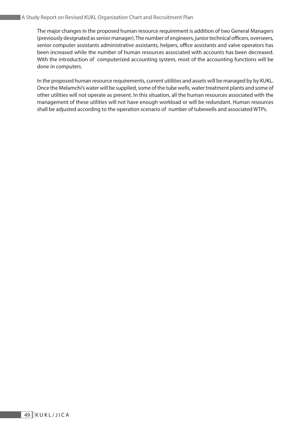The major changes in the proposed human resource requirement is addition of two General Managers (previously designated as senior manager). The number of engineers, junior technical officers, overseers, senior computer assistants administrative assistants, helpers, office assistants and valve operators has been increased while the number of human resources associated with accounts has been decreased. With the introduction of computerized accounting system, most of the accounting functions will be done in computers.

In the proposed human resource requirements, current utilities and assets will be managed by by KUKL. Once the Melamchi's water will be supplied, some of the tube wells, water treatment plants and some of other utilities will not operate as present. In this situation, all the human resources associated with the management of these utilities will not have enough workload or will be redundant. Human resources shall be adjusted according to the operation scenario of number of tubewells and associated WTPs.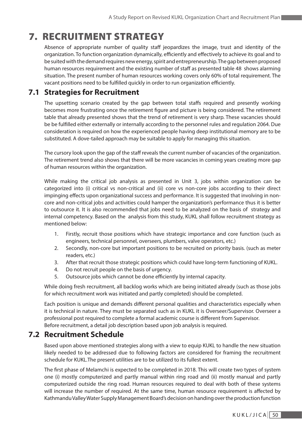# 7. RECRUITMENT STRATEGY

Absence of appropriate number of quality staff jeopardizes the image, trust and identity of the organization. To function organization dynamically, efficiently and effectively to achieve its goal and to be suited with the demand requires new energy, spirit and entrepreneurship. The gap between proposed human resources requirement and the existing number of staff as presented table 48 shows alarming situation. The present number of human resources working covers only 60% of total requirement. The vacant positions need to be fulfilled quickly in order to run organization efficiently.

## **7.1 Strategies for Recruitment**

The upsetting scenario created by the gap between total staffs required and presently working becomes more frustrating once the retirement figure and picture is being considered. The retirement table that already presented shows that the trend of retirement is very sharp. These vacancies should be be fulfilled either externally or internally according to the personnel rules and regulation 2064. Due consideration is required on how the experienced people having deep institutional memory are to be substituted. A dove-tailed approach may be suitable to apply for managing this situation.

The cursory look upon the gap of the staff reveals the current number of vacancies of the organization. The retirement trend also shows that there will be more vacancies in coming years creating more gap of human resources within the organization.

While making the critical job analysis as presented in Unit 3, jobs within organization can be categorized into (i) critical vs non-critical and (ii) core vs non-core jobs according to their direct impinging effects upon organizational success and performance. It is suggested that involving in noncore and non-critical jobs and activities could hamper the organization's performance thus it is better to outsource it. It is also recommended that jobs need to be analyzed on the basis of strategy and internal competency. Based on the analysis from this study, KUKL shall follow recruitment strategy as mentioned below:

- 1. Firstly, recruit those positions which have strategic importance and core function (such as engineers, technical personnel, overseers, plumbers, valve operators, etc.)
- 2. Secondly, non-core but important positions to be recruited on priority basis. (such as meter readers, etc.)
- 3. After that recruit those strategic positions which could have long-term functioning of KUKL.
- 4. Do not recruit people on the basis of urgency.
- 5. Outsource jobs which cannot be done efficiently by internal capacity.

While doing fresh recruitment, all backlog works which are being initiated already (such as those jobs for which recruitment work was initiated and partly completed) should be completed.

Each position is unique and demands different personal qualities and characteristics especially when it is technical in nature. They must be separated such as in KUKL it is Overseer/Supervisor. Overseer a professional post required to complete a formal academic course is different from Supervisor. Before recruitment, a detail job description based upon job analysis is required.

## **7.2 Recruitment Schedule**

Based upon above mentioned strategies along with a view to equip KUKL to handle the new situation likely needed to be addressed due to following factors are considered for framing the recruitment schedule for KUKL.The present utilities are to be utilized to its fullest extent.

The first phase of Melamchi is expected to be completed in 2018. This will create two types of system one (i) mostly computerized and partly manual within ring road and (ii) mostly manual and partly computerized outside the ring road. Human resources required to deal with both of these systems will increase the number of required. At the same time, human resource requirement is affected by Kathmandu Valley Water Supply Management Board's decision on handing over the production function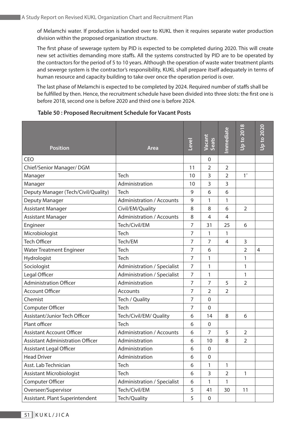of Melamchi water. If production is handed over to KUKL then it requires separate water production division within the proposed organization structure.

The first phase of sewerage system by PID is expected to be completed during 2020. This will create new set activities demanding more staffs. All the systems constructed by PID are to be operated by the contractors for the period of 5 to 10 years. Although the operation of waste water treatment plants and sewerge system is the contractor's responsibility, KUKL shall prepare itself adequately in terms of human resource and capacity building to take over once the operation period is over.

The last phase of Melamchi is expected to be completed by 2024. Required number of staffs shall be be fulfilled by then. Hence, the recruitment schedule have been divided into three slots: the first one is before 2018, second one is before 2020 and third one is before 2024.

#### **Table 50 : Proposed Recruitment Schedule for Vacant Posts**

| <b>Position</b>                         | Area                               | <b>Level</b>   | Vacant<br>Seats  | mmediate       | <b>Up to 2018</b> | <b>Dp to 2020</b> |
|-----------------------------------------|------------------------------------|----------------|------------------|----------------|-------------------|-------------------|
| CEO                                     |                                    |                | 0                |                |                   |                   |
| Chief/Senior Manager/ DGM               |                                    |                | 2                | $\overline{2}$ |                   |                   |
| Manager                                 | Tech                               | 10             | 3                | $\overline{2}$ | $1^*$             |                   |
| Manager                                 | Administration                     | 10             | 3                | 3              |                   |                   |
| Deputy Manager (Tech/Civil/Quality)     | Tech                               | 9              | 6                | 6              |                   |                   |
| Deputy Manager                          | <b>Administration / Accounts</b>   | 9              | 1                | 1              |                   |                   |
| <b>Assistant Manager</b>                | Civil/EM/Quality                   | 8              | 8                | 6              | $\overline{2}$    |                   |
| <b>Assistant Manager</b>                | <b>Administration / Accounts</b>   | 8              | $\overline{4}$   | $\overline{4}$ |                   |                   |
| Engineer                                | Tech/Civil/EM                      | $\overline{7}$ | 31               | 25             | 6                 |                   |
| Microbiologist                          | Tech                               |                | 1                | 1              |                   |                   |
| <b>Tech Officer</b>                     | Tech/EM                            |                | $\overline{7}$   | $\overline{4}$ | 3                 |                   |
| <b>Water Treatment Engineer</b>         | Tech                               |                | 6                |                | $\overline{2}$    | 4                 |
| Hydrologist                             | <b>Tech</b>                        |                | 1                |                | 1                 |                   |
| Sociologist                             | <b>Administration / Specialist</b> | $\overline{7}$ | 1                |                | 1                 |                   |
| Legal Officer                           | Administration / Specialist        | $\overline{7}$ | 1                |                | 1                 |                   |
| <b>Administration Officer</b>           | Administration                     | 7              | 7                | 5              | $\overline{2}$    |                   |
| <b>Account Officer</b>                  | Accounts                           | $\overline{7}$ | $\overline{2}$   | $\overline{2}$ |                   |                   |
| Chemist                                 | Tech / Quality                     | $\overline{7}$ | $\overline{0}$   |                |                   |                   |
| Computer Officer                        | Tech                               | $\overline{7}$ | $\mathbf 0$      |                |                   |                   |
| Assistant/Junior Tech Officer           | Tech/Civil/EM/ Quality             | 6              | 14               | 8              | 6                 |                   |
| Plant officer                           | Tech                               | 6              | $\mathbf 0$      |                |                   |                   |
| <b>Assistant Account Officer</b>        | <b>Administration / Accounts</b>   | 6              | $\overline{7}$   | 5              | $\overline{2}$    |                   |
| <b>Assistant Administration Officer</b> | Administration                     | 6              | 10               | 8              | 2                 |                   |
| <b>Assistant Legal Officer</b>          | Administration                     |                | $\boldsymbol{0}$ |                |                   |                   |
| <b>Head Driver</b>                      | Administration                     |                | $\overline{0}$   |                |                   |                   |
| Asst. Lab Technician                    | Tech                               |                | 1                | 1              |                   |                   |
| <b>Assistant Microbiologist</b>         | Tech                               |                | 3                | $\overline{2}$ | 1                 |                   |
| Computer Officer                        | Administration / Specialist        | 6              | 1                | 1              |                   |                   |
| Overseer/Supervisor                     | Tech/Civil/EM                      | 5              | 41               | 30             | 11                |                   |
| Assistant. Plant Superintendent         | Tech/Quality                       | 5              | $\mathbf 0$      |                |                   |                   |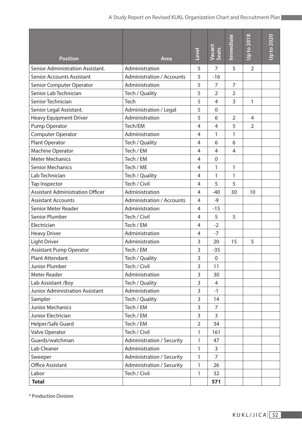| <b>Position</b>                         | Area                             | <b>Level</b>   | Vacant<br>Seats | mmediate       | Up to 2018     | <b>Up to 2020</b> |
|-----------------------------------------|----------------------------------|----------------|-----------------|----------------|----------------|-------------------|
| Senior Administration Assistant.        | Administration                   | 5              | $\overline{7}$  | 5              | $\overline{2}$ |                   |
| <b>Senior Accounts Assistant</b>        | <b>Administration / Accounts</b> | 5              | $-16$           |                |                |                   |
| Senior Computer Operator                | Administration                   | 5              | $\overline{7}$  | $\overline{7}$ |                |                   |
| Senior Lab Technician                   | Tech / Quality                   | 5              | $\overline{2}$  | $\overline{2}$ |                |                   |
| Senior Technician                       | Tech                             | 5              | 4               | 3              | 1              |                   |
| Senior Legal Assistant.                 | Administration / Legal           | 5              | $\overline{0}$  |                |                |                   |
| <b>Heavy Equipment Driver</b>           | Administration                   | 5              | 6               | $\overline{2}$ | 4              |                   |
| Pump Operator                           | Tech/EM                          | 4              | $\overline{4}$  | 5              | $\overline{2}$ |                   |
| <b>Computer Operator</b>                | Administration                   | 4              | 1               | 1              |                |                   |
| Plant Operator                          | Tech / Quality                   | 4              | 6               | 6              |                |                   |
| Machine Operator                        | Tech / EM                        | 4              | $\overline{4}$  | $\overline{4}$ |                |                   |
| <b>Meter Mechanics</b>                  | Tech / EM                        | 4              | $\overline{0}$  |                |                |                   |
| <b>Senior Mechanics</b>                 | Tech / ME                        |                | 1               | 1              |                |                   |
| Lab Technician                          | Tech / Quality                   |                | 1               | 1              |                |                   |
| Tap Inspector                           | Tech / Civil                     |                | 5               | 5              |                |                   |
| <b>Assistant Administration Officer</b> | Administration                   |                | $-40$           | 30             | 10             |                   |
| <b>Assistant Accounts</b>               | <b>Administration / Accounts</b> |                | $-9$            |                |                |                   |
| Senior Meter Reader                     | Administration                   |                | $-15$           |                |                |                   |
| Senior Plumber                          | Tech / Civil                     | 4              | 5               | 5              |                |                   |
| Electrician                             | Tech / EM                        | 4              | $-2$            |                |                |                   |
| <b>Heavy Driver</b>                     | Administration                   | $\overline{4}$ | $-7$            |                |                |                   |
| <b>Light Driver</b>                     | Administration                   | 3              | 20              | 15             | 5              |                   |
| <b>Assistant Pump Operator</b>          | Tech / EM                        | 3              | $-35$           |                |                |                   |
| Plant Attendant                         | Tech / Quality                   | 3              | 0               |                |                |                   |
| <b>Junior Plumber</b>                   | Tech / Civil                     | 3              | 11              |                |                |                   |
| Meter Reader                            | Administration                   | 3              | 30              |                |                |                   |
| Lab Assistant /Boy                      | Tech / Quality                   | 3              | 4               |                |                |                   |
| Junior Administration Assistant         | Administration                   | 3              | $-1$            |                |                |                   |
| Sampler                                 | Tech / Quality                   | 3              | 14              |                |                |                   |
| Junior Mechanics                        | Tech / EM                        | 3              | $\overline{7}$  |                |                |                   |
| Junior Electrician                      | Tech / EM                        | 3              | $\overline{3}$  |                |                |                   |
| Helper/Safe Guard                       | Tech / EM                        | $\overline{2}$ | 34              |                |                |                   |
| Valve Operator                          | Tech / Civil                     | 1              | 161             |                |                |                   |
| Guards/watchman                         | <b>Administration / Security</b> | 1              | 47              |                |                |                   |
| Lab Cleaner                             | Administration                   | 1              | 3               |                |                |                   |
| Sweeper                                 | <b>Administration / Security</b> | 1              | $\overline{7}$  |                |                |                   |
| <b>Office Assistant</b>                 | <b>Administration / Security</b> | 1              | 26              |                |                |                   |
| Labor                                   | Tech / Civil                     | 1              | 32              |                |                |                   |
| <b>Total</b>                            |                                  |                | 571             |                |                |                   |

\* Production Division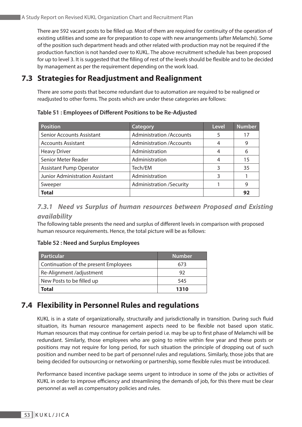There are 592 vacant posts to be filled up. Most of them are required for continuity of the operation of existing utilities and some are for preparation to cope with new arrangements (after Melamchi). Some of the position such department heads and other related with production may not be required if the production function is not handed over to KUKL. The above recruitment schedule has been proposed for up to level 3. It is suggested that the filling of rest of the levels should be flexible and to be decided by management as per the requirement depending on the work load.

# **7.3 Strategies for Readjustment and Realignment**

There are some posts that become redundant due to automation are required to be realigned or readjusted to other forms. The posts which are under these categories are follows:

**Table 51 : Employees of Different Positions to be Re-Adjusted**

| <b>Position</b>                  | Category                         | <b>Level</b> | <b>Number</b> |
|----------------------------------|----------------------------------|--------------|---------------|
| <b>Senior Accounts Assistant</b> | <b>Administration /Accounts</b>  | 5            | 17            |
| <b>Accounts Assistant</b>        | <b>Administration / Accounts</b> | 4            | 9             |
| <b>Heavy Driver</b>              | Administration                   | 4            | 6             |
| Senior Meter Reader              | Administration                   |              | 15            |
| <b>Assistant Pump Operator</b>   | Tech/EM                          | ੨            | 35            |
| Junior Administration Assistant  | Administration                   |              |               |
| Sweeper                          | <b>Administration /Security</b>  |              | 9             |
| <b>Total</b>                     |                                  |              | 92            |

*7.3.1 Need vs Surplus of human resources between Proposed and Existing availability*

The following table presents the need and surplus of different levels in comparison with proposed human resource requirements. Hence, the total picture will be as follows:

#### **Table 52 : Need and Surplus Employees**

| <b>Particular</b>                     | <b>Number</b> |
|---------------------------------------|---------------|
| Continuation of the present Employees | 673           |
| Re-Alignment /adjustment              | 92            |
| New Posts to be filled up             | 545           |
| Total                                 | 1310          |

# **7.4 Flexibility in Personnel Rules and regulations**

KUKL is in a state of organizationally, structurally and jurisdictionally in transition. During such fluid situation, its human resource management aspects need to be flexible not based upon static. Human resources that may continue for certain period i.e. may be up to first phase of Melamchi will be redundant. Similarly, those employees who are going to retire within few year and these posts or positions may not require for long period, for such situation the principle of dropping out of such position and number need to be part of personnel rules and regulations. Similarly, those jobs that are being decided for outsourcing or networking or partnership, some flexible rules must be introduced.

Performance based incentive package seems urgent to introduce in some of the jobs or activities of KUKL in order to improve efficiency and streamlining the demands of job, for this there must be clear personnel as well as compensatory policies and rules.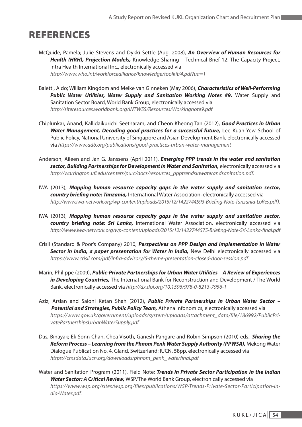# REFERENCES

- McQuide, Pamela; Julie Stevens and Dykki Settle (Aug. 2008), *An Overview of Human Resources for Health (HRH), Projection Models,* Knowledge Sharing – Technical Brief 12, The Capacity Project, Intra Health International Inc., electronically accessed via *http://www.who.int/workforcealliance/knowledge/toolkit/4.pdf?ua=1*
- Baietti, Aldo; William Kingdom and Meike van Ginneken (May 2006), *Characteristics of Well-Performing Public Water Utilities, Water Supply and Sanitation Working Notes #9.* Water Supply and Sanitation Sector Board, World Bank Group, electronically accessed via *http://siteresources.worldbank.org/INTWSS/Resources/Workingnote9.pdf*
- Chiplunkar, Anand, Kallidaikurichi Seetharam, and Cheon Kheong Tan (2012), *Good Practices in Urban Water Management, Decoding good practices for a successful future,* Lee Kuan Yew School of Public Policy, National University of Singapore and Asian Development Bank, electronically accessed via *https://www.adb.org/publications/good-practices-urban-water-management*
- Anderson, Aileen and Jan G. Janssens (April 2011), *Emerging PPP trends in the water and sanitation sector, Building Partnerships for Development in Water and Sanitation,* electronically accessed via *http://warrington.ufl.edu/centers/purc/docs/resources\_ppptrendsinwaterandsanitation.pdf.*
- IWA (2013), *Mapping human resource capacity gaps in the water supply and sanitation sector, country briefing note: Tanzania,* International Water Association, electronically accessed via *http://www.iwa-network.org/wp-content/uploads/2015/12/1422744593-Briefing-Note-Tanzania-LoRes.pdf).*
- IWA (2013), *Mapping human resource capacity gaps in the water supply and sanitation sector, country briefing note: Sri Lanka,* International Water Association, electronically accessed via *http://www.iwa-network.org/wp-content/uploads/2015/12/1422744575-Briefing-Note-Sri-Lanka-final.pdf*
- Crisil (Standard & Poor's Company) 2010, *Perspectives on PPP Design and Implementation in Water Sector in India, a paper presentation for Water in India,* New Delhi electronically accessed via *https://www.crisil.com/pdf/infra-advisory/5-theme-presentation-closed-door-session.pdf*
- Marin, Philippe (2009), *Public-Private Partnerships for Urban Water Utilities A Review of Experiences in Developing Countries,* The International Bank for Reconstruction and Development / The World Bank, electronically accessed via *http://dx.doi.org/10.1596/978-0-8213-7956-1*
- Aziz, Arslan and Saloni Ketan Shah (2012), *Public Private Partnerships in Urban Water Sector – Potential and Strategies, Public Policy Team,* Athena Infonomics, electronically accessed via *https://www.gov.uk/government/uploads/system/uploads/attachment\_data/file/186992/PublicPrivatePartnershipsUrbanWaterSupply.pdf*
- Das, Binayak; Ek Sonn Chan, Chea Visoth, Ganesh Pangare and Robin Simpson (2010) eds., *Sharing the Reform Process – Learning from the Phnom Penh Water Supply Authority (PPWSA),* Mekong Water Dialogue Publication No. 4, Gland, Switzerland: IUCN. 58pp. electronically accessed via *https://cmsdata.iucn.org/downloads/phnom\_penh\_waterfinal.pdf*
- Water and Sanitation Program (2011), Field Note; *Trends in Private Sector Participation in the Indian Water Sector: A Critical Review,* WSP/The World Bank Group, electronically accessed via *https://www.wsp.org/sites/wsp.org/files/publications/WSP-Trends-Private-Sector-Participation-India-Water.pdf.*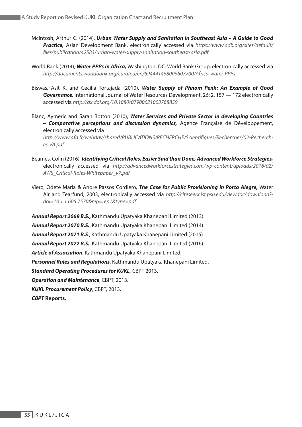- McIntosh, Arthur C. (2014), *Urban Water Supply and Sanitation in Southeast Asia A Guide to Good Practice,* Asian Development Bank, electronically accessed via *https://www.adb.org/sites/default/ files/publication/42583/urban-water-supply-sanitation-southeast-asia.pdf*
- World Bank (2014), *Water PPPs in Africa,* Washington, DC: World Bank Group, electronically accessed via *http://documents.worldbank.org/curated/en/694441468006607700/Africa-water-PPPs*
- Biswas, Asit K. and Cecilia Tortajada (2010), *Water Supply of Phnom Penh: An Example of Good Governance,* International Journal of Water Resources Development, 26: 2, 157 — 172 electronically accessed via *http://dx.doi.org/10.1080/07900621003768859*
- Blanc, Aymeric and Sarah Botton (2010), *Water Services and Private Sector in developing Countries – Comparative perceptions and discussion dynamics,* Agence Française de Développement, electronically accessed via

 *http://www.afd.fr/webdav/shared/PUBLICATIONS/RECHERCHE/Scientifiques/Recherches/02-Recherches-VA.pdf*

- Beames, Colin (2016), *Identifying Critical Roles, Easier Said than Done, Advanced Workforce Strategies,* electronically accessed via *http://advancedworkforcestrategies.com/wp-content/uploads/2016/02/ AWS\_Critical-Roles-Whitepaper\_v7.pdf*
- Viero, Odete Maria & Andre Passos Cordiero, *The Case for Public Provisioning in Porto Alegre,* Water Air and Tearfund, 2003, electronically accessed via *http://citeseerx.ist.psu.edu/viewdoc/download? doi=10.1.1.605.7570&rep=rep1&type=pdf*

*Annual Report 2069 B.S.,* Kathmandu Upatyaka Khanepani Limited (2013). *Annual Report 2070 B.S.*, Kathmandu Upatyaka Khanepani Limited (2014). *Annual Report 2071 B.S*., Kathmandu Upatyaka Khanepani Limited (2015). *Annual Report 2072 B.S.*, Kathmandu Upatyaka Khanepani Limited (2016). *Article of Association*, Kathmandu Upatyaka Khanepani Limited. *Personnel Rules and Regulations*, Kathmandu Upatyaka Khanepani Limited. *Standard Operating Procedures for KUKL,* CBPT 2013. *Operation and Maintenance*, CBPT, 2013. *KUKL Procurement Policy*, CBPT, 2013.

*CBPT* **Reports.**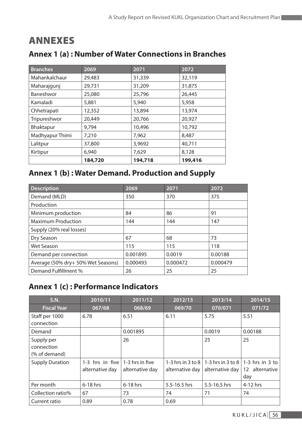# ANNEXES

| <b>Branches</b> | 2069    | 2071    | 2072    |
|-----------------|---------|---------|---------|
| Mahankalchaur   | 29,483  | 31,339  | 32,119  |
| Maharajgunj     | 29,731  | 31,209  | 31,875  |
| Baneshwor       | 25,080  | 25,796  | 26,445  |
| Kamaladi        | 5,881   | 5,940   | 5,958   |
| Chhetrapati     | 12,352  | 13,894  | 13,974  |
| Tripureshwor    | 20,449  | 20,766  | 20,927  |
| Bhaktapur       | 9,794   | 10,496  | 10,792  |
| Madhyapur Thimi | 7,210   | 7,962   | 8,487   |
| Lalitpur        | 37,800  | 3,9692  | 40,711  |
| Kirtipur        | 6,940   | 7,629   | 8,128   |
|                 | 184,720 | 194,718 | 199,416 |

# **Annex 1 (a) : Number of Water Connections in Branches**

# **Annex 1 (b) : Water Demand. Production and Supply**

| <b>Description</b>                 | 2069     | 2071     | 2072     |
|------------------------------------|----------|----------|----------|
| Demand (MLD)                       | 350      | 370      | 375      |
| Production                         |          |          |          |
| Minimum production                 | 84       | 86       | 91       |
| <b>Maximum Production</b>          | 144      | 144      | 147      |
| Supply (20% real losses)           |          |          |          |
| Dry Season                         | 67       | 68       | 73       |
| Wet Season                         | 115      | 115      | 118      |
| Demand per connection              | 0.001895 | 0.0019   | 0.00188  |
| Average (50% dry+ 50% Wet Seasons) | 0.000493 | 0.000472 | 0.000479 |
| Demand Fulfillment %               | 26       | 25       | 25       |

# **Annex 1 (c) : Performance Indicators**

| S.N.                                      | 2010/11                                                | 2011/12         | 2012/13         | 2013/14                                                    | 2014/15                                      |
|-------------------------------------------|--------------------------------------------------------|-----------------|-----------------|------------------------------------------------------------|----------------------------------------------|
| <b>Fiscal Year</b>                        | 067/68                                                 | 068/69          | 069/70          | 070/071                                                    | 071/72                                       |
| Staff per 1000<br>connection              | 6.78                                                   | 6.51            | 6.11            | 5.75                                                       | 5.51                                         |
| Demand                                    |                                                        | 0.001895        |                 | 0.0019                                                     | 0.00188                                      |
| Supply per<br>connection<br>(% of demand) |                                                        | 26              |                 | 25                                                         | 25                                           |
| <b>Supply Duration</b>                    | 1-3 hrs in five $ 1-3 $ hrs in five<br>alternative day | alternative day | alternative day | 1-3 hrs in 3 to 8   1-3 hrs in 3 to 8  <br>alternative day | $1-3$ hrs in $3$ to<br>12 alternative<br>day |
| Per month                                 | 6-18 hrs                                               | 6-18 hrs        | 5.5-16.5 hrs    | 5.5-16.5 hrs                                               | $4-12$ hrs                                   |
| Collection ratio%                         | 67                                                     | 73              | 74              | 71                                                         | 74                                           |
| Current ratio                             | 0.89                                                   | 0.78            | 0.69            |                                                            |                                              |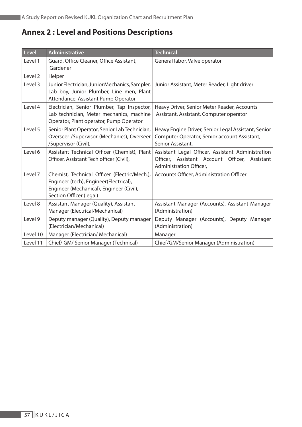# **Annex 2 : Level and Positions Descriptions**

| <b>Level</b> | <b>Administrative</b>                                                                                                                                         | <b>Technical</b>                                                                                                                 |
|--------------|---------------------------------------------------------------------------------------------------------------------------------------------------------------|----------------------------------------------------------------------------------------------------------------------------------|
| Level 1      | Guard, Office Cleaner, Office Assistant,<br>Gardener                                                                                                          | General labor, Valve operator                                                                                                    |
| Level 2      | Helper                                                                                                                                                        |                                                                                                                                  |
| Level 3      | Junior Electrician, Junior Mechanics, Sampler,<br>Lab boy, Junior Plumber, Line men, Plant<br>Attendance, Assistant Pump Operator                             | Junior Assistant, Meter Reader, Light driver                                                                                     |
| Level 4      | Electrician, Senior Plumber, Tap Inspector,<br>Lab technician, Meter mechanics, machine<br>Operator, Plant operator, Pump Operator                            | Heavy Driver, Senior Meter Reader, Accounts<br>Assistant, Assistant, Computer operator                                           |
| Level 5      | Senior Plant Operator, Senior Lab Technician,<br>Overseer /Supervisor (Mechanics), Overseer<br>/Supervisor (Civil),                                           | Heavy Engine Driver, Senior Legal Assistant, Senior<br>Computer Operator, Senior account Assistant,<br>Senior Assistant,         |
| Level 6      | Assistant Technical Officer (Chemist), Plant<br>Officer, Assistant Tech officer (Civil),                                                                      | Assistant Legal Officer, Assistant Administration<br>Officer, Assistant Account Officer,<br>Assistant<br>Administration Officer, |
| Level 7      | Chemist, Technical Officer (Electric/Mech.),<br>Engineer (tech), Engineer(Electrical),<br>Engineer (Mechanical), Engineer (Civil),<br>Section Officer (legal) | <b>Accounts Officer, Administration Officer</b>                                                                                  |
| Level 8      | Assistant Manager (Quality), Assistant<br>Manager (Electrical/Mechanical)                                                                                     | Assistant Manager (Accounts), Assistant Manager<br>(Administration)                                                              |
| Level 9      | Deputy manager (Quality), Deputy manager<br>(Electrician/Mechanical)                                                                                          | Deputy Manager (Accounts), Deputy Manager<br>(Administration)                                                                    |
| Level 10     | Manager (Electrician/ Mechanical)                                                                                                                             | Manager                                                                                                                          |
| Level 11     | Chief/ GM/ Senior Manager (Technical)                                                                                                                         | Chief/GM/Senior Manager (Administration)                                                                                         |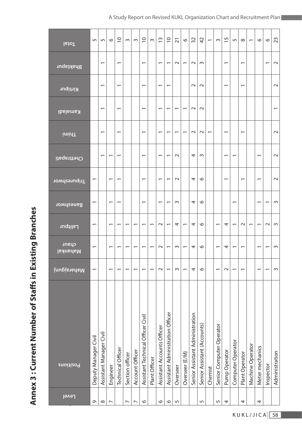# Annex 3: Current Number of Staffs in Existing Branches **Annex 3 : Current Number of Staffs in Existing Branches**

| <b>Total</b>             | LO                       | Ln                       | $\circ$                  | $\overline{C}$           | $\sim$                   | $\sim$          | $\overline{C}$                    | $\sim$                   | S                          | $\overline{C}$                   | $\overline{2}1$          | $\circ$                  | 32                              | 42                          | $\overline{\phantom{0}}$ | $\sim$                   | $\overline{1}$           | 5                        | $\infty$                 | $\overline{\phantom{0}}$ | $\circ$         | $\circ$                  | 23                       |
|--------------------------|--------------------------|--------------------------|--------------------------|--------------------------|--------------------------|-----------------|-----------------------------------|--------------------------|----------------------------|----------------------------------|--------------------------|--------------------------|---------------------------------|-----------------------------|--------------------------|--------------------------|--------------------------|--------------------------|--------------------------|--------------------------|-----------------|--------------------------|--------------------------|
| <b>Bhaktapur</b>         |                          | $\overline{\phantom{0}}$ |                          | $\overline{\phantom{0}}$ |                          |                 | $\overline{\phantom{0}}$          |                          | $\overline{\phantom{0}}$   | $\overline{\phantom{0}}$         | $\sim$                   | $\overline{\phantom{0}}$ | $\sim$                          | $\sim$                      |                          |                          | $\overline{\phantom{0}}$ |                          | $\overline{\phantom{0}}$ |                          |                 | $\overline{\phantom{0}}$ | $\sim$                   |
| Kirtipur                 |                          | $\overline{\phantom{0}}$ |                          | $\overline{\phantom{0}}$ |                          |                 | $\overline{\phantom{0}}$          |                          | $\overline{\phantom{0}}$   | $\overline{\phantom{0}}$         |                          |                          | $\sim$                          | $\sim$                      |                          |                          | $\overline{\phantom{0}}$ |                          | $\overline{\phantom{0}}$ |                          |                 |                          | $\sim$                   |
| <b>Kamaladi</b>          |                          | $\overline{\phantom{0}}$ |                          | $\overline{\phantom{0}}$ |                          |                 | $\overline{\phantom{0}}$          |                          | $\overline{\phantom{0}}$   | $\overline{\phantom{0}}$         | $\overline{\phantom{0}}$ | $\overline{\phantom{0}}$ | $\sim$                          | $\sim$                      |                          |                          |                          |                          |                          |                          |                 |                          | $\overline{\phantom{0}}$ |
| iminT                    |                          | $\overline{\phantom{0}}$ |                          | $\overline{\phantom{0}}$ |                          |                 | $\overline{\phantom{0}}$          |                          | $\overline{\phantom{0}}$   | $\overline{\phantom{0}}$         | $\overline{\phantom{0}}$ | ↽                        | $\sim$                          | $\sim$                      | $\overline{ }$           |                          | $\overline{\phantom{0}}$ |                          | $\overline{\phantom{0}}$ |                          |                 |                          | $\sim$                   |
| Chettrapati              |                          | $\overline{\phantom{0}}$ | $\overline{\phantom{0}}$ | $\overline{\phantom{0}}$ |                          |                 | $\overline{\phantom{0}}$          |                          | $\overline{\phantom{0}}$   | $\overline{\phantom{0}}$         | $\sim$                   |                          | 4                               | $\sim$                      |                          |                          | $\overline{\phantom{0}}$ | $\overline{\phantom{0}}$ |                          |                          | ۳               |                          | $\sim$                   |
| <b>Tripureshwor</b>      | $\overline{\phantom{0}}$ |                          | $\overline{\phantom{0}}$ |                          |                          |                 | $\overline{\phantom{0}}$          |                          | $\overline{\phantom{0}}$   |                                  | $\sim$                   |                          | 4                               | $\circ$                     |                          |                          | ٣                        |                          | $\overline{\phantom{0}}$ |                          |                 |                          | $\sim$                   |
| Baneshwor                | $\overline{\phantom{0}}$ |                          | $\overline{\phantom{0}}$ | $\overline{\phantom{0}}$ |                          |                 | $\overline{\phantom{0}}$          |                          | $\overline{\phantom{0}}$   | $\overline{\phantom{0}}$         | $\sim$                   |                          | 4                               | $\circ$                     |                          |                          |                          | $\overline{\phantom{0}}$ |                          |                          | ۳               | $\overline{\phantom{0}}$ | S                        |
| Lalitpur                 | $\overline{ }$           |                          | $\overline{\phantom{0}}$ | ᠵ                        | $\overline{ }$           | $\overline{ }$  | $\overline{\phantom{0}}$          | ٣                        | $\sim$                     | ۳                                | 4                        | $\overline{\phantom{0}}$ | 4                               | $\circ$                     |                          | $\overline{\phantom{0}}$ | 4                        | $\overline{ }$           | $\sim$                   | $\overline{ }$           | ۳               | $\sim$                   | $\sim$                   |
| chaur<br><b>Mahankal</b> | $\overline{\phantom{0}}$ |                          | $\overline{\phantom{0}}$ |                          | $\overline{ }$           |                 |                                   | ۳                        | $\sim$                     | $\overline{\phantom{0}}$         | $\sim$                   | ۳                        | 4                               | $\circ$                     |                          | $\overline{\phantom{0}}$ | 4                        | $\overline{\phantom{0}}$ | $\overline{\phantom{0}}$ |                          | $\overline{ }$  | $\overline{\phantom{0}}$ | $\sim$                   |
| <b>inugistanisM</b>      | $\overline{\phantom{0}}$ |                          | $\overline{\phantom{0}}$ |                          | $\overline{\phantom{0}}$ | $\overline{ }$  | $\overline{\phantom{0}}$          | $\overline{\phantom{0}}$ | $\sim$                     | $\overline{\phantom{0}}$         | $\sim$                   | $\overline{\phantom{0}}$ | 4                               | $\circ$                     |                          | $\overline{\phantom{0}}$ | $\sim$                   | ۳                        | $\overline{\phantom{0}}$ |                          | ۳               | $\overline{\phantom{0}}$ | $\sim$                   |
| Positions                | Deputy Manager Civil     | Assistant Manager Civil  | Engineer                 | Technical Officer        | Section officer          | Account Officer | Assistant Technical Officer Civil | Plant Officer            | Assistant Accounts Officer | Assistant Administration Officer | Overseer                 | Overseer (E/M)           | Senior Assistant Administration | Senior Assistant (Accounts) | Chemist                  | Senior Computer Operator | Pump Operator            | Computer Operator        | Plant Operator           | Machine Operator         | Meter mechanics | Inspector                | Administration           |
| <b>Tevel</b>             | Q                        | $\infty$                 | $\overline{ }$           |                          | $\overline{ }$           | $\overline{ }$  | $\circ$                           |                          | $\circ$                    | $\circ$                          | 5                        |                          |                                 | 5                           |                          | 5                        | 4                        |                          | 4                        |                          | 4               |                          |                          |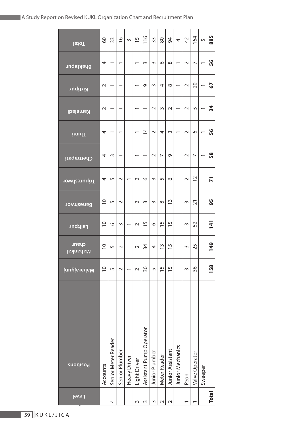| <b>Total</b>             | SO             | 33                  | $\frac{8}{1}$            | 3                        | $\frac{5}{1}$            | 116                      | 33                    | 80                       | 54                            | 4                        | 42     | 164                      | 5                        | 885            |
|--------------------------|----------------|---------------------|--------------------------|--------------------------|--------------------------|--------------------------|-----------------------|--------------------------|-------------------------------|--------------------------|--------|--------------------------|--------------------------|----------------|
| <b>Bhaktapur</b>         | 4              | ۳                   | $\overline{\phantom{0}}$ |                          | $\overline{\phantom{0}}$ | 3                        | w                     | $\circ$                  | $\infty$                      | $\overline{\phantom{0}}$ | $\sim$ | $\overline{\phantom{0}}$ | ۳                        | 56             |
| Kirtipur                 | $\sim$         |                     |                          |                          | ۳                        | e                        | S                     | 4                        | $\infty$                      |                          | $\sim$ | 20                       |                          | 57             |
| <b>Kamaladi</b>          | $\sim$         | ۳                   | ۳                        |                          | $\overline{ }$           | $\overline{\phantom{0}}$ | $\sim$                | S                        | $\sim$                        | $\overline{\phantom{0}}$ | $\sim$ | 5                        | $\overline{\phantom{0}}$ | 34             |
| <b>imidT</b>             | 4              | ٣                   | $\overline{\phantom{0}}$ |                          | $\overline{\phantom{0}}$ | $\overline{4}$           | $\sim$                | 4                        | 3                             | $\overline{\phantom{0}}$ | $\sim$ | $\circ$                  | $\overline{\phantom{0}}$ | 56             |
| Chettrapati              | 4              | 3                   | ᠵ                        |                          | ۳                        | ᠇                        | $\sim$                | $\overline{\phantom{0}}$ | ᡡ                             |                          | $\sim$ | $\overline{\phantom{0}}$ | ۳                        | 58             |
| <b>Tripureshwor</b>      | 4              | 5                   | $\sim$                   | ۳                        | $\sim$                   | $\circ$                  | w                     | 5                        | $\circ$                       |                          | $\sim$ | $\overline{C}$           |                          | $\overline{r}$ |
| Baneshwor                | $\supseteq$    | 5                   | $\sim$                   |                          | $\sim$                   | 3                        | w                     | $\infty$                 | $\frac{3}{2}$                 |                          | S      | $\overline{2}1$          |                          | 95             |
| <b>Lalitpur</b>          | $\overline{0}$ | $\circ$             | $\sim$                   | $\overline{\phantom{0}}$ | $\sim$                   | $\overline{1}$           | $\circ$               | $\frac{5}{1}$            | 5<br>É                        |                          | S      | 52                       |                          | 141            |
| chaur<br><u>Nahankal</u> | $\overline{0}$ | 5                   | $\sim$                   |                          | $\sim$                   | 34                       | 4                     | $\tilde{1}$              | 5<br>$\overline{\phantom{0}}$ |                          | S      | 25                       |                          | 149            |
| inugis and an            | $\overline{0}$ | 5                   | $\sim$                   |                          | $\sim$                   | 50                       | 5                     | $\frac{5}{1}$            | $\overline{1}$                |                          | m      | 36                       |                          | 158            |
| <b>Positions</b>         | Accounts       | Senior Meter Reader | Senior Plumber           | <b>Heavy Driver</b>      | Light Driver             | Assistant Pump Operator  | <b>Junior Plumber</b> | Meter Reader             | Junior Assistant              | <b>Junior Mechanics</b>  | Peon   | Valve Operator           | Sweeper                  |                |
| <b>Level</b>             |                | 4                   |                          |                          | 3                        | ω                        | S                     | $\sim$                   | $\sim$                        |                          |        |                          |                          | Total          |